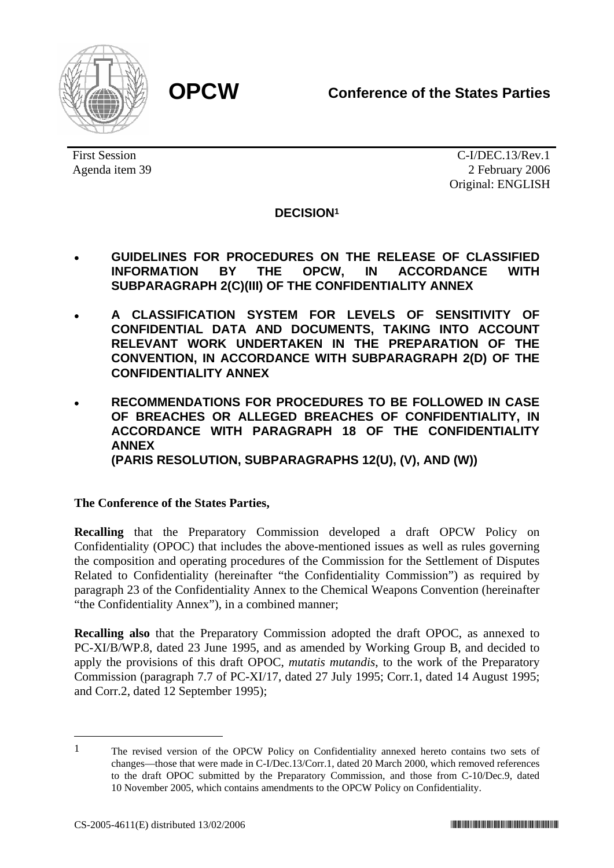

First Session C-I/DEC.13/Rev.1 Agenda item 39 2 February 2006 Original: ENGLISH

**DECISION1**

- • **GUIDELINES FOR PROCEDURES ON THE RELEASE OF CLASSIFIED INFORMATION BY THE OPCW, IN ACCORDANCE WITH SUBPARAGRAPH 2(C)(III) OF THE CONFIDENTIALITY ANNEX**
- • **A CLASSIFICATION SYSTEM FOR LEVELS OF SENSITIVITY OF CONFIDENTIAL DATA AND DOCUMENTS, TAKING INTO ACCOUNT RELEVANT WORK UNDERTAKEN IN THE PREPARATION OF THE CONVENTION, IN ACCORDANCE WITH SUBPARAGRAPH 2(D) OF THE CONFIDENTIALITY ANNEX**
- • **RECOMMENDATIONS FOR PROCEDURES TO BE FOLLOWED IN CASE OF BREACHES OR ALLEGED BREACHES OF CONFIDENTIALITY, IN ACCORDANCE WITH PARAGRAPH 18 OF THE CONFIDENTIALITY ANNEX (PARIS RESOLUTION, SUBPARAGRAPHS 12(U), (V), AND (W))**

## **The Conference of the States Parties,**

**Recalling** that the Preparatory Commission developed a draft OPCW Policy on Confidentiality (OPOC) that includes the above-mentioned issues as well as rules governing the composition and operating procedures of the Commission for the Settlement of Disputes Related to Confidentiality (hereinafter "the Confidentiality Commission") as required by paragraph 23 of the Confidentiality Annex to the Chemical Weapons Convention (hereinafter "the Confidentiality Annex"), in a combined manner;

**Recalling also** that the Preparatory Commission adopted the draft OPOC, as annexed to PC-XI/B/WP.8, dated 23 June 1995, and as amended by Working Group B, and decided to apply the provisions of this draft OPOC, *mutatis mutandis*, to the work of the Preparatory Commission (paragraph 7.7 of PC-XI/17, dated 27 July 1995; Corr.1, dated 14 August 1995; and Corr.2, dated 12 September 1995);

1

<sup>1</sup> The revised version of the OPCW Policy on Confidentiality annexed hereto contains two sets of changes—those that were made in C-I/Dec.13/Corr.1, dated 20 March 2000, which removed references to the draft OPOC submitted by the Preparatory Commission, and those from C-10/Dec.9, dated 10 November 2005, which contains amendments to the OPCW Policy on Confidentiality.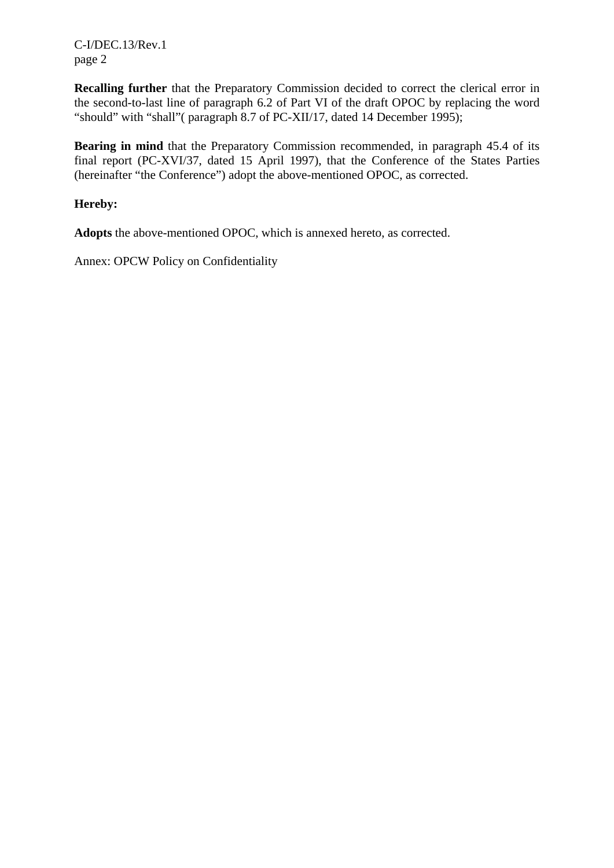C-I/DEC.13/Rev.1 page 2

**Recalling further** that the Preparatory Commission decided to correct the clerical error in the second-to-last line of paragraph 6.2 of Part VI of the draft OPOC by replacing the word "should" with "shall" (paragraph 8.7 of PC-XII/17, dated 14 December 1995);

**Bearing in mind** that the Preparatory Commission recommended, in paragraph 45.4 of its final report (PC-XVI/37, dated 15 April 1997), that the Conference of the States Parties (hereinafter "the Conference") adopt the above-mentioned OPOC, as corrected.

## **Hereby:**

**Adopts** the above-mentioned OPOC, which is annexed hereto, as corrected.

Annex: OPCW Policy on Confidentiality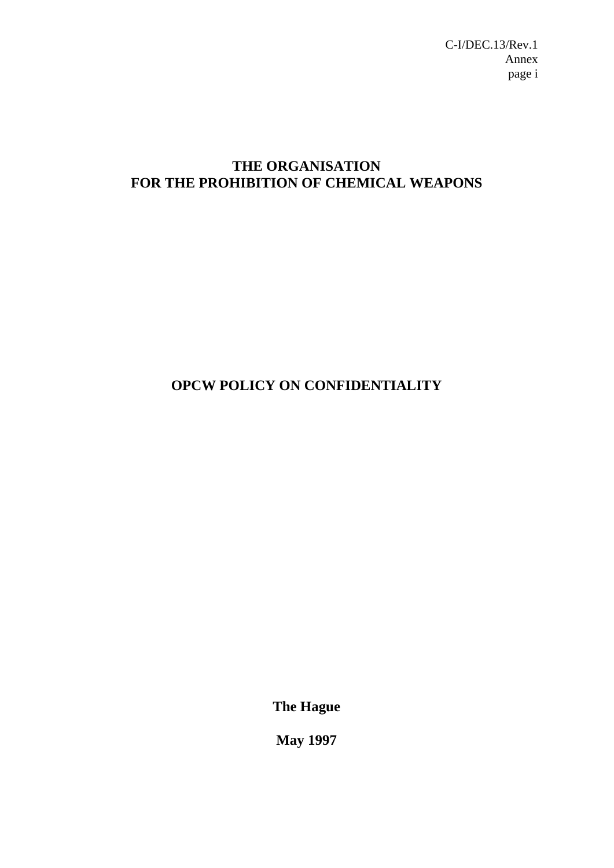C-I/DEC.13/Rev.1 Annex page i

# **THE ORGANISATION FOR THE PROHIBITION OF CHEMICAL WEAPONS**

# **OPCW POLICY ON CONFIDENTIALITY**

**The Hague** 

**May 1997**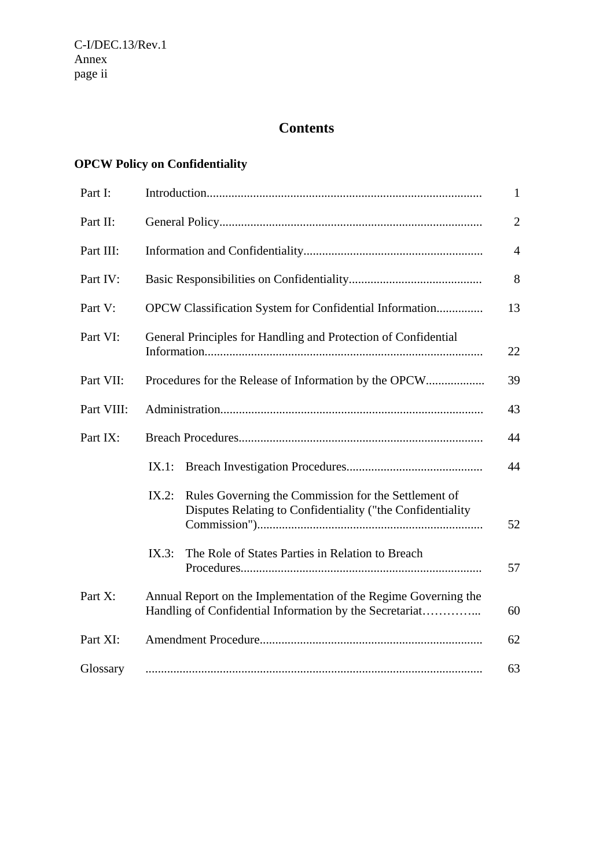# **Contents**

# **OPCW Policy on Confidentiality**

| Part I:    |                                                                                                                                | $\mathbf{1}$   |
|------------|--------------------------------------------------------------------------------------------------------------------------------|----------------|
| Part II:   |                                                                                                                                | $\overline{2}$ |
| Part III:  |                                                                                                                                | $\overline{4}$ |
| Part IV:   |                                                                                                                                | 8              |
| Part V:    | OPCW Classification System for Confidential Information                                                                        | 13             |
| Part VI:   | General Principles for Handling and Protection of Confidential                                                                 | 22             |
| Part VII:  | Procedures for the Release of Information by the OPCW                                                                          | 39             |
| Part VIII: |                                                                                                                                | 43             |
| Part IX:   |                                                                                                                                | 44             |
|            | IX.1:                                                                                                                          | 44             |
|            | $IX.2$ :<br>Rules Governing the Commission for the Settlement of<br>Disputes Relating to Confidentiality ("the Confidentiality | 52             |
|            | IX.3:<br>The Role of States Parties in Relation to Breach                                                                      | 57             |
| Part X:    | Annual Report on the Implementation of the Regime Governing the<br>Handling of Confidential Information by the Secretariat     | 60             |
| Part XI:   |                                                                                                                                | 62             |
| Glossary   |                                                                                                                                | 63             |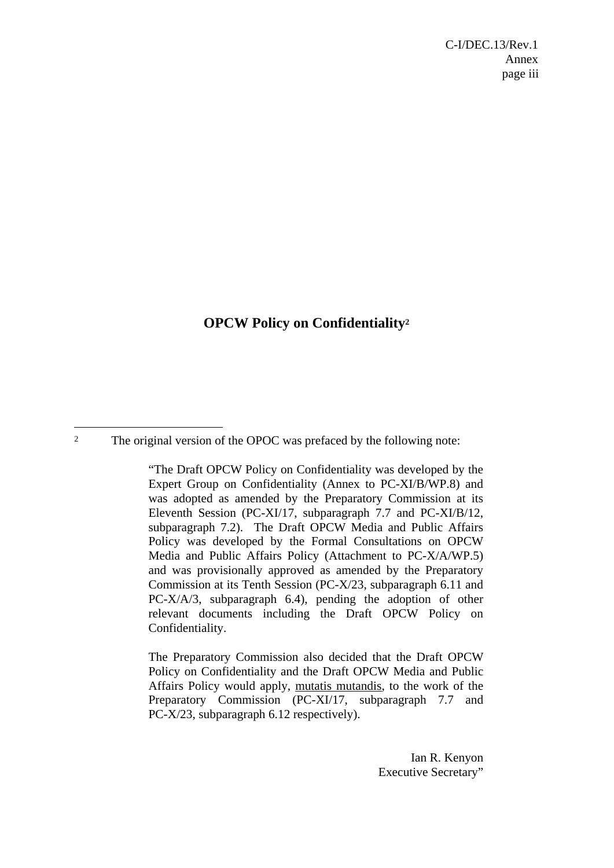# **OPCW Policy on Confidentiality2**

<sup>2</sup> The original version of the OPOC was prefaced by the following note:

1

"The Draft OPCW Policy on Confidentiality was developed by the Expert Group on Confidentiality (Annex to PC-XI/B/WP.8) and was adopted as amended by the Preparatory Commission at its Eleventh Session (PC-XI/17, subparagraph 7.7 and PC-XI/B/12, subparagraph 7.2). The Draft OPCW Media and Public Affairs Policy was developed by the Formal Consultations on OPCW Media and Public Affairs Policy (Attachment to PC-X/A/WP.5) and was provisionally approved as amended by the Preparatory Commission at its Tenth Session (PC-X/23, subparagraph 6.11 and PC-X/A/3, subparagraph 6.4), pending the adoption of other relevant documents including the Draft OPCW Policy on Confidentiality.

The Preparatory Commission also decided that the Draft OPCW Policy on Confidentiality and the Draft OPCW Media and Public Affairs Policy would apply, mutatis mutandis, to the work of the Preparatory Commission (PC-XI/17, subparagraph 7.7 and PC-X/23, subparagraph 6.12 respectively).

> Ian R. Kenyon Executive Secretary"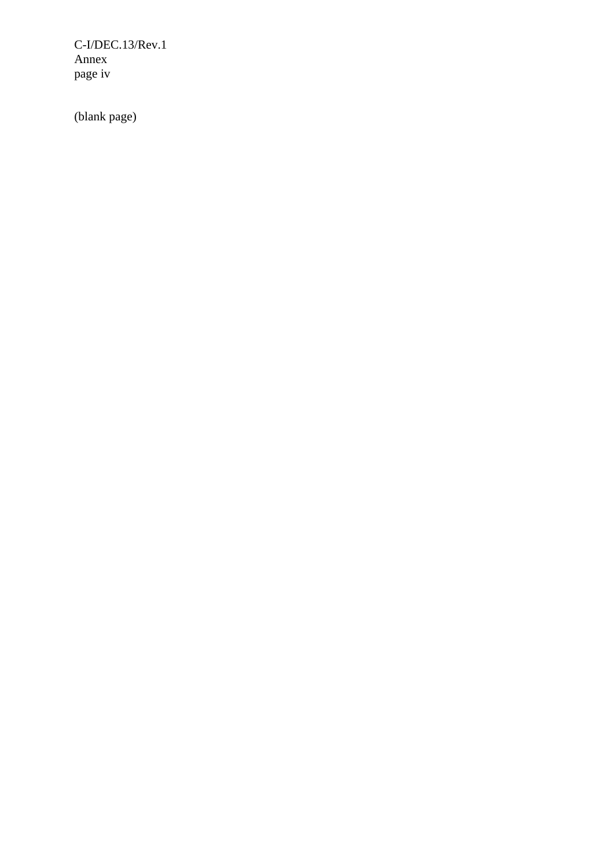C-I/DEC.13/Rev.1 Annex page iv

(blank page)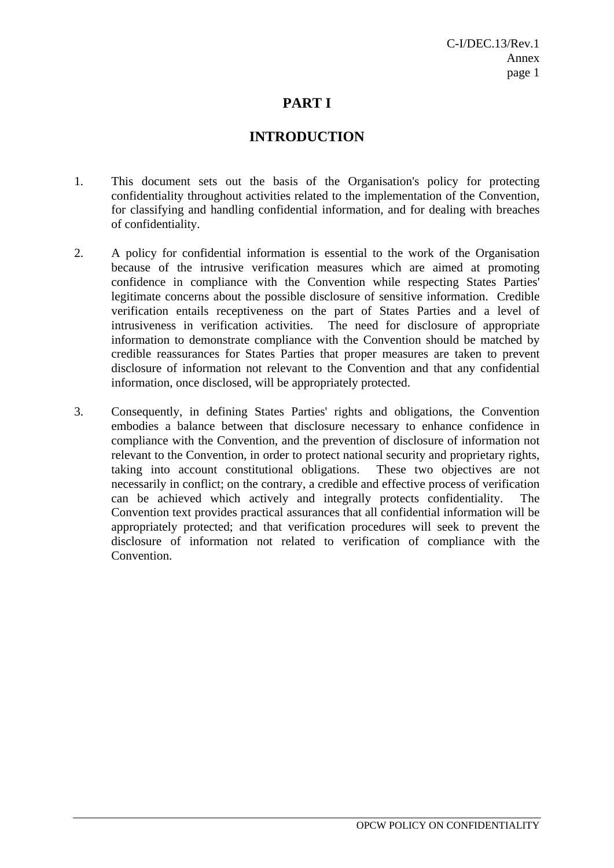# **PART I**

## **INTRODUCTION**

- 1. This document sets out the basis of the Organisation's policy for protecting confidentiality throughout activities related to the implementation of the Convention, for classifying and handling confidential information, and for dealing with breaches of confidentiality.
- 2. A policy for confidential information is essential to the work of the Organisation because of the intrusive verification measures which are aimed at promoting confidence in compliance with the Convention while respecting States Parties' legitimate concerns about the possible disclosure of sensitive information. Credible verification entails receptiveness on the part of States Parties and a level of intrusiveness in verification activities. The need for disclosure of appropriate information to demonstrate compliance with the Convention should be matched by credible reassurances for States Parties that proper measures are taken to prevent disclosure of information not relevant to the Convention and that any confidential information, once disclosed, will be appropriately protected.
- 3. Consequently, in defining States Parties' rights and obligations, the Convention embodies a balance between that disclosure necessary to enhance confidence in compliance with the Convention, and the prevention of disclosure of information not relevant to the Convention, in order to protect national security and proprietary rights, taking into account constitutional obligations. These two objectives are not necessarily in conflict; on the contrary, a credible and effective process of verification can be achieved which actively and integrally protects confidentiality. The Convention text provides practical assurances that all confidential information will be appropriately protected; and that verification procedures will seek to prevent the disclosure of information not related to verification of compliance with the Convention.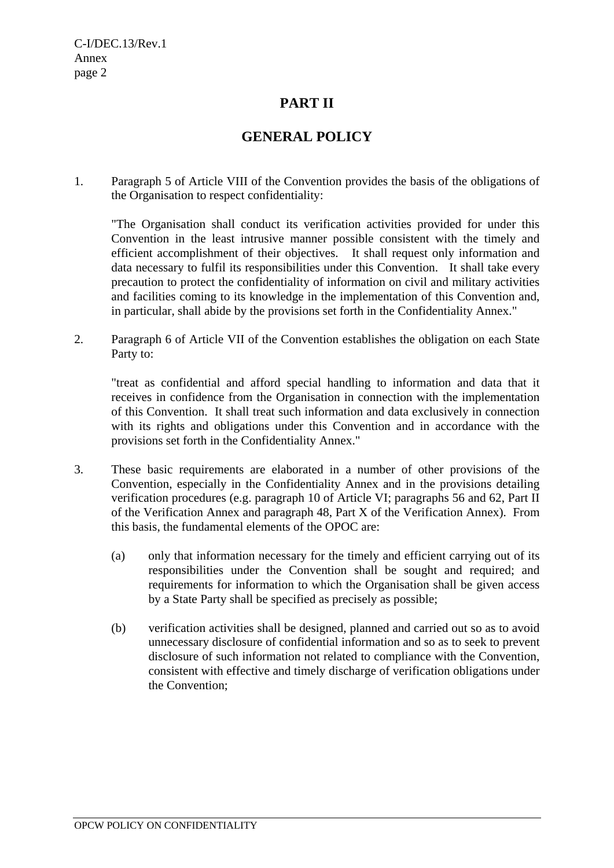## **PART II**

## **GENERAL POLICY**

1. Paragraph 5 of Article VIII of the Convention provides the basis of the obligations of the Organisation to respect confidentiality:

"The Organisation shall conduct its verification activities provided for under this Convention in the least intrusive manner possible consistent with the timely and efficient accomplishment of their objectives. It shall request only information and data necessary to fulfil its responsibilities under this Convention. It shall take every precaution to protect the confidentiality of information on civil and military activities and facilities coming to its knowledge in the implementation of this Convention and, in particular, shall abide by the provisions set forth in the Confidentiality Annex."

2. Paragraph 6 of Article VII of the Convention establishes the obligation on each State Party to:

"treat as confidential and afford special handling to information and data that it receives in confidence from the Organisation in connection with the implementation of this Convention. It shall treat such information and data exclusively in connection with its rights and obligations under this Convention and in accordance with the provisions set forth in the Confidentiality Annex."

- 3. These basic requirements are elaborated in a number of other provisions of the Convention, especially in the Confidentiality Annex and in the provisions detailing verification procedures (e.g. paragraph 10 of Article VI; paragraphs 56 and 62, Part II of the Verification Annex and paragraph 48, Part X of the Verification Annex). From this basis, the fundamental elements of the OPOC are:
	- (a) only that information necessary for the timely and efficient carrying out of its responsibilities under the Convention shall be sought and required; and requirements for information to which the Organisation shall be given access by a State Party shall be specified as precisely as possible;
	- (b) verification activities shall be designed, planned and carried out so as to avoid unnecessary disclosure of confidential information and so as to seek to prevent disclosure of such information not related to compliance with the Convention, consistent with effective and timely discharge of verification obligations under the Convention;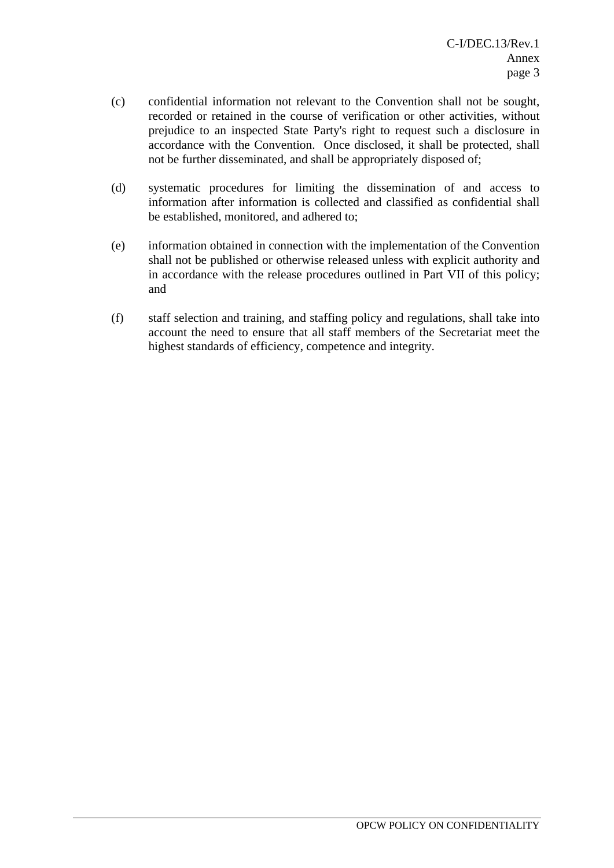- (c) confidential information not relevant to the Convention shall not be sought, recorded or retained in the course of verification or other activities, without prejudice to an inspected State Party's right to request such a disclosure in accordance with the Convention. Once disclosed, it shall be protected, shall not be further disseminated, and shall be appropriately disposed of;
- (d) systematic procedures for limiting the dissemination of and access to information after information is collected and classified as confidential shall be established, monitored, and adhered to;
- (e) information obtained in connection with the implementation of the Convention shall not be published or otherwise released unless with explicit authority and in accordance with the release procedures outlined in Part VII of this policy; and
- (f) staff selection and training, and staffing policy and regulations, shall take into account the need to ensure that all staff members of the Secretariat meet the highest standards of efficiency, competence and integrity.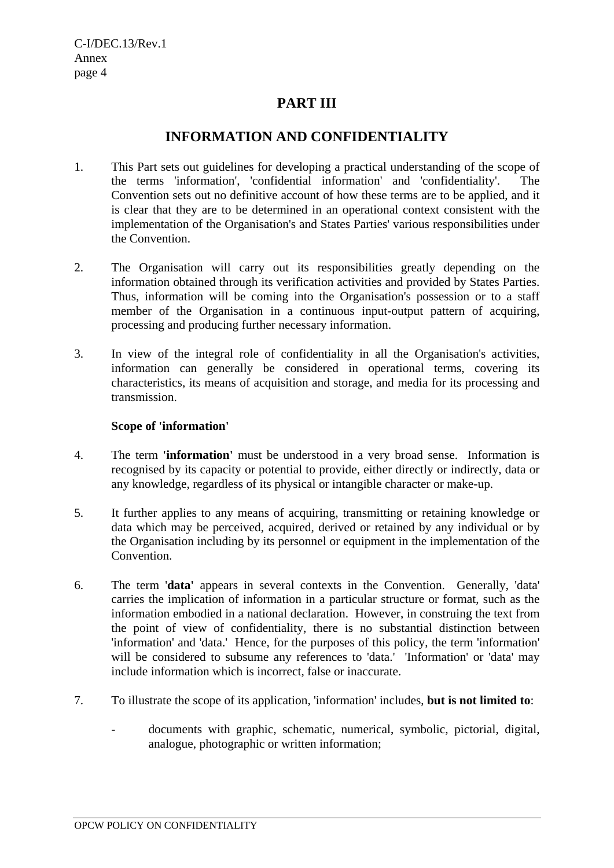C-I/DEC.13/Rev.1 Annex page 4

## **PART III**

## **INFORMATION AND CONFIDENTIALITY**

- 1. This Part sets out guidelines for developing a practical understanding of the scope of the terms 'information', 'confidential information' and 'confidentiality'. The Convention sets out no definitive account of how these terms are to be applied, and it is clear that they are to be determined in an operational context consistent with the implementation of the Organisation's and States Parties' various responsibilities under the Convention.
- 2. The Organisation will carry out its responsibilities greatly depending on the information obtained through its verification activities and provided by States Parties. Thus, information will be coming into the Organisation's possession or to a staff member of the Organisation in a continuous input-output pattern of acquiring, processing and producing further necessary information.
- 3. In view of the integral role of confidentiality in all the Organisation's activities, information can generally be considered in operational terms, covering its characteristics, its means of acquisition and storage, and media for its processing and transmission.

### **Scope of 'information'**

- 4. The term **'information'** must be understood in a very broad sense. Information is recognised by its capacity or potential to provide, either directly or indirectly, data or any knowledge, regardless of its physical or intangible character or make-up.
- 5. It further applies to any means of acquiring, transmitting or retaining knowledge or data which may be perceived, acquired, derived or retained by any individual or by the Organisation including by its personnel or equipment in the implementation of the Convention.
- 6. The term '**data'** appears in several contexts in the Convention. Generally, 'data' carries the implication of information in a particular structure or format, such as the information embodied in a national declaration. However, in construing the text from the point of view of confidentiality, there is no substantial distinction between 'information' and 'data.' Hence, for the purposes of this policy, the term 'information' will be considered to subsume any references to 'data.' Information' or 'data' may include information which is incorrect, false or inaccurate.
- 7. To illustrate the scope of its application, 'information' includes, **but is not limited to**:
	- documents with graphic, schematic, numerical, symbolic, pictorial, digital, analogue, photographic or written information;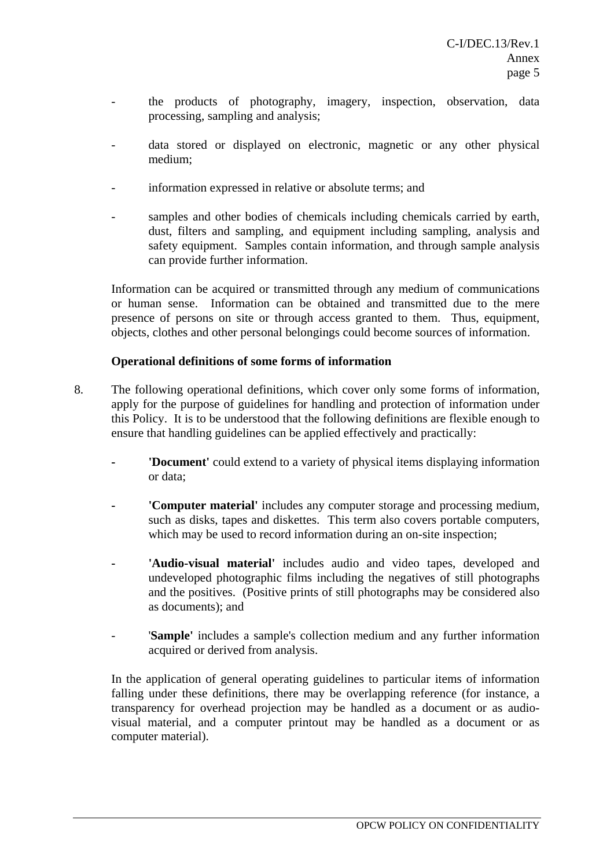- the products of photography, imagery, inspection, observation, data processing, sampling and analysis;
- data stored or displayed on electronic, magnetic or any other physical medium;
- information expressed in relative or absolute terms; and
- samples and other bodies of chemicals including chemicals carried by earth, dust, filters and sampling, and equipment including sampling, analysis and safety equipment. Samples contain information, and through sample analysis can provide further information.

 Information can be acquired or transmitted through any medium of communications or human sense. Information can be obtained and transmitted due to the mere presence of persons on site or through access granted to them. Thus, equipment, objects, clothes and other personal belongings could become sources of information.

## **Operational definitions of some forms of information**

- 8. The following operational definitions, which cover only some forms of information, apply for the purpose of guidelines for handling and protection of information under this Policy. It is to be understood that the following definitions are flexible enough to ensure that handling guidelines can be applied effectively and practically:
	- **'Document'** could extend to a variety of physical items displaying information or data;
	- **'Computer material'** includes any computer storage and processing medium, such as disks, tapes and diskettes. This term also covers portable computers, which may be used to record information during an on-site inspection;
	- **'Audio-visual material'** includes audio and video tapes, developed and undeveloped photographic films including the negatives of still photographs and the positives. (Positive prints of still photographs may be considered also as documents); and
	- 'Sample' includes a sample's collection medium and any further information acquired or derived from analysis.

 In the application of general operating guidelines to particular items of information falling under these definitions, there may be overlapping reference (for instance, a transparency for overhead projection may be handled as a document or as audiovisual material, and a computer printout may be handled as a document or as computer material).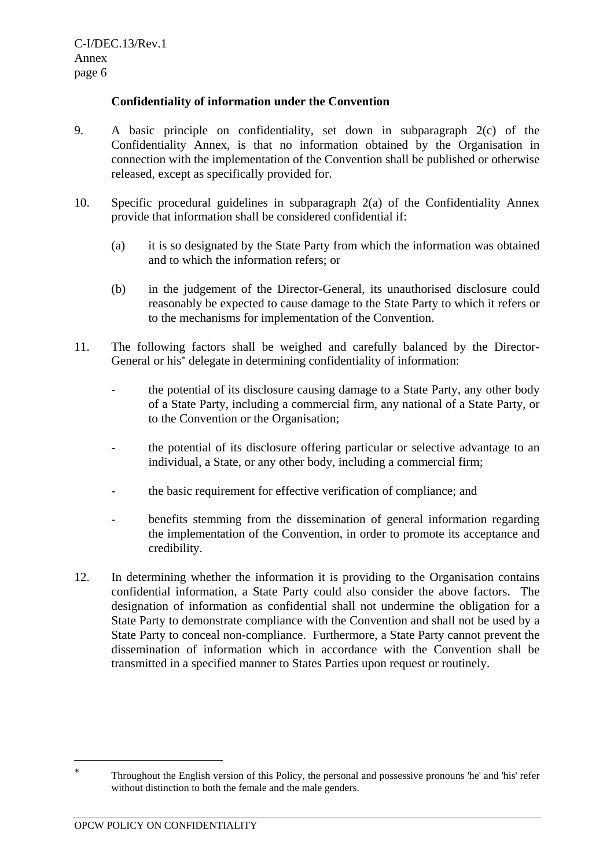## **Confidentiality of information under the Convention**

- 9. A basic principle on confidentiality, set down in subparagraph 2(c) of the Confidentiality Annex, is that no information obtained by the Organisation in connection with the implementation of the Convention shall be published or otherwise released, except as specifically provided for.
- 10. Specific procedural guidelines in subparagraph 2(a) of the Confidentiality Annex provide that information shall be considered confidential if:
	- (a) it is so designated by the State Party from which the information was obtained and to which the information refers; or
	- (b) in the judgement of the Director-General, its unauthorised disclosure could reasonably be expected to cause damage to the State Party to which it refers or to the mechanisms for implementation of the Convention.
- 11. The following factors shall be weighed and carefully balanced by the Director-General or his\* delegate in determining confidentiality of information:
	- the potential of its disclosure causing damage to a State Party, any other body of a State Party, including a commercial firm, any national of a State Party, or to the Convention or the Organisation;
	- the potential of its disclosure offering particular or selective advantage to an individual, a State, or any other body, including a commercial firm;
	- the basic requirement for effective verification of compliance; and
	- benefits stemming from the dissemination of general information regarding the implementation of the Convention, in order to promote its acceptance and credibility.
- 12. In determining whether the information it is providing to the Organisation contains confidential information, a State Party could also consider the above factors. The designation of information as confidential shall not undermine the obligation for a State Party to demonstrate compliance with the Convention and shall not be used by a State Party to conceal non-compliance. Furthermore, a State Party cannot prevent the dissemination of information which in accordance with the Convention shall be transmitted in a specified manner to States Parties upon request or routinely.

1

<sup>\*</sup> Throughout the English version of this Policy, the personal and possessive pronouns 'he' and 'his' refer without distinction to both the female and the male genders.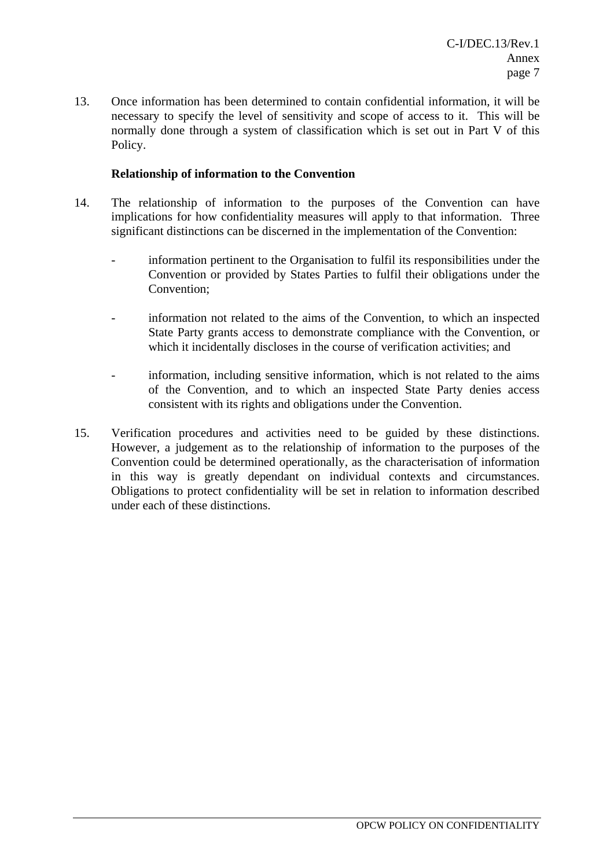13. Once information has been determined to contain confidential information, it will be necessary to specify the level of sensitivity and scope of access to it. This will be normally done through a system of classification which is set out in Part V of this Policy.

## **Relationship of information to the Convention**

- 14. The relationship of information to the purposes of the Convention can have implications for how confidentiality measures will apply to that information. Three significant distinctions can be discerned in the implementation of the Convention:
	- information pertinent to the Organisation to fulfil its responsibilities under the Convention or provided by States Parties to fulfil their obligations under the Convention;
	- information not related to the aims of the Convention, to which an inspected State Party grants access to demonstrate compliance with the Convention, or which it incidentally discloses in the course of verification activities; and
	- information, including sensitive information, which is not related to the aims of the Convention, and to which an inspected State Party denies access consistent with its rights and obligations under the Convention.
- 15. Verification procedures and activities need to be guided by these distinctions. However, a judgement as to the relationship of information to the purposes of the Convention could be determined operationally, as the characterisation of information in this way is greatly dependant on individual contexts and circumstances. Obligations to protect confidentiality will be set in relation to information described under each of these distinctions.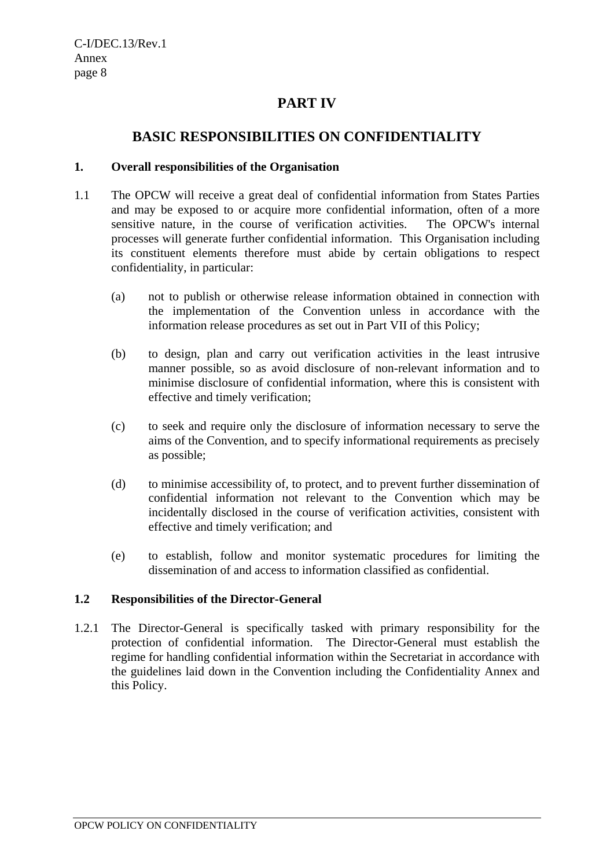## **PART IV**

## **BASIC RESPONSIBILITIES ON CONFIDENTIALITY**

### **1. Overall responsibilities of the Organisation**

- 1.1 The OPCW will receive a great deal of confidential information from States Parties and may be exposed to or acquire more confidential information, often of a more sensitive nature, in the course of verification activities. The OPCW's internal processes will generate further confidential information. This Organisation including its constituent elements therefore must abide by certain obligations to respect confidentiality, in particular:
	- (a) not to publish or otherwise release information obtained in connection with the implementation of the Convention unless in accordance with the information release procedures as set out in Part VII of this Policy;
	- (b) to design, plan and carry out verification activities in the least intrusive manner possible, so as avoid disclosure of non-relevant information and to minimise disclosure of confidential information, where this is consistent with effective and timely verification;
	- (c) to seek and require only the disclosure of information necessary to serve the aims of the Convention, and to specify informational requirements as precisely as possible;
	- (d) to minimise accessibility of, to protect, and to prevent further dissemination of confidential information not relevant to the Convention which may be incidentally disclosed in the course of verification activities, consistent with effective and timely verification; and
	- (e) to establish, follow and monitor systematic procedures for limiting the dissemination of and access to information classified as confidential.

#### **1.2 Responsibilities of the Director-General**

1.2.1 The Director-General is specifically tasked with primary responsibility for the protection of confidential information. The Director-General must establish the regime for handling confidential information within the Secretariat in accordance with the guidelines laid down in the Convention including the Confidentiality Annex and this Policy.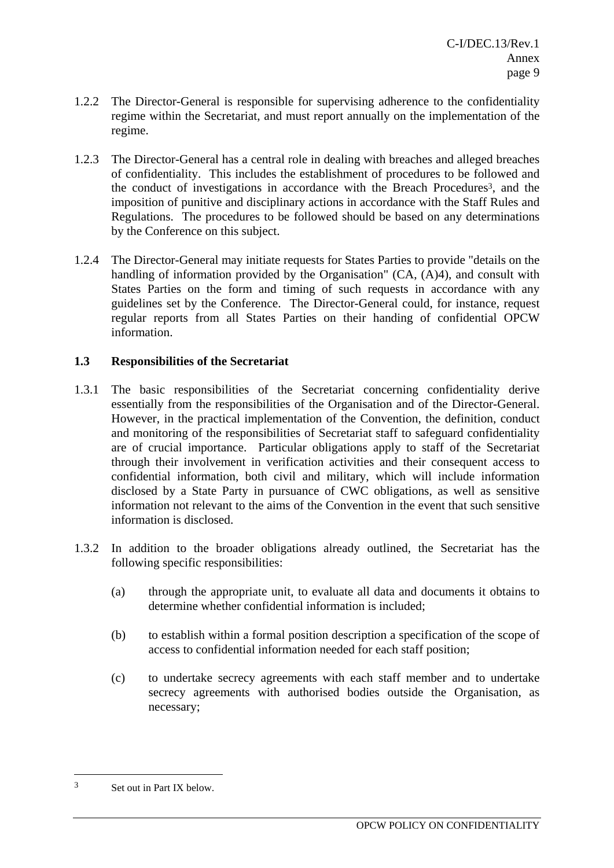- 1.2.2 The Director-General is responsible for supervising adherence to the confidentiality regime within the Secretariat, and must report annually on the implementation of the regime.
- 1.2.3 The Director-General has a central role in dealing with breaches and alleged breaches of confidentiality. This includes the establishment of procedures to be followed and the conduct of investigations in accordance with the Breach Procedures<sup>3</sup>, and the imposition of punitive and disciplinary actions in accordance with the Staff Rules and Regulations. The procedures to be followed should be based on any determinations by the Conference on this subject.
- 1.2.4 The Director-General may initiate requests for States Parties to provide "details on the handling of information provided by the Organisation" (CA, (A)4), and consult with States Parties on the form and timing of such requests in accordance with any guidelines set by the Conference. The Director-General could, for instance, request regular reports from all States Parties on their handing of confidential OPCW information.

## **1.3 Responsibilities of the Secretariat**

- 1.3.1 The basic responsibilities of the Secretariat concerning confidentiality derive essentially from the responsibilities of the Organisation and of the Director-General. However, in the practical implementation of the Convention, the definition, conduct and monitoring of the responsibilities of Secretariat staff to safeguard confidentiality are of crucial importance. Particular obligations apply to staff of the Secretariat through their involvement in verification activities and their consequent access to confidential information, both civil and military, which will include information disclosed by a State Party in pursuance of CWC obligations, as well as sensitive information not relevant to the aims of the Convention in the event that such sensitive information is disclosed.
- 1.3.2 In addition to the broader obligations already outlined, the Secretariat has the following specific responsibilities:
	- (a) through the appropriate unit, to evaluate all data and documents it obtains to determine whether confidential information is included;
	- (b) to establish within a formal position description a specification of the scope of access to confidential information needed for each staff position;
	- (c) to undertake secrecy agreements with each staff member and to undertake secrecy agreements with authorised bodies outside the Organisation, as necessary;

<u>.</u>

<sup>3</sup> Set out in Part IX below.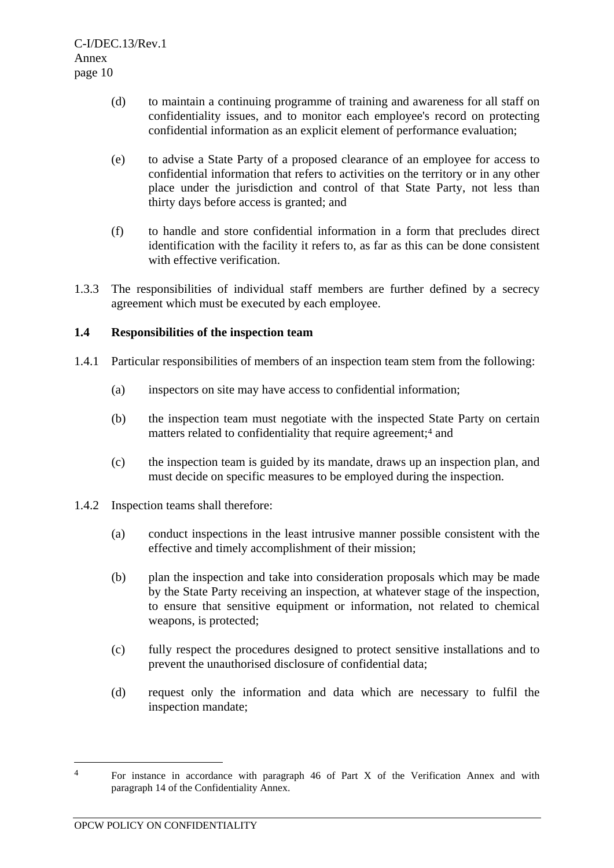- (d) to maintain a continuing programme of training and awareness for all staff on confidentiality issues, and to monitor each employee's record on protecting confidential information as an explicit element of performance evaluation;
- (e) to advise a State Party of a proposed clearance of an employee for access to confidential information that refers to activities on the territory or in any other place under the jurisdiction and control of that State Party, not less than thirty days before access is granted; and
- (f) to handle and store confidential information in a form that precludes direct identification with the facility it refers to, as far as this can be done consistent with effective verification.
- 1.3.3 The responsibilities of individual staff members are further defined by a secrecy agreement which must be executed by each employee.

## **1.4 Responsibilities of the inspection team**

- 1.4.1 Particular responsibilities of members of an inspection team stem from the following:
	- (a) inspectors on site may have access to confidential information;
	- (b) the inspection team must negotiate with the inspected State Party on certain matters related to confidentiality that require agreement;<sup>4</sup> and
	- (c) the inspection team is guided by its mandate, draws up an inspection plan, and must decide on specific measures to be employed during the inspection.
- 1.4.2 Inspection teams shall therefore:
	- (a) conduct inspections in the least intrusive manner possible consistent with the effective and timely accomplishment of their mission;
	- (b) plan the inspection and take into consideration proposals which may be made by the State Party receiving an inspection, at whatever stage of the inspection, to ensure that sensitive equipment or information, not related to chemical weapons, is protected;
	- (c) fully respect the procedures designed to protect sensitive installations and to prevent the unauthorised disclosure of confidential data;
	- (d) request only the information and data which are necessary to fulfil the inspection mandate;

1

<sup>4</sup> For instance in accordance with paragraph 46 of Part X of the Verification Annex and with paragraph 14 of the Confidentiality Annex.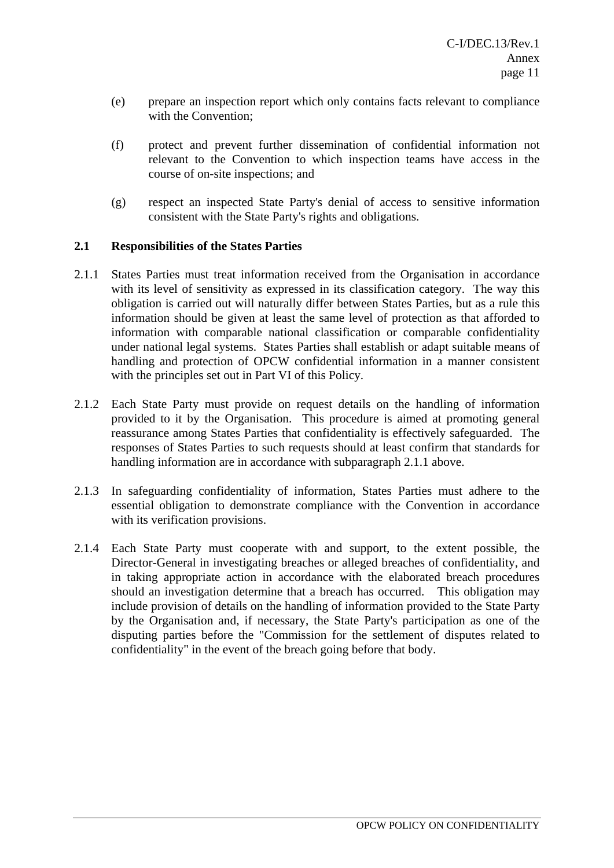- (e) prepare an inspection report which only contains facts relevant to compliance with the Convention;
- (f) protect and prevent further dissemination of confidential information not relevant to the Convention to which inspection teams have access in the course of on-site inspections; and
- (g) respect an inspected State Party's denial of access to sensitive information consistent with the State Party's rights and obligations.

## **2.1 Responsibilities of the States Parties**

- 2.1.1 States Parties must treat information received from the Organisation in accordance with its level of sensitivity as expressed in its classification category. The way this obligation is carried out will naturally differ between States Parties, but as a rule this information should be given at least the same level of protection as that afforded to information with comparable national classification or comparable confidentiality under national legal systems. States Parties shall establish or adapt suitable means of handling and protection of OPCW confidential information in a manner consistent with the principles set out in Part VI of this Policy.
- 2.1.2 Each State Party must provide on request details on the handling of information provided to it by the Organisation. This procedure is aimed at promoting general reassurance among States Parties that confidentiality is effectively safeguarded. The responses of States Parties to such requests should at least confirm that standards for handling information are in accordance with subparagraph 2.1.1 above.
- 2.1.3 In safeguarding confidentiality of information, States Parties must adhere to the essential obligation to demonstrate compliance with the Convention in accordance with its verification provisions.
- 2.1.4 Each State Party must cooperate with and support, to the extent possible, the Director-General in investigating breaches or alleged breaches of confidentiality, and in taking appropriate action in accordance with the elaborated breach procedures should an investigation determine that a breach has occurred. This obligation may include provision of details on the handling of information provided to the State Party by the Organisation and, if necessary, the State Party's participation as one of the disputing parties before the "Commission for the settlement of disputes related to confidentiality" in the event of the breach going before that body.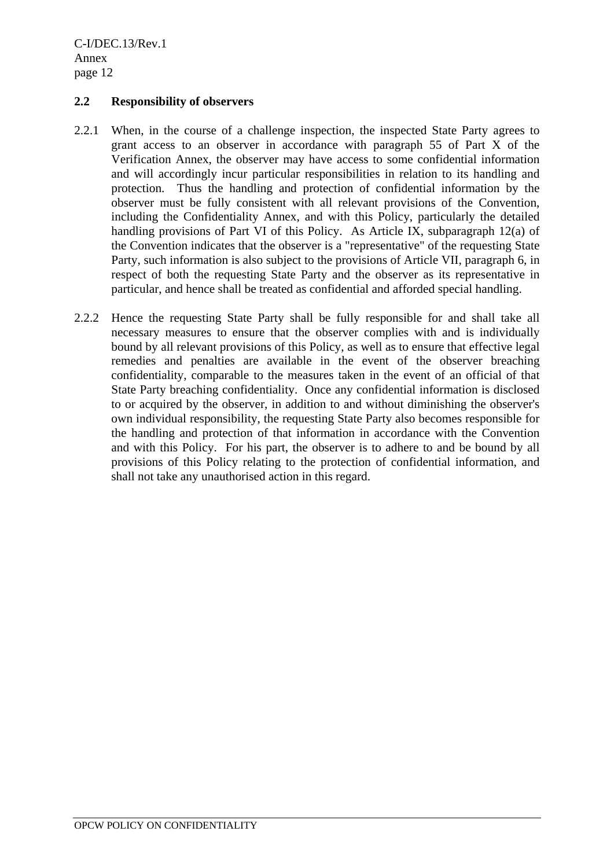C-I/DEC.13/Rev.1 Annex page 12

## **2.2 Responsibility of observers**

- 2.2.1 When, in the course of a challenge inspection, the inspected State Party agrees to grant access to an observer in accordance with paragraph 55 of Part X of the Verification Annex, the observer may have access to some confidential information and will accordingly incur particular responsibilities in relation to its handling and protection. Thus the handling and protection of confidential information by the observer must be fully consistent with all relevant provisions of the Convention, including the Confidentiality Annex, and with this Policy, particularly the detailed handling provisions of Part VI of this Policy. As Article IX, subparagraph 12(a) of the Convention indicates that the observer is a "representative" of the requesting State Party, such information is also subject to the provisions of Article VII, paragraph 6, in respect of both the requesting State Party and the observer as its representative in particular, and hence shall be treated as confidential and afforded special handling.
- 2.2.2 Hence the requesting State Party shall be fully responsible for and shall take all necessary measures to ensure that the observer complies with and is individually bound by all relevant provisions of this Policy, as well as to ensure that effective legal remedies and penalties are available in the event of the observer breaching confidentiality, comparable to the measures taken in the event of an official of that State Party breaching confidentiality. Once any confidential information is disclosed to or acquired by the observer, in addition to and without diminishing the observer's own individual responsibility, the requesting State Party also becomes responsible for the handling and protection of that information in accordance with the Convention and with this Policy. For his part, the observer is to adhere to and be bound by all provisions of this Policy relating to the protection of confidential information, and shall not take any unauthorised action in this regard.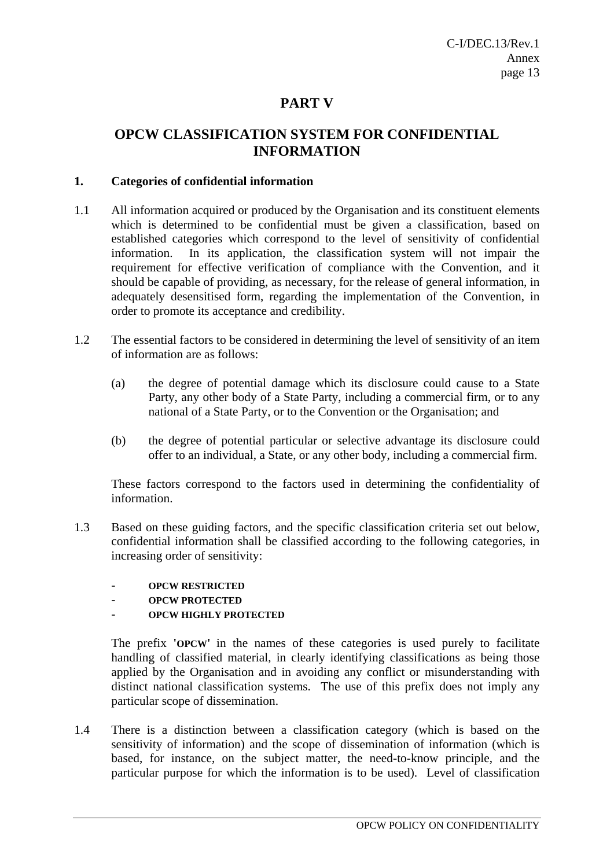## **PART V**

## **OPCW CLASSIFICATION SYSTEM FOR CONFIDENTIAL INFORMATION**

#### **1. Categories of confidential information**

- 1.1 All information acquired or produced by the Organisation and its constituent elements which is determined to be confidential must be given a classification, based on established categories which correspond to the level of sensitivity of confidential information. In its application, the classification system will not impair the requirement for effective verification of compliance with the Convention, and it should be capable of providing, as necessary, for the release of general information*,* in adequately desensitised form, regarding the implementation of the Convention, in order to promote its acceptance and credibility.
- 1.2 The essential factors to be considered in determining the level of sensitivity of an item of information are as follows:
	- (a) the degree of potential damage which its disclosure could cause to a State Party, any other body of a State Party, including a commercial firm, or to any national of a State Party, or to the Convention or the Organisation; and
	- (b) the degree of potential particular or selective advantage its disclosure could offer to an individual, a State, or any other body, including a commercial firm.

 These factors correspond to the factors used in determining the confidentiality of information.

- 1.3 Based on these guiding factors, and the specific classification criteria set out below, confidential information shall be classified according to the following categories, in increasing order of sensitivity:
	- **OPCW RESTRICTED**
	- **OPCW PROTECTED**
	- **OPCW HIGHLY PROTECTED**

 The prefix **'OPCW'** in the names of these categories is used purely to facilitate handling of classified material, in clearly identifying classifications as being those applied by the Organisation and in avoiding any conflict or misunderstanding with distinct national classification systems. The use of this prefix does not imply any particular scope of dissemination.

1.4 There is a distinction between a classification category (which is based on the sensitivity of information) and the scope of dissemination of information (which is based, for instance, on the subject matter, the need-to-know principle, and the particular purpose for which the information is to be used). Level of classification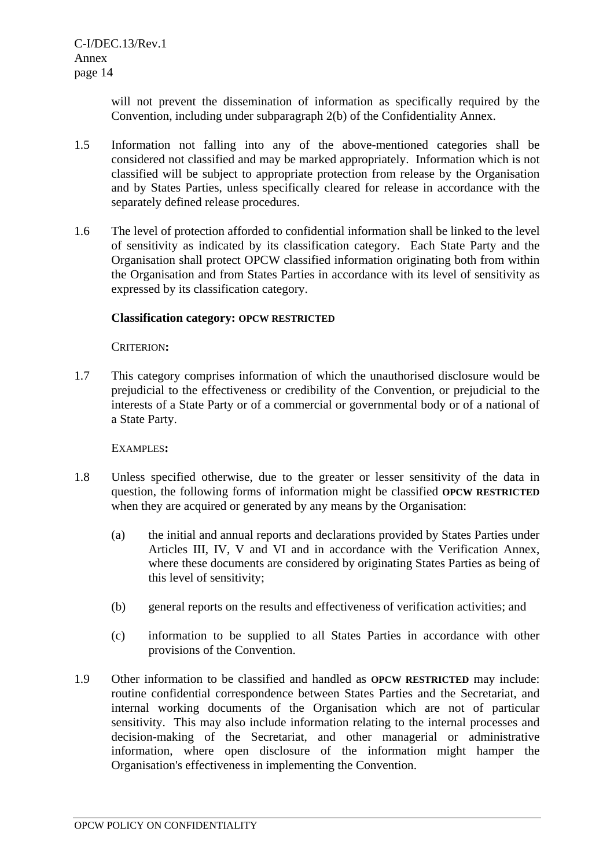will not prevent the dissemination of information as specifically required by the Convention, including under subparagraph 2(b) of the Confidentiality Annex.

- 1.5 Information not falling into any of the above-mentioned categories shall be considered not classified and may be marked appropriately. Information which is not classified will be subject to appropriate protection from release by the Organisation and by States Parties, unless specifically cleared for release in accordance with the separately defined release procedures.
- 1.6 The level of protection afforded to confidential information shall be linked to the level of sensitivity as indicated by its classification category. Each State Party and the Organisation shall protect OPCW classified information originating both from within the Organisation and from States Parties in accordance with its level of sensitivity as expressed by its classification category.

#### **Classification category: OPCW RESTRICTED**

### CRITERION**:**

1.7 This category comprises information of which the unauthorised disclosure would be prejudicial to the effectiveness or credibility of the Convention, or prejudicial to the interests of a State Party or of a commercial or governmental body or of a national of a State Party.

#### EXAMPLES**:**

- 1.8 Unless specified otherwise, due to the greater or lesser sensitivity of the data in question, the following forms of information might be classified **OPCW RESTRICTED**  when they are acquired or generated by any means by the Organisation:
	- (a) the initial and annual reports and declarations provided by States Parties under Articles III, IV, V and VI and in accordance with the Verification Annex, where these documents are considered by originating States Parties as being of this level of sensitivity;
	- (b) general reports on the results and effectiveness of verification activities; and
	- (c) information to be supplied to all States Parties in accordance with other provisions of the Convention.
- 1.9 Other information to be classified and handled as **OPCW RESTRICTED** may include: routine confidential correspondence between States Parties and the Secretariat, and internal working documents of the Organisation which are not of particular sensitivity. This may also include information relating to the internal processes and decision-making of the Secretariat, and other managerial or administrative information, where open disclosure of the information might hamper the Organisation's effectiveness in implementing the Convention.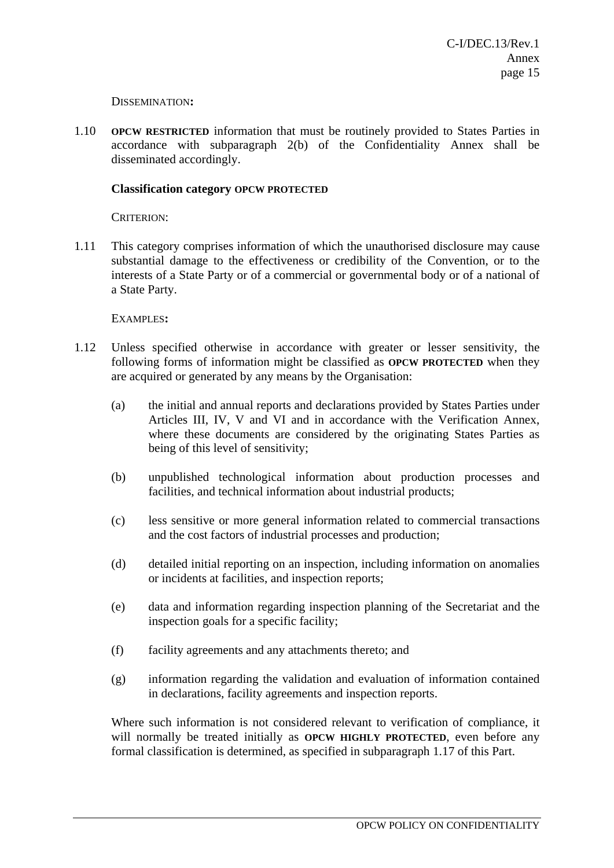#### DISSEMINATION**:**

1.10 **OPCW RESTRICTED** information that must be routinely provided to States Parties in accordance with subparagraph 2(b) of the Confidentiality Annex shall be disseminated accordingly.

#### **Classification category OPCW PROTECTED**

CRITERION:

1.11 This category comprises information of which the unauthorised disclosure may cause substantial damage to the effectiveness or credibility of the Convention, or to the interests of a State Party or of a commercial or governmental body or of a national of a State Party.

#### EXAMPLES**:**

- 1.12 Unless specified otherwise in accordance with greater or lesser sensitivity, the following forms of information might be classified as **OPCW PROTECTED** when they are acquired or generated by any means by the Organisation:
	- (a) the initial and annual reports and declarations provided by States Parties under Articles III, IV, V and VI and in accordance with the Verification Annex, where these documents are considered by the originating States Parties as being of this level of sensitivity;
	- (b) unpublished technological information about production processes and facilities, and technical information about industrial products;
	- (c) less sensitive or more general information related to commercial transactions and the cost factors of industrial processes and production;
	- (d) detailed initial reporting on an inspection, including information on anomalies or incidents at facilities, and inspection reports;
	- (e) data and information regarding inspection planning of the Secretariat and the inspection goals for a specific facility;
	- (f) facility agreements and any attachments thereto; and
	- (g) information regarding the validation and evaluation of information contained in declarations, facility agreements and inspection reports.

 Where such information is not considered relevant to verification of compliance, it will normally be treated initially as **OPCW HIGHLY PROTECTED**, even before any formal classification is determined, as specified in subparagraph 1.17 of this Part.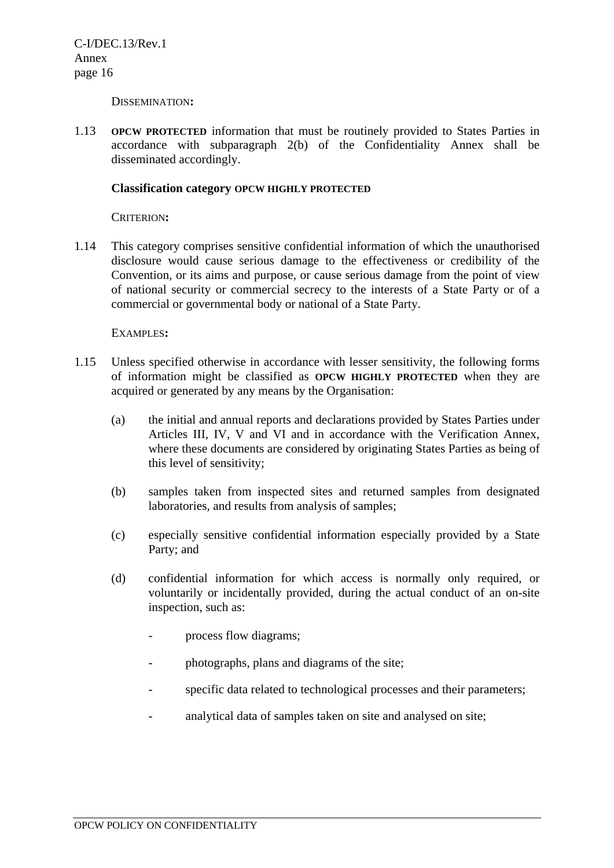#### DISSEMINATION**:**

1.13 **OPCW PROTECTED** information that must be routinely provided to States Parties in accordance with subparagraph 2(b) of the Confidentiality Annex shall be disseminated accordingly.

#### **Classification category OPCW HIGHLY PROTECTED**

CRITERION**:** 

1.14 This category comprises sensitive confidential information of which the unauthorised disclosure would cause serious damage to the effectiveness or credibility of the Convention, or its aims and purpose, or cause serious damage from the point of view of national security or commercial secrecy to the interests of a State Party or of a commercial or governmental body or national of a State Party.

#### EXAMPLES**:**

- 1.15 Unless specified otherwise in accordance with lesser sensitivity, the following forms of information might be classified as **OPCW HIGHLY PROTECTED** when they are acquired or generated by any means by the Organisation:
	- (a) the initial and annual reports and declarations provided by States Parties under Articles III, IV, V and VI and in accordance with the Verification Annex, where these documents are considered by originating States Parties as being of this level of sensitivity;
	- (b) samples taken from inspected sites and returned samples from designated laboratories, and results from analysis of samples;
	- (c) especially sensitive confidential information especially provided by a State Party; and
	- (d) confidential information for which access is normally only required, or voluntarily or incidentally provided, during the actual conduct of an on-site inspection, such as:
		- process flow diagrams;
		- photographs, plans and diagrams of the site;
		- specific data related to technological processes and their parameters;
		- analytical data of samples taken on site and analysed on site;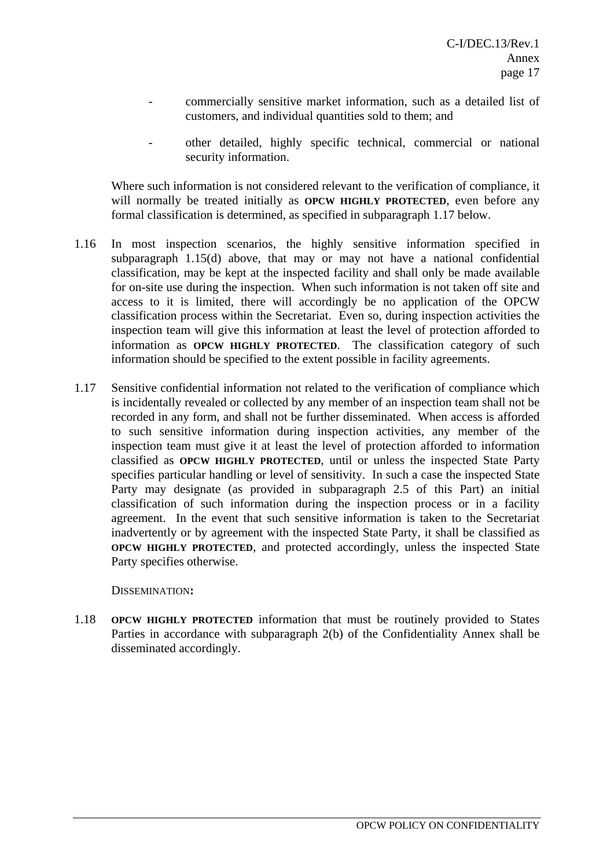- commercially sensitive market information, such as a detailed list of customers, and individual quantities sold to them; and
- other detailed, highly specific technical, commercial or national security information.

Where such information is not considered relevant to the verification of compliance, it will normally be treated initially as **OPCW HIGHLY PROTECTED**, even before any formal classification is determined, as specified in subparagraph 1.17 below.

- 1.16 In most inspection scenarios, the highly sensitive information specified in subparagraph 1.15(d) above, that may or may not have a national confidential classification, may be kept at the inspected facility and shall only be made available for on-site use during the inspection. When such information is not taken off site and access to it is limited, there will accordingly be no application of the OPCW classification process within the Secretariat. Even so, during inspection activities the inspection team will give this information at least the level of protection afforded to information as **OPCW HIGHLY PROTECTED**. The classification category of such information should be specified to the extent possible in facility agreements.
- 1.17 Sensitive confidential information not related to the verification of compliance which is incidentally revealed or collected by any member of an inspection team shall not be recorded in any form, and shall not be further disseminated. When access is afforded to such sensitive information during inspection activities, any member of the inspection team must give it at least the level of protection afforded to information classified as **OPCW HIGHLY PROTECTED**, until or unless the inspected State Party specifies particular handling or level of sensitivity. In such a case the inspected State Party may designate (as provided in subparagraph 2.5 of this Part) an initial classification of such information during the inspection process or in a facility agreement. In the event that such sensitive information is taken to the Secretariat inadvertently or by agreement with the inspected State Party, it shall be classified as **OPCW HIGHLY PROTECTED**, and protected accordingly, unless the inspected State Party specifies otherwise.

#### DISSEMINATION**:**

1.18 **OPCW HIGHLY PROTECTED** information that must be routinely provided to States Parties in accordance with subparagraph 2(b) of the Confidentiality Annex shall be disseminated accordingly.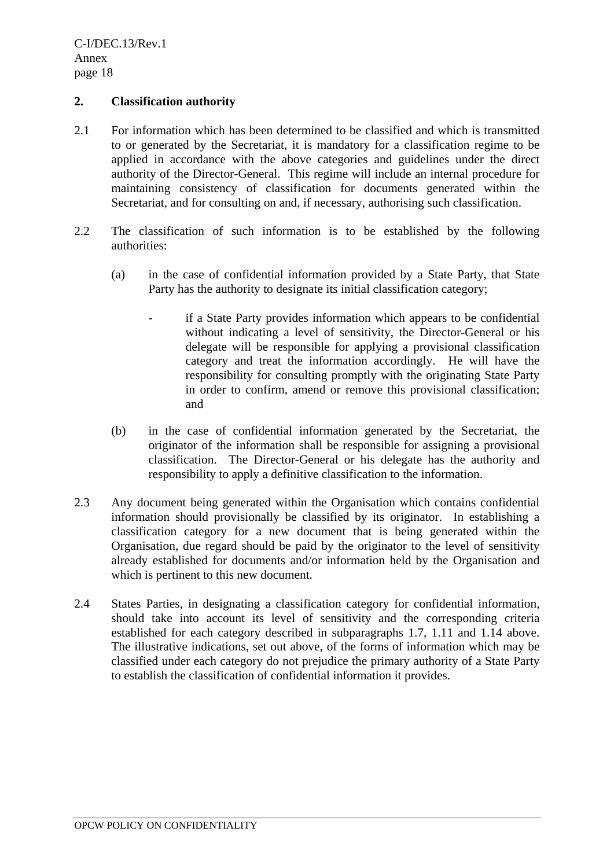## **2. Classification authority**

- 2.1 For information which has been determined to be classified and which is transmitted to or generated by the Secretariat, it is mandatory for a classification regime to be applied in accordance with the above categories and guidelines under the direct authority of the Director-General. This regime will include an internal procedure for maintaining consistency of classification for documents generated within the Secretariat, and for consulting on and, if necessary, authorising such classification.
- 2.2 The classification of such information is to be established by the following authorities:
	- (a) in the case of confidential information provided by a State Party, that State Party has the authority to designate its initial classification category;
		- if a State Party provides information which appears to be confidential without indicating a level of sensitivity, the Director-General or his delegate will be responsible for applying a provisional classification category and treat the information accordingly. He will have the responsibility for consulting promptly with the originating State Party in order to confirm, amend or remove this provisional classification; and
	- (b) in the case of confidential information generated by the Secretariat, the originator of the information shall be responsible for assigning a provisional classification. The Director-General or his delegate has the authority and responsibility to apply a definitive classification to the information.
- 2.3 Any document being generated within the Organisation which contains confidential information should provisionally be classified by its originator. In establishing a classification category for a new document that is being generated within the Organisation, due regard should be paid by the originator to the level of sensitivity already established for documents and/or information held by the Organisation and which is pertinent to this new document.
- 2.4 States Parties, in designating a classification category for confidential information, should take into account its level of sensitivity and the corresponding criteria established for each category described in subparagraphs 1.7, 1.11 and 1.14 above. The illustrative indications, set out above, of the forms of information which may be classified under each category do not prejudice the primary authority of a State Party to establish the classification of confidential information it provides.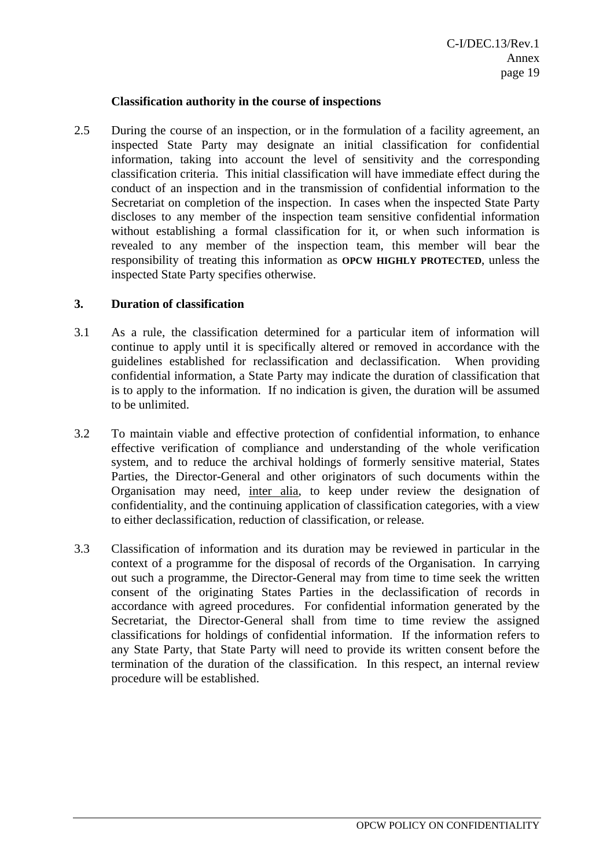## **Classification authority in the course of inspections**

2.5 During the course of an inspection, or in the formulation of a facility agreement, an inspected State Party may designate an initial classification for confidential information, taking into account the level of sensitivity and the corresponding classification criteria. This initial classification will have immediate effect during the conduct of an inspection and in the transmission of confidential information to the Secretariat on completion of the inspection. In cases when the inspected State Party discloses to any member of the inspection team sensitive confidential information without establishing a formal classification for it, or when such information is revealed to any member of the inspection team, this member will bear the responsibility of treating this information as **OPCW HIGHLY PROTECTED**, unless the inspected State Party specifies otherwise.

### **3. Duration of classification**

- 3.1 As a rule, the classification determined for a particular item of information will continue to apply until it is specifically altered or removed in accordance with the guidelines established for reclassification and declassification. When providing confidential information, a State Party may indicate the duration of classification that is to apply to the information. If no indication is given, the duration will be assumed to be unlimited.
- 3.2 To maintain viable and effective protection of confidential information, to enhance effective verification of compliance and understanding of the whole verification system, and to reduce the archival holdings of formerly sensitive material, States Parties, the Director-General and other originators of such documents within the Organisation may need, inter alia, to keep under review the designation of confidentiality, and the continuing application of classification categories, with a view to either declassification, reduction of classification, or release*.*
- 3.3 Classification of information and its duration may be reviewed in particular in the context of a programme for the disposal of records of the Organisation. In carrying out such a programme, the Director-General may from time to time seek the written consent of the originating States Parties in the declassification of records in accordance with agreed procedures. For confidential information generated by the Secretariat, the Director-General shall from time to time review the assigned classifications for holdings of confidential information. If the information refers to any State Party, that State Party will need to provide its written consent before the termination of the duration of the classification. In this respect, an internal review procedure will be established.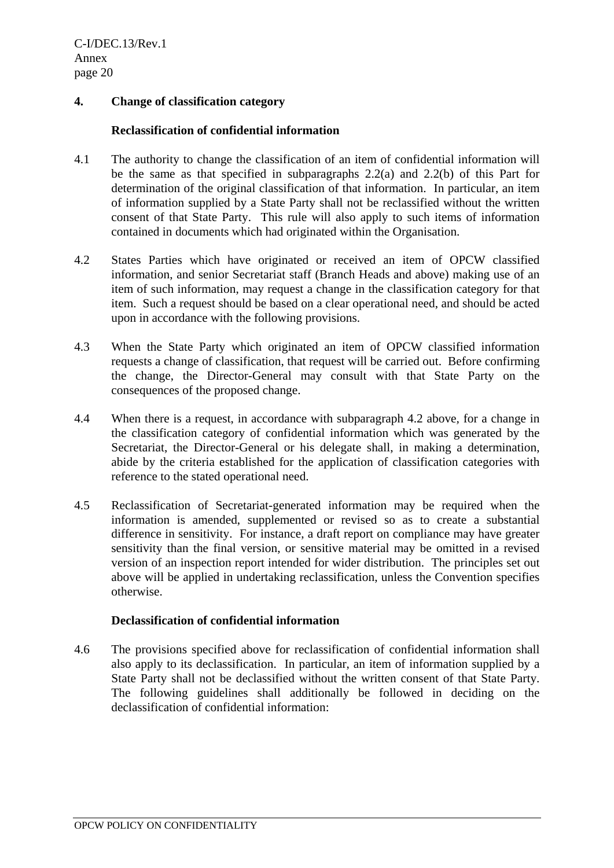### **4. Change of classification category**

### **Reclassification of confidential information**

- 4.1 The authority to change the classification of an item of confidential information will be the same as that specified in subparagraphs 2.2(a) and 2.2(b) of this Part for determination of the original classification of that information. In particular, an item of information supplied by a State Party shall not be reclassified without the written consent of that State Party. This rule will also apply to such items of information contained in documents which had originated within the Organisation.
- 4.2 States Parties which have originated or received an item of OPCW classified information, and senior Secretariat staff (Branch Heads and above) making use of an item of such information, may request a change in the classification category for that item. Such a request should be based on a clear operational need, and should be acted upon in accordance with the following provisions.
- 4.3 When the State Party which originated an item of OPCW classified information requests a change of classification, that request will be carried out. Before confirming the change, the Director-General may consult with that State Party on the consequences of the proposed change.
- 4.4 When there is a request, in accordance with subparagraph 4.2 above*,* for a change in the classification category of confidential information which was generated by the Secretariat, the Director-General or his delegate shall, in making a determination, abide by the criteria established for the application of classification categories with reference to the stated operational need.
- 4.5 Reclassification of Secretariat-generated information may be required when the information is amended, supplemented or revised so as to create a substantial difference in sensitivity. For instance, a draft report on compliance may have greater sensitivity than the final version, or sensitive material may be omitted in a revised version of an inspection report intended for wider distribution. The principles set out above will be applied in undertaking reclassification, unless the Convention specifies otherwise.

## **Declassification of confidential information**

4.6 The provisions specified above for reclassification of confidential information shall also apply to its declassification. In particular, an item of information supplied by a State Party shall not be declassified without the written consent of that State Party. The following guidelines shall additionally be followed in deciding on the declassification of confidential information: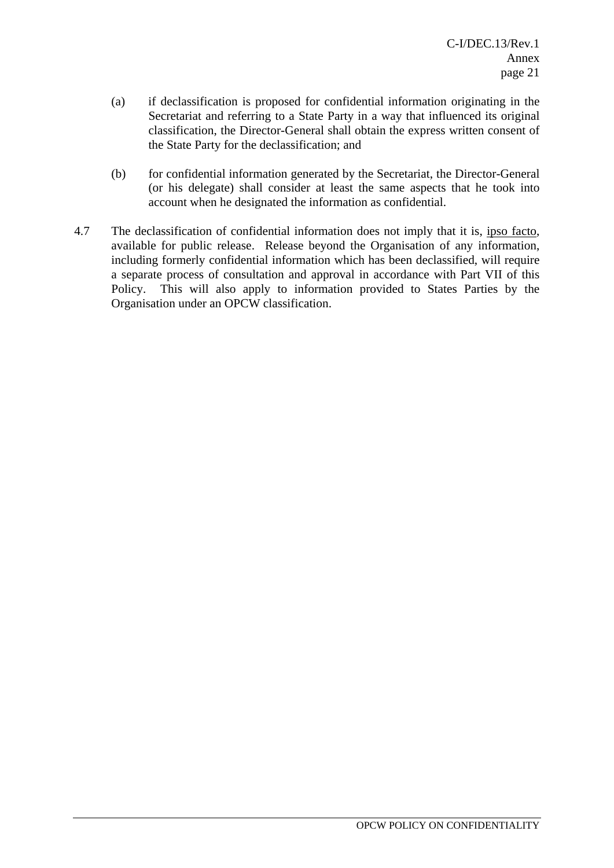- (a) if declassification is proposed for confidential information originating in the Secretariat and referring to a State Party in a way that influenced its original classification, the Director-General shall obtain the express written consent of the State Party for the declassification; and
- (b) for confidential information generated by the Secretariat, the Director-General (or his delegate) shall consider at least the same aspects that he took into account when he designated the information as confidential.
- 4.7 The declassification of confidential information does not imply that it is, ipso facto, available for public release. Release beyond the Organisation of any information, including formerly confidential information which has been declassified, will require a separate process of consultation and approval in accordance with Part VII of this Policy. This will also apply to information provided to States Parties by the Organisation under an OPCW classification.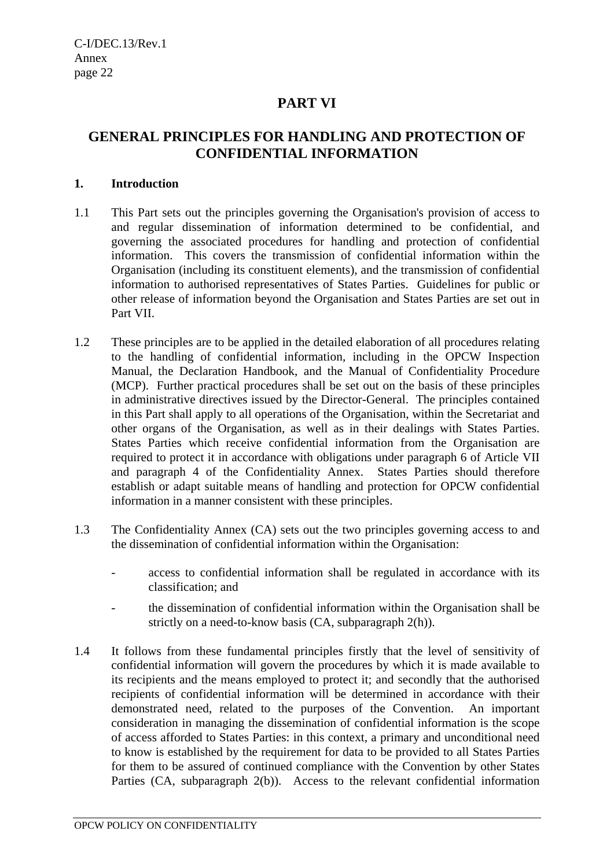## **PART VI**

## **GENERAL PRINCIPLES FOR HANDLING AND PROTECTION OF CONFIDENTIAL INFORMATION**

### **1. Introduction**

- 1.1 This Part sets out the principles governing the Organisation's provision of access to and regular dissemination of information determined to be confidential, and governing the associated procedures for handling and protection of confidential information. This covers the transmission of confidential information within the Organisation (including its constituent elements), and the transmission of confidential information to authorised representatives of States Parties. Guidelines for public or other release of information beyond the Organisation and States Parties are set out in Part VII.
- 1.2 These principles are to be applied in the detailed elaboration of all procedures relating to the handling of confidential information, including in the OPCW Inspection Manual, the Declaration Handbook, and the Manual of Confidentiality Procedure (MCP). Further practical procedures shall be set out on the basis of these principles in administrative directives issued by the Director-General. The principles contained in this Part shall apply to all operations of the Organisation, within the Secretariat and other organs of the Organisation, as well as in their dealings with States Parties. States Parties which receive confidential information from the Organisation are required to protect it in accordance with obligations under paragraph 6 of Article VII and paragraph 4 of the Confidentiality Annex. States Parties should therefore establish or adapt suitable means of handling and protection for OPCW confidential information in a manner consistent with these principles.
- 1.3 The Confidentiality Annex (CA) sets out the two principles governing access to and the dissemination of confidential information within the Organisation:
	- access to confidential information shall be regulated in accordance with its classification; and
	- the dissemination of confidential information within the Organisation shall be strictly on a need-to-know basis (CA, subparagraph 2(h)).
- 1.4 It follows from these fundamental principles firstly that the level of sensitivity of confidential information will govern the procedures by which it is made available to its recipients and the means employed to protect it; and secondly that the authorised recipients of confidential information will be determined in accordance with their demonstrated need, related to the purposes of the Convention. An important consideration in managing the dissemination of confidential information is the scope of access afforded to States Parties: in this context, a primary and unconditional need to know is established by the requirement for data to be provided to all States Parties for them to be assured of continued compliance with the Convention by other States Parties (CA, subparagraph 2(b)). Access to the relevant confidential information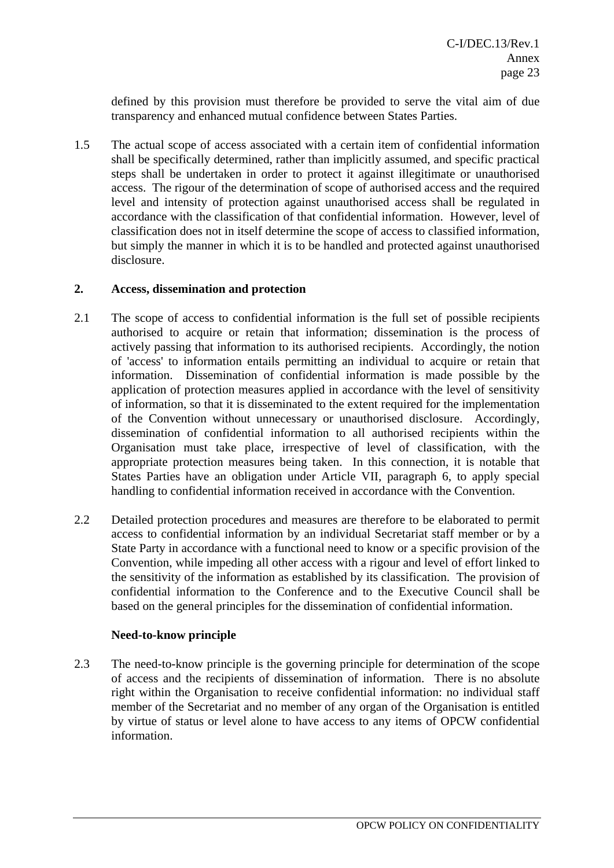defined by this provision must therefore be provided to serve the vital aim of due transparency and enhanced mutual confidence between States Parties.

1.5 The actual scope of access associated with a certain item of confidential information shall be specifically determined, rather than implicitly assumed, and specific practical steps shall be undertaken in order to protect it against illegitimate or unauthorised access. The rigour of the determination of scope of authorised access and the required level and intensity of protection against unauthorised access shall be regulated in accordance with the classification of that confidential information. However, level of classification does not in itself determine the scope of access to classified information, but simply the manner in which it is to be handled and protected against unauthorised disclosure.

## **2. Access, dissemination and protection**

- 2.1 The scope of access to confidential information is the full set of possible recipients authorised to acquire or retain that information; dissemination is the process of actively passing that information to its authorised recipients. Accordingly, the notion of 'access' to information entails permitting an individual to acquire or retain that information. Dissemination of confidential information is made possible by the application of protection measures applied in accordance with the level of sensitivity of information, so that it is disseminated to the extent required for the implementation of the Convention without unnecessary or unauthorised disclosure. Accordingly, dissemination of confidential information to all authorised recipients within the Organisation must take place, irrespective of level of classification, with the appropriate protection measures being taken. In this connection, it is notable that States Parties have an obligation under Article VII, paragraph 6, to apply special handling to confidential information received in accordance with the Convention.
- 2.2 Detailed protection procedures and measures are therefore to be elaborated to permit access to confidential information by an individual Secretariat staff member or by a State Party in accordance with a functional need to know or a specific provision of the Convention, while impeding all other access with a rigour and level of effort linked to the sensitivity of the information as established by its classification. The provision of confidential information to the Conference and to the Executive Council shall be based on the general principles for the dissemination of confidential information.

## **Need-to-know principle**

2.3 The need-to-know principle is the governing principle for determination of the scope of access and the recipients of dissemination of information. There is no absolute right within the Organisation to receive confidential information: no individual staff member of the Secretariat and no member of any organ of the Organisation is entitled by virtue of status or level alone to have access to any items of OPCW confidential information.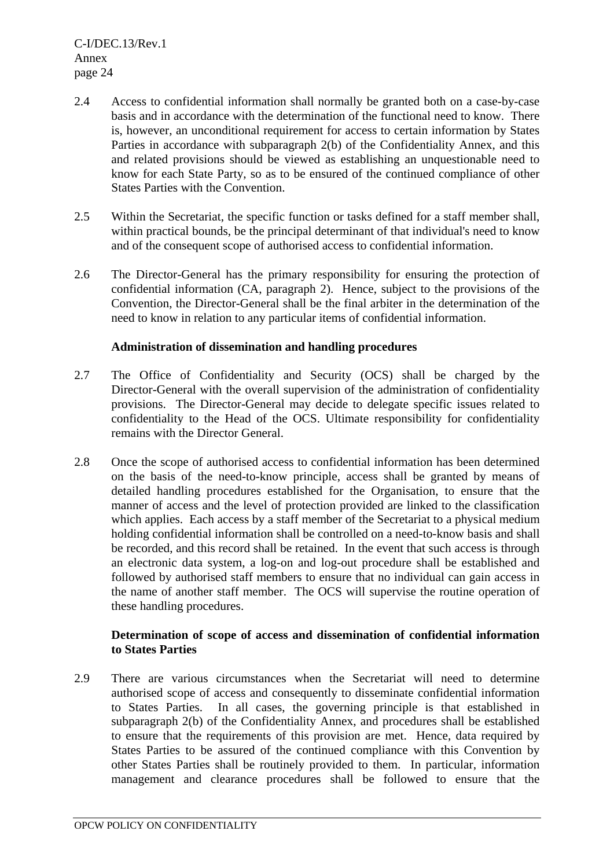C-I/DEC.13/Rev.1 Annex page 24

- 2.4 Access to confidential information shall normally be granted both on a case-by-case basis and in accordance with the determination of the functional need to know. There is, however, an unconditional requirement for access to certain information by States Parties in accordance with subparagraph 2(b) of the Confidentiality Annex, and this and related provisions should be viewed as establishing an unquestionable need to know for each State Party, so as to be ensured of the continued compliance of other States Parties with the Convention.
- 2.5 Within the Secretariat, the specific function or tasks defined for a staff member shall, within practical bounds, be the principal determinant of that individual's need to know and of the consequent scope of authorised access to confidential information.
- 2.6 The Director-General has the primary responsibility for ensuring the protection of confidential information (CA, paragraph 2). Hence, subject to the provisions of the Convention, the Director-General shall be the final arbiter in the determination of the need to know in relation to any particular items of confidential information.

#### **Administration of dissemination and handling procedures**

- 2.7 The Office of Confidentiality and Security (OCS) shall be charged by the Director-General with the overall supervision of the administration of confidentiality provisions. The Director-General may decide to delegate specific issues related to confidentiality to the Head of the OCS. Ultimate responsibility for confidentiality remains with the Director General.
- 2.8 Once the scope of authorised access to confidential information has been determined on the basis of the need-to-know principle, access shall be granted by means of detailed handling procedures established for the Organisation, to ensure that the manner of access and the level of protection provided are linked to the classification which applies. Each access by a staff member of the Secretariat to a physical medium holding confidential information shall be controlled on a need-to-know basis and shall be recorded, and this record shall be retained. In the event that such access is through an electronic data system, a log-on and log-out procedure shall be established and followed by authorised staff members to ensure that no individual can gain access in the name of another staff member. The OCS will supervise the routine operation of these handling procedures.

## **Determination of scope of access and dissemination of confidential information to States Parties**

2.9 There are various circumstances when the Secretariat will need to determine authorised scope of access and consequently to disseminate confidential information to States Parties. In all cases, the governing principle is that established in subparagraph 2(b) of the Confidentiality Annex, and procedures shall be established to ensure that the requirements of this provision are met. Hence, data required by States Parties to be assured of the continued compliance with this Convention by other States Parties shall be routinely provided to them. In particular, information management and clearance procedures shall be followed to ensure that the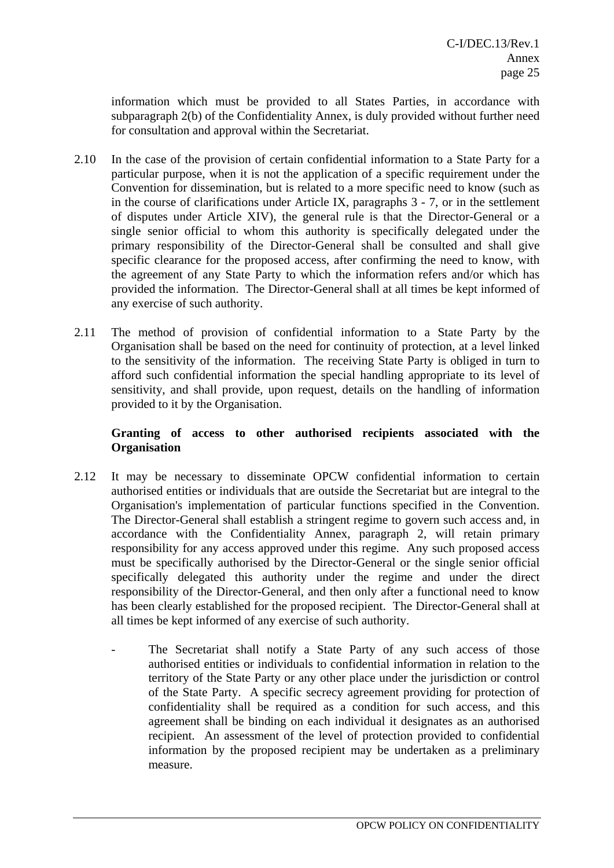information which must be provided to all States Parties, in accordance with subparagraph 2(b) of the Confidentiality Annex, is duly provided without further need for consultation and approval within the Secretariat.

- 2.10 In the case of the provision of certain confidential information to a State Party for a particular purpose, when it is not the application of a specific requirement under the Convention for dissemination, but is related to a more specific need to know (such as in the course of clarifications under Article IX, paragraphs 3 - 7, or in the settlement of disputes under Article XIV), the general rule is that the Director-General or a single senior official to whom this authority is specifically delegated under the primary responsibility of the Director-General shall be consulted and shall give specific clearance for the proposed access, after confirming the need to know, with the agreement of any State Party to which the information refers and/or which has provided the information. The Director-General shall at all times be kept informed of any exercise of such authority.
- 2.11 The method of provision of confidential information to a State Party by the Organisation shall be based on the need for continuity of protection, at a level linked to the sensitivity of the information. The receiving State Party is obliged in turn to afford such confidential information the special handling appropriate to its level of sensitivity, and shall provide, upon request, details on the handling of information provided to it by the Organisation.

## **Granting of access to other authorised recipients associated with the Organisation**

- 2.12 It may be necessary to disseminate OPCW confidential information to certain authorised entities or individuals that are outside the Secretariat but are integral to the Organisation's implementation of particular functions specified in the Convention. The Director-General shall establish a stringent regime to govern such access and, in accordance with the Confidentiality Annex, paragraph 2, will retain primary responsibility for any access approved under this regime. Any such proposed access must be specifically authorised by the Director-General or the single senior official specifically delegated this authority under the regime and under the direct responsibility of the Director-General, and then only after a functional need to know has been clearly established for the proposed recipient. The Director-General shall at all times be kept informed of any exercise of such authority.
	- The Secretariat shall notify a State Party of any such access of those authorised entities or individuals to confidential information in relation to the territory of the State Party or any other place under the jurisdiction or control of the State Party. A specific secrecy agreement providing for protection of confidentiality shall be required as a condition for such access, and this agreement shall be binding on each individual it designates as an authorised recipient. An assessment of the level of protection provided to confidential information by the proposed recipient may be undertaken as a preliminary measure.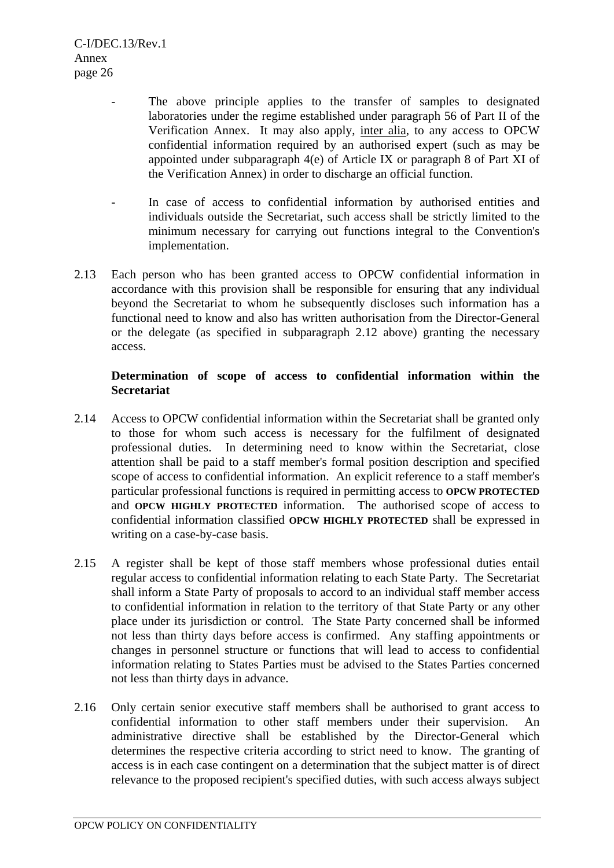C-I/DEC.13/Rev.1 Annex page 26

- The above principle applies to the transfer of samples to designated laboratories under the regime established under paragraph 56 of Part II of the Verification Annex. It may also apply, inter alia, to any access to OPCW confidential information required by an authorised expert (such as may be appointed under subparagraph 4(e) of Article IX or paragraph 8 of Part XI of the Verification Annex) in order to discharge an official function.
- In case of access to confidential information by authorised entities and individuals outside the Secretariat, such access shall be strictly limited to the minimum necessary for carrying out functions integral to the Convention's implementation.
- 2.13 Each person who has been granted access to OPCW confidential information in accordance with this provision shall be responsible for ensuring that any individual beyond the Secretariat to whom he subsequently discloses such information has a functional need to know and also has written authorisation from the Director-General or the delegate (as specified in subparagraph 2.12 above) granting the necessary access.

## **Determination of scope of access to confidential information within the Secretariat**

- 2.14 Access to OPCW confidential information within the Secretariat shall be granted only to those for whom such access is necessary for the fulfilment of designated professional duties. In determining need to know within the Secretariat, close attention shall be paid to a staff member's formal position description and specified scope of access to confidential information. An explicit reference to a staff member's particular professional functions is required in permitting access to **OPCW PROTECTED** and **OPCW HIGHLY PROTECTED** information. The authorised scope of access to confidential information classified **OPCW HIGHLY PROTECTED** shall be expressed in writing on a case-by-case basis.
- 2.15 A register shall be kept of those staff members whose professional duties entail regular access to confidential information relating to each State Party. The Secretariat shall inform a State Party of proposals to accord to an individual staff member access to confidential information in relation to the territory of that State Party or any other place under its jurisdiction or control. The State Party concerned shall be informed not less than thirty days before access is confirmed. Any staffing appointments or changes in personnel structure or functions that will lead to access to confidential information relating to States Parties must be advised to the States Parties concerned not less than thirty days in advance.
- 2.16 Only certain senior executive staff members shall be authorised to grant access to confidential information to other staff members under their supervision. An administrative directive shall be established by the Director-General which determines the respective criteria according to strict need to know. The granting of access is in each case contingent on a determination that the subject matter is of direct relevance to the proposed recipient's specified duties, with such access always subject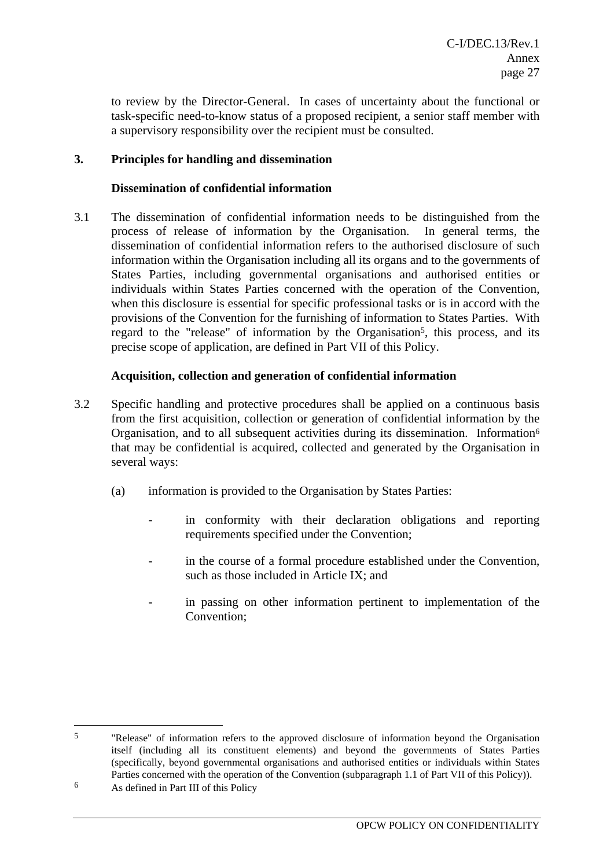to review by the Director-General. In cases of uncertainty about the functional or task-specific need-to-know status of a proposed recipient, a senior staff member with a supervisory responsibility over the recipient must be consulted.

## **3. Principles for handling and dissemination**

## **Dissemination of confidential information**

3.1 The dissemination of confidential information needs to be distinguished from the process of release of information by the Organisation. In general terms, the dissemination of confidential information refers to the authorised disclosure of such information within the Organisation including all its organs and to the governments of States Parties, including governmental organisations and authorised entities or individuals within States Parties concerned with the operation of the Convention, when this disclosure is essential for specific professional tasks or is in accord with the provisions of the Convention for the furnishing of information to States Parties. With regard to the "release" of information by the Organisation<sup>5</sup>, this process, and its precise scope of application, are defined in Part VII of this Policy.

## **Acquisition, collection and generation of confidential information**

- 3.2 Specific handling and protective procedures shall be applied on a continuous basis from the first acquisition, collection or generation of confidential information by the Organisation, and to all subsequent activities during its dissemination. Information6 that may be confidential is acquired, collected and generated by the Organisation in several ways:
	- (a) information is provided to the Organisation by States Parties:
		- in conformity with their declaration obligations and reporting requirements specified under the Convention;
		- in the course of a formal procedure established under the Convention, such as those included in Article IX; and
		- in passing on other information pertinent to implementation of the Convention;

1

<sup>5 &</sup>quot;Release" of information refers to the approved disclosure of information beyond the Organisation itself (including all its constituent elements) and beyond the governments of States Parties (specifically, beyond governmental organisations and authorised entities or individuals within States Parties concerned with the operation of the Convention (subparagraph 1.1 of Part VII of this Policy)).

<sup>6</sup> As defined in Part III of this Policy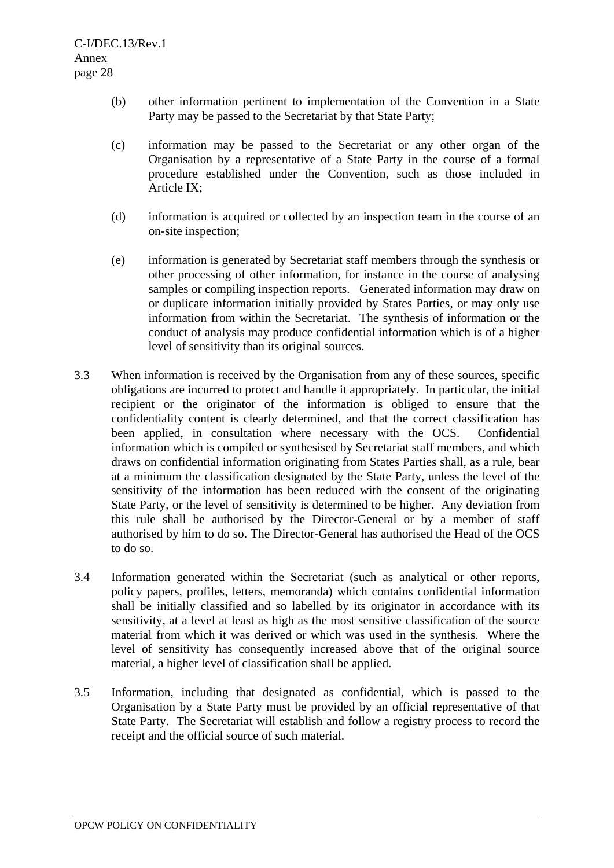- (b) other information pertinent to implementation of the Convention in a State Party may be passed to the Secretariat by that State Party;
- (c) information may be passed to the Secretariat or any other organ of the Organisation by a representative of a State Party in the course of a formal procedure established under the Convention, such as those included in Article IX;
- (d) information is acquired or collected by an inspection team in the course of an on-site inspection;
- (e) information is generated by Secretariat staff members through the synthesis or other processing of other information, for instance in the course of analysing samples or compiling inspection reports. Generated information may draw on or duplicate information initially provided by States Parties, or may only use information from within the Secretariat. The synthesis of information or the conduct of analysis may produce confidential information which is of a higher level of sensitivity than its original sources.
- 3.3 When information is received by the Organisation from any of these sources, specific obligations are incurred to protect and handle it appropriately. In particular, the initial recipient or the originator of the information is obliged to ensure that the confidentiality content is clearly determined, and that the correct classification has been applied, in consultation where necessary with the OCS. Confidential information which is compiled or synthesised by Secretariat staff members, and which draws on confidential information originating from States Parties shall, as a rule, bear at a minimum the classification designated by the State Party, unless the level of the sensitivity of the information has been reduced with the consent of the originating State Party, or the level of sensitivity is determined to be higher. Any deviation from this rule shall be authorised by the Director-General or by a member of staff authorised by him to do so. The Director-General has authorised the Head of the OCS to do so.
- 3.4 Information generated within the Secretariat (such as analytical or other reports, policy papers, profiles, letters, memoranda) which contains confidential information shall be initially classified and so labelled by its originator in accordance with its sensitivity, at a level at least as high as the most sensitive classification of the source material from which it was derived or which was used in the synthesis. Where the level of sensitivity has consequently increased above that of the original source material, a higher level of classification shall be applied.
- 3.5 Information, including that designated as confidential, which is passed to the Organisation by a State Party must be provided by an official representative of that State Party. The Secretariat will establish and follow a registry process to record the receipt and the official source of such material.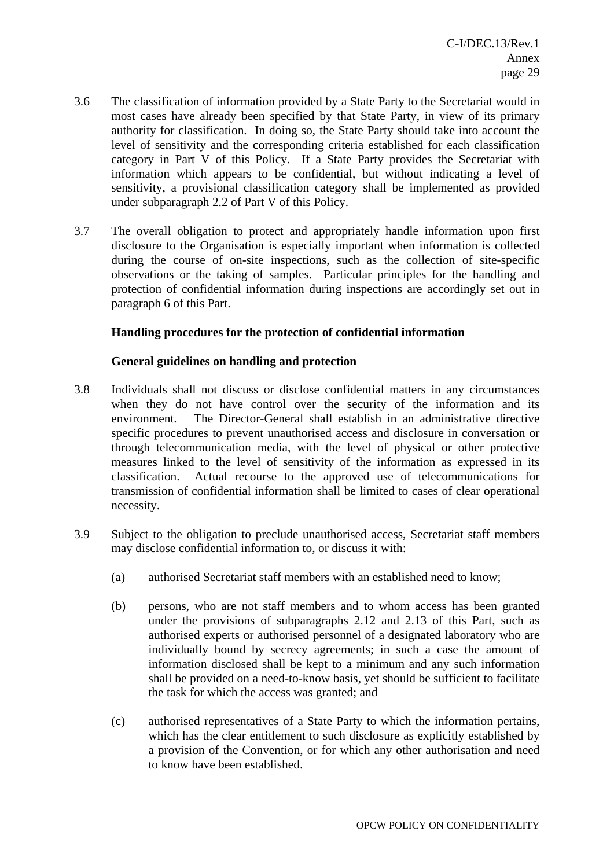- 3.6 The classification of information provided by a State Party to the Secretariat would in most cases have already been specified by that State Party, in view of its primary authority for classification. In doing so, the State Party should take into account the level of sensitivity and the corresponding criteria established for each classification category in Part V of this Policy. If a State Party provides the Secretariat with information which appears to be confidential, but without indicating a level of sensitivity, a provisional classification category shall be implemented as provided under subparagraph 2.2 of Part V of this Policy.
- 3.7 The overall obligation to protect and appropriately handle information upon first disclosure to the Organisation is especially important when information is collected during the course of on-site inspections, such as the collection of site-specific observations or the taking of samples. Particular principles for the handling and protection of confidential information during inspections are accordingly set out in paragraph 6 of this Part.

### **Handling procedures for the protection of confidential information**

#### **General guidelines on handling and protection**

- 3.8 Individuals shall not discuss or disclose confidential matters in any circumstances when they do not have control over the security of the information and its environment. The Director-General shall establish in an administrative directive specific procedures to prevent unauthorised access and disclosure in conversation or through telecommunication media, with the level of physical or other protective measures linked to the level of sensitivity of the information as expressed in its classification. Actual recourse to the approved use of telecommunications for transmission of confidential information shall be limited to cases of clear operational necessity.
- 3.9 Subject to the obligation to preclude unauthorised access, Secretariat staff members may disclose confidential information to, or discuss it with:
	- (a) authorised Secretariat staff members with an established need to know;
	- (b) persons, who are not staff members and to whom access has been granted under the provisions of subparagraphs 2.12 and 2.13 of this Part, such as authorised experts or authorised personnel of a designated laboratory who are individually bound by secrecy agreements; in such a case the amount of information disclosed shall be kept to a minimum and any such information shall be provided on a need-to-know basis, yet should be sufficient to facilitate the task for which the access was granted; and
	- (c) authorised representatives of a State Party to which the information pertains, which has the clear entitlement to such disclosure as explicitly established by a provision of the Convention, or for which any other authorisation and need to know have been established.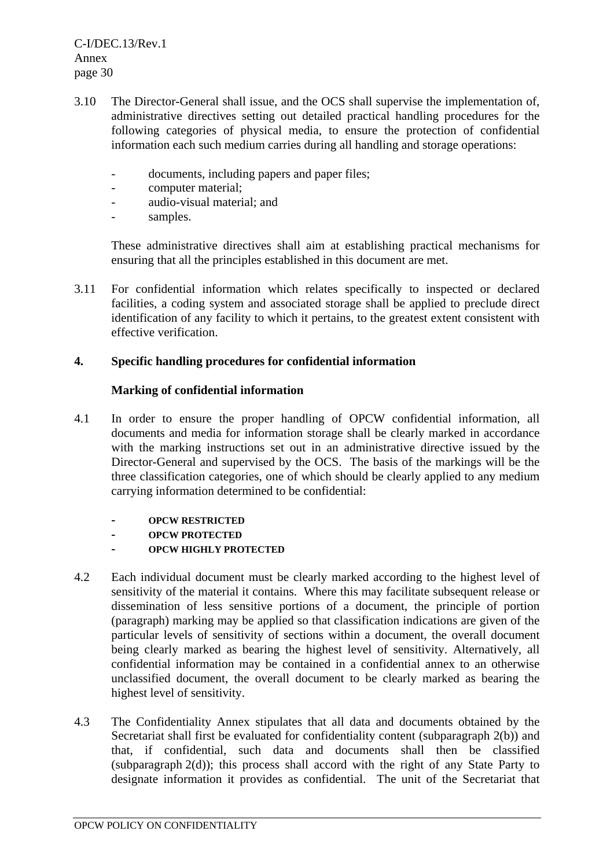C-I/DEC.13/Rev.1 Annex page 30

- 3.10 The Director-General shall issue, and the OCS shall supervise the implementation of, administrative directives setting out detailed practical handling procedures for the following categories of physical media, to ensure the protection of confidential information each such medium carries during all handling and storage operations:
	- documents, including papers and paper files;
	- computer material;
	- audio-visual material; and
	- samples.

 These administrative directives shall aim at establishing practical mechanisms for ensuring that all the principles established in this document are met.

3.11 For confidential information which relates specifically to inspected or declared facilities, a coding system and associated storage shall be applied to preclude direct identification of any facility to which it pertains, to the greatest extent consistent with effective verification.

## **4. Specific handling procedures for confidential information**

## **Marking of confidential information**

- 4.1 In order to ensure the proper handling of OPCW confidential information, all documents and media for information storage shall be clearly marked in accordance with the marking instructions set out in an administrative directive issued by the Director-General and supervised by the OCS. The basis of the markings will be the three classification categories, one of which should be clearly applied to any medium carrying information determined to be confidential:
	- **OPCW RESTRICTED**
	- **OPCW PROTECTED**
	- **OPCW HIGHLY PROTECTED**
- 4.2 Each individual document must be clearly marked according to the highest level of sensitivity of the material it contains. Where this may facilitate subsequent release or dissemination of less sensitive portions of a document, the principle of portion (paragraph) marking may be applied so that classification indications are given of the particular levels of sensitivity of sections within a document, the overall document being clearly marked as bearing the highest level of sensitivity. Alternatively, all confidential information may be contained in a confidential annex to an otherwise unclassified document, the overall document to be clearly marked as bearing the highest level of sensitivity.
- 4.3 The Confidentiality Annex stipulates that all data and documents obtained by the Secretariat shall first be evaluated for confidentiality content (subparagraph 2(b)) and that, if confidential, such data and documents shall then be classified (subparagraph 2(d)); this process shall accord with the right of any State Party to designate information it provides as confidential. The unit of the Secretariat that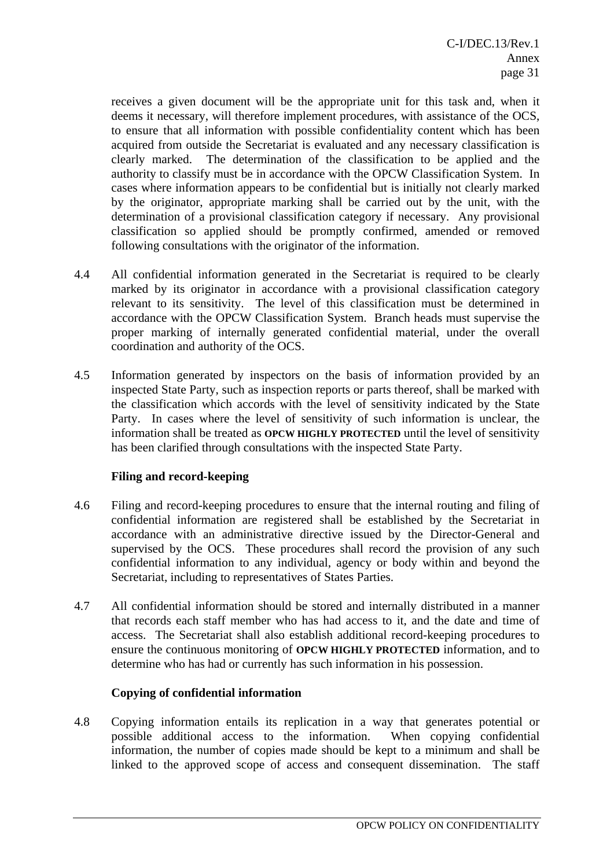receives a given document will be the appropriate unit for this task and, when it deems it necessary, will therefore implement procedures, with assistance of the OCS, to ensure that all information with possible confidentiality content which has been acquired from outside the Secretariat is evaluated and any necessary classification is clearly marked. The determination of the classification to be applied and the authority to classify must be in accordance with the OPCW Classification System. In cases where information appears to be confidential but is initially not clearly marked by the originator, appropriate marking shall be carried out by the unit, with the determination of a provisional classification category if necessary. Any provisional classification so applied should be promptly confirmed, amended or removed following consultations with the originator of the information.

- 4.4 All confidential information generated in the Secretariat is required to be clearly marked by its originator in accordance with a provisional classification category relevant to its sensitivity. The level of this classification must be determined in accordance with the OPCW Classification System. Branch heads must supervise the proper marking of internally generated confidential material, under the overall coordination and authority of the OCS.
- 4.5 Information generated by inspectors on the basis of information provided by an inspected State Party, such as inspection reports or parts thereof, shall be marked with the classification which accords with the level of sensitivity indicated by the State Party. In cases where the level of sensitivity of such information is unclear, the information shall be treated as **OPCW HIGHLY PROTECTED** until the level of sensitivity has been clarified through consultations with the inspected State Party.

#### **Filing and record-keeping**

- 4.6 Filing and record-keeping procedures to ensure that the internal routing and filing of confidential information are registered shall be established by the Secretariat in accordance with an administrative directive issued by the Director-General and supervised by the OCS. These procedures shall record the provision of any such confidential information to any individual, agency or body within and beyond the Secretariat, including to representatives of States Parties.
- 4.7 All confidential information should be stored and internally distributed in a manner that records each staff member who has had access to it, and the date and time of access. The Secretariat shall also establish additional record-keeping procedures to ensure the continuous monitoring of **OPCW HIGHLY PROTECTED** information, and to determine who has had or currently has such information in his possession.

## **Copying of confidential information**

4.8 Copying information entails its replication in a way that generates potential or possible additional access to the information. When copying confidential information, the number of copies made should be kept to a minimum and shall be linked to the approved scope of access and consequent dissemination. The staff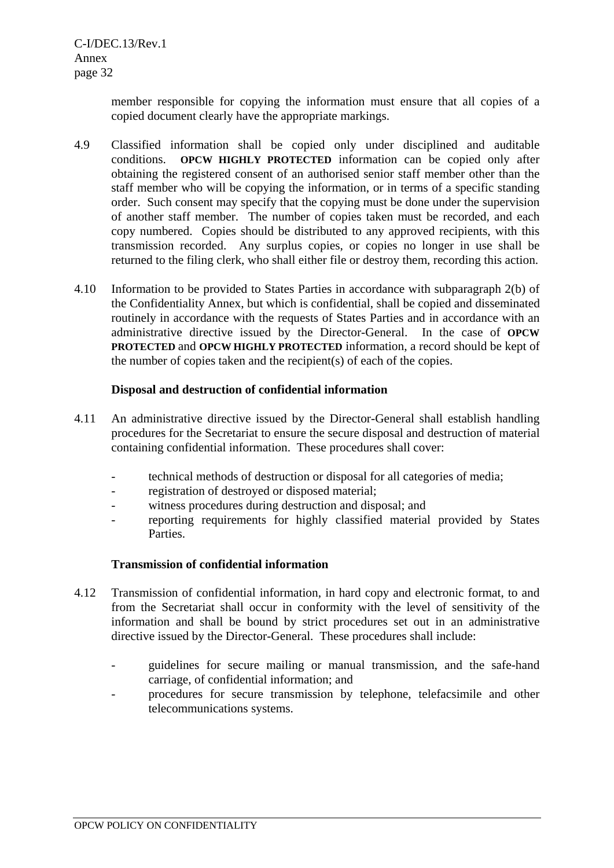C-I/DEC.13/Rev.1 Annex page 32

> member responsible for copying the information must ensure that all copies of a copied document clearly have the appropriate markings.

- 4.9 Classified information shall be copied only under disciplined and auditable conditions. **OPCW HIGHLY PROTECTED** information can be copied only after obtaining the registered consent of an authorised senior staff member other than the staff member who will be copying the information, or in terms of a specific standing order. Such consent may specify that the copying must be done under the supervision of another staff member. The number of copies taken must be recorded, and each copy numbered. Copies should be distributed to any approved recipients, with this transmission recorded. Any surplus copies, or copies no longer in use shall be returned to the filing clerk, who shall either file or destroy them, recording this action.
- 4.10 Information to be provided to States Parties in accordance with subparagraph 2(b) of the Confidentiality Annex, but which is confidential, shall be copied and disseminated routinely in accordance with the requests of States Parties and in accordance with an administrative directive issued by the Director-General. In the case of **OPCW PROTECTED** and **OPCW HIGHLY PROTECTED** information, a record should be kept of the number of copies taken and the recipient(s) of each of the copies.

#### **Disposal and destruction of confidential information**

- 4.11 An administrative directive issued by the Director-General shall establish handling procedures for the Secretariat to ensure the secure disposal and destruction of material containing confidential information. These procedures shall cover:
	- technical methods of destruction or disposal for all categories of media;
	- registration of destroyed or disposed material;
	- witness procedures during destruction and disposal; and
	- reporting requirements for highly classified material provided by States Parties.

## **Transmission of confidential information**

- 4.12 Transmission of confidential information, in hard copy and electronic format, to and from the Secretariat shall occur in conformity with the level of sensitivity of the information and shall be bound by strict procedures set out in an administrative directive issued by the Director-General. These procedures shall include:
	- guidelines for secure mailing or manual transmission, and the safe-hand carriage, of confidential information; and
	- procedures for secure transmission by telephone, telefacsimile and other telecommunications systems.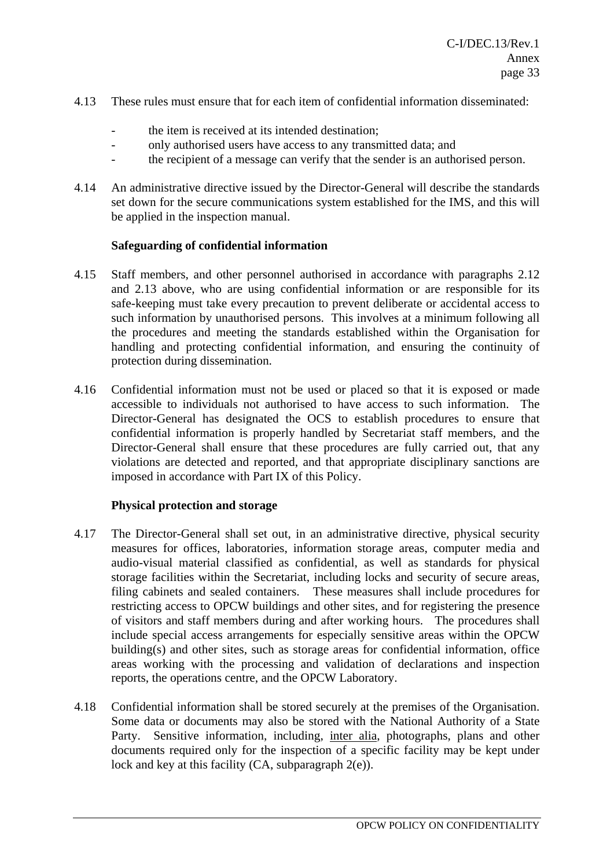- 4.13 These rules must ensure that for each item of confidential information disseminated:
	- the item is received at its intended destination;
	- only authorised users have access to any transmitted data; and
	- the recipient of a message can verify that the sender is an authorised person.
- 4.14 An administrative directive issued by the Director-General will describe the standards set down for the secure communications system established for the IMS, and this will be applied in the inspection manual.

### **Safeguarding of confidential information**

- 4.15 Staff members, and other personnel authorised in accordance with paragraphs 2.12 and 2.13 above, who are using confidential information or are responsible for its safe-keeping must take every precaution to prevent deliberate or accidental access to such information by unauthorised persons. This involves at a minimum following all the procedures and meeting the standards established within the Organisation for handling and protecting confidential information, and ensuring the continuity of protection during dissemination.
- 4.16 Confidential information must not be used or placed so that it is exposed or made accessible to individuals not authorised to have access to such information. The Director-General has designated the OCS to establish procedures to ensure that confidential information is properly handled by Secretariat staff members, and the Director-General shall ensure that these procedures are fully carried out, that any violations are detected and reported, and that appropriate disciplinary sanctions are imposed in accordance with Part IX of this Policy.

## **Physical protection and storage**

- 4.17 The Director-General shall set out, in an administrative directive, physical security measures for offices, laboratories, information storage areas, computer media and audio-visual material classified as confidential, as well as standards for physical storage facilities within the Secretariat, including locks and security of secure areas, filing cabinets and sealed containers. These measures shall include procedures for restricting access to OPCW buildings and other sites, and for registering the presence of visitors and staff members during and after working hours. The procedures shall include special access arrangements for especially sensitive areas within the OPCW building(s) and other sites, such as storage areas for confidential information, office areas working with the processing and validation of declarations and inspection reports, the operations centre, and the OPCW Laboratory.
- 4.18 Confidential information shall be stored securely at the premises of the Organisation. Some data or documents may also be stored with the National Authority of a State Party. Sensitive information, including, inter alia, photographs, plans and other documents required only for the inspection of a specific facility may be kept under lock and key at this facility (CA, subparagraph 2(e)).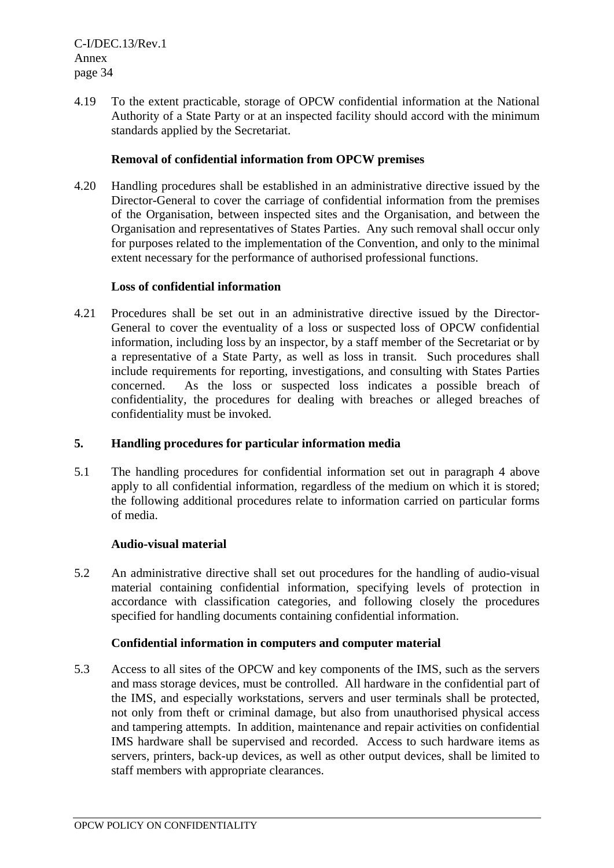4.19 To the extent practicable, storage of OPCW confidential information at the National Authority of a State Party or at an inspected facility should accord with the minimum standards applied by the Secretariat.

## **Removal of confidential information from OPCW premises**

4.20 Handling procedures shall be established in an administrative directive issued by the Director-General to cover the carriage of confidential information from the premises of the Organisation, between inspected sites and the Organisation, and between the Organisation and representatives of States Parties. Any such removal shall occur only for purposes related to the implementation of the Convention, and only to the minimal extent necessary for the performance of authorised professional functions.

### **Loss of confidential information**

4.21 Procedures shall be set out in an administrative directive issued by the Director-General to cover the eventuality of a loss or suspected loss of OPCW confidential information, including loss by an inspector, by a staff member of the Secretariat or by a representative of a State Party, as well as loss in transit. Such procedures shall include requirements for reporting, investigations, and consulting with States Parties concerned. As the loss or suspected loss indicates a possible breach of confidentiality, the procedures for dealing with breaches or alleged breaches of confidentiality must be invoked.

#### **5. Handling procedures for particular information media**

5.1 The handling procedures for confidential information set out in paragraph 4 above apply to all confidential information, regardless of the medium on which it is stored; the following additional procedures relate to information carried on particular forms of media.

#### **Audio-visual material**

5.2 An administrative directive shall set out procedures for the handling of audio-visual material containing confidential information, specifying levels of protection in accordance with classification categories, and following closely the procedures specified for handling documents containing confidential information.

## **Confidential information in computers and computer material**

5.3 Access to all sites of the OPCW and key components of the IMS, such as the servers and mass storage devices, must be controlled. All hardware in the confidential part of the IMS, and especially workstations, servers and user terminals shall be protected, not only from theft or criminal damage, but also from unauthorised physical access and tampering attempts. In addition, maintenance and repair activities on confidential IMS hardware shall be supervised and recorded. Access to such hardware items as servers, printers, back-up devices, as well as other output devices, shall be limited to staff members with appropriate clearances.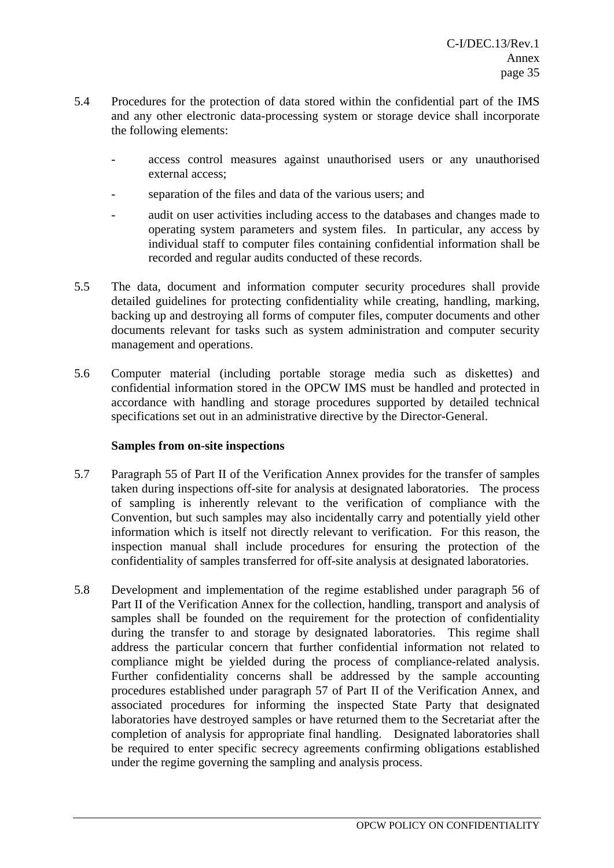- 5.4 Procedures for the protection of data stored within the confidential part of the IMS and any other electronic data-processing system or storage device shall incorporate the following elements:
	- access control measures against unauthorised users or any unauthorised external access;
	- separation of the files and data of the various users; and
	- audit on user activities including access to the databases and changes made to operating system parameters and system files. In particular, any access by individual staff to computer files containing confidential information shall be recorded and regular audits conducted of these records.
- 5.5 The data, document and information computer security procedures shall provide detailed guidelines for protecting confidentiality while creating, handling, marking, backing up and destroying all forms of computer files, computer documents and other documents relevant for tasks such as system administration and computer security management and operations.
- 5.6 Computer material (including portable storage media such as diskettes) and confidential information stored in the OPCW IMS must be handled and protected in accordance with handling and storage procedures supported by detailed technical specifications set out in an administrative directive by the Director-General.

## **Samples from on-site inspections**

- 5.7 Paragraph 55 of Part II of the Verification Annex provides for the transfer of samples taken during inspections off-site for analysis at designated laboratories. The process of sampling is inherently relevant to the verification of compliance with the Convention, but such samples may also incidentally carry and potentially yield other information which is itself not directly relevant to verification. For this reason, the inspection manual shall include procedures for ensuring the protection of the confidentiality of samples transferred for off-site analysis at designated laboratories.
- 5.8 Development and implementation of the regime established under paragraph 56 of Part II of the Verification Annex for the collection, handling, transport and analysis of samples shall be founded on the requirement for the protection of confidentiality during the transfer to and storage by designated laboratories. This regime shall address the particular concern that further confidential information not related to compliance might be yielded during the process of compliance-related analysis. Further confidentiality concerns shall be addressed by the sample accounting procedures established under paragraph 57 of Part II of the Verification Annex, and associated procedures for informing the inspected State Party that designated laboratories have destroyed samples or have returned them to the Secretariat after the completion of analysis for appropriate final handling. Designated laboratories shall be required to enter specific secrecy agreements confirming obligations established under the regime governing the sampling and analysis process.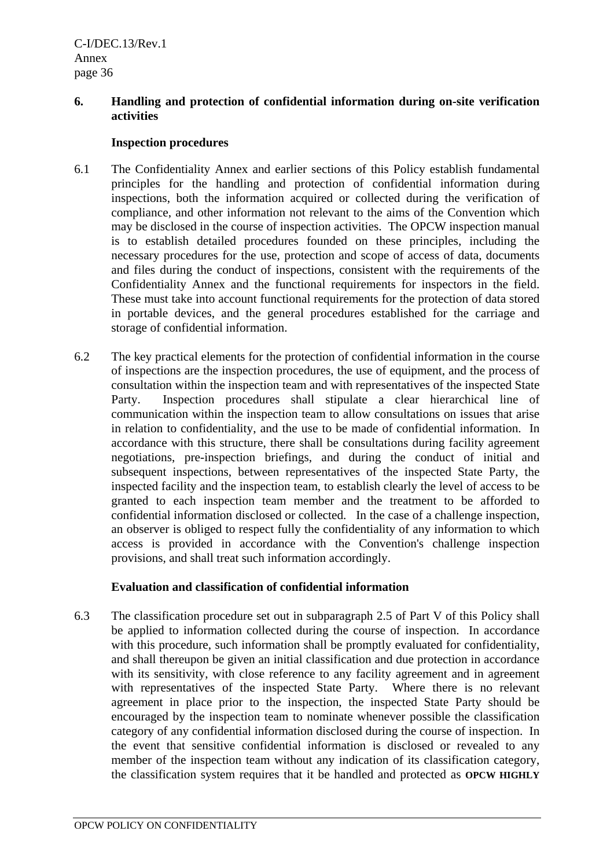## **6. Handling and protection of confidential information during on-site verification activities**

### **Inspection procedures**

- 6.1 The Confidentiality Annex and earlier sections of this Policy establish fundamental principles for the handling and protection of confidential information during inspections, both the information acquired or collected during the verification of compliance, and other information not relevant to the aims of the Convention which may be disclosed in the course of inspection activities. The OPCW inspection manual is to establish detailed procedures founded on these principles, including the necessary procedures for the use, protection and scope of access of data, documents and files during the conduct of inspections, consistent with the requirements of the Confidentiality Annex and the functional requirements for inspectors in the field. These must take into account functional requirements for the protection of data stored in portable devices, and the general procedures established for the carriage and storage of confidential information.
- 6.2 The key practical elements for the protection of confidential information in the course of inspections are the inspection procedures, the use of equipment, and the process of consultation within the inspection team and with representatives of the inspected State Party. Inspection procedures shall stipulate a clear hierarchical line of communication within the inspection team to allow consultations on issues that arise in relation to confidentiality, and the use to be made of confidential information. In accordance with this structure, there shall be consultations during facility agreement negotiations, pre-inspection briefings, and during the conduct of initial and subsequent inspections, between representatives of the inspected State Party, the inspected facility and the inspection team, to establish clearly the level of access to be granted to each inspection team member and the treatment to be afforded to confidential information disclosed or collected. In the case of a challenge inspection, an observer is obliged to respect fully the confidentiality of any information to which access is provided in accordance with the Convention's challenge inspection provisions, and shall treat such information accordingly.

## **Evaluation and classification of confidential information**

6.3 The classification procedure set out in subparagraph 2.5 of Part V of this Policy shall be applied to information collected during the course of inspection. In accordance with this procedure, such information shall be promptly evaluated for confidentiality, and shall thereupon be given an initial classification and due protection in accordance with its sensitivity, with close reference to any facility agreement and in agreement with representatives of the inspected State Party. Where there is no relevant agreement in place prior to the inspection, the inspected State Party should be encouraged by the inspection team to nominate whenever possible the classification category of any confidential information disclosed during the course of inspection. In the event that sensitive confidential information is disclosed or revealed to any member of the inspection team without any indication of its classification category, the classification system requires that it be handled and protected as **OPCW HIGHLY**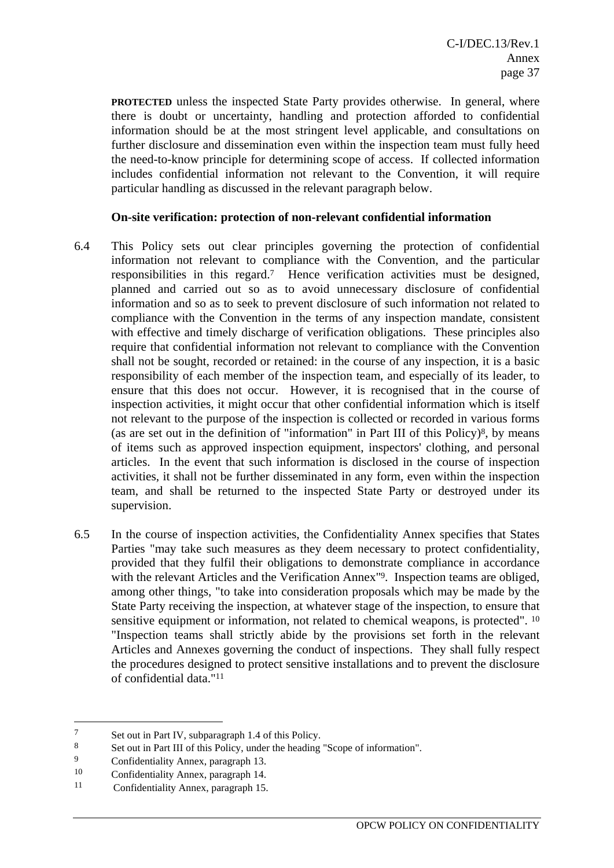**PROTECTED** unless the inspected State Party provides otherwise. In general, where there is doubt or uncertainty, handling and protection afforded to confidential information should be at the most stringent level applicable, and consultations on further disclosure and dissemination even within the inspection team must fully heed the need-to-know principle for determining scope of access. If collected information includes confidential information not relevant to the Convention, it will require particular handling as discussed in the relevant paragraph below.

## **On-site verification: protection of non-relevant confidential information**

- 6.4 This Policy sets out clear principles governing the protection of confidential information not relevant to compliance with the Convention, and the particular responsibilities in this regard.7 Hence verification activities must be designed, planned and carried out so as to avoid unnecessary disclosure of confidential information and so as to seek to prevent disclosure of such information not related to compliance with the Convention in the terms of any inspection mandate, consistent with effective and timely discharge of verification obligations. These principles also require that confidential information not relevant to compliance with the Convention shall not be sought, recorded or retained: in the course of any inspection, it is a basic responsibility of each member of the inspection team, and especially of its leader, to ensure that this does not occur. However, it is recognised that in the course of inspection activities, it might occur that other confidential information which is itself not relevant to the purpose of the inspection is collected or recorded in various forms (as are set out in the definition of "information" in Part III of this Policy) $8$ , by means of items such as approved inspection equipment, inspectors' clothing, and personal articles. In the event that such information is disclosed in the course of inspection activities, it shall not be further disseminated in any form, even within the inspection team, and shall be returned to the inspected State Party or destroyed under its supervision.
- 6.5 In the course of inspection activities, the Confidentiality Annex specifies that States Parties "may take such measures as they deem necessary to protect confidentiality, provided that they fulfil their obligations to demonstrate compliance in accordance with the relevant Articles and the Verification Annex<sup>"9</sup>. Inspection teams are obliged, among other things, "to take into consideration proposals which may be made by the State Party receiving the inspection, at whatever stage of the inspection, to ensure that sensitive equipment or information, not related to chemical weapons, is protected". <sup>10</sup> "Inspection teams shall strictly abide by the provisions set forth in the relevant Articles and Annexes governing the conduct of inspections. They shall fully respect the procedures designed to protect sensitive installations and to prevent the disclosure of confidential data."11

1

<sup>7</sup> Set out in Part IV, subparagraph 1.4 of this Policy.

<sup>8</sup> Set out in Part III of this Policy, under the heading "Scope of information".

<sup>9</sup> Confidentiality Annex, paragraph 13.<br> $\frac{10}{2}$  Confidentiality Annex, paragraph 14.

<sup>10</sup> Confidentiality Annex, paragraph 14.<br>11 Confidentiality Annex, paragraph 15.

Confidentiality Annex, paragraph 15.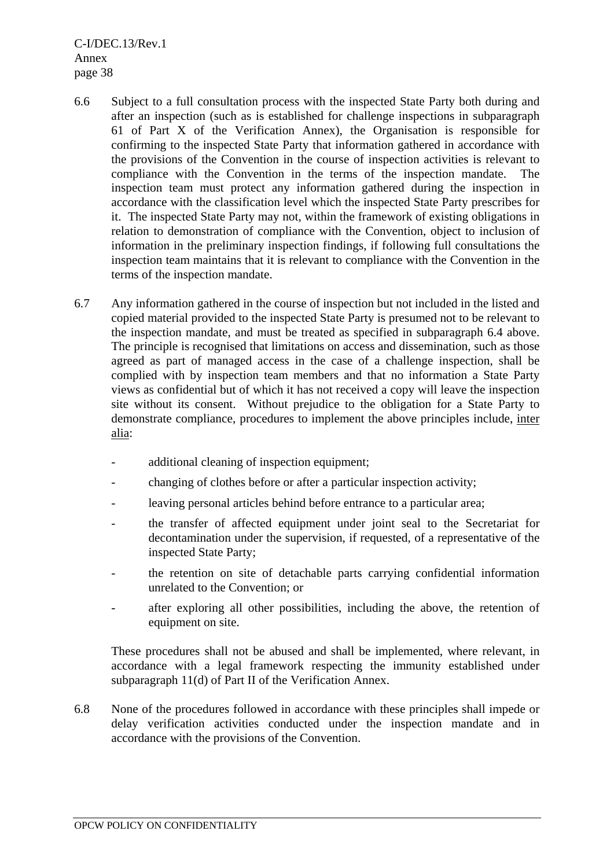C-I/DEC.13/Rev.1 Annex page 38

- 6.6 Subject to a full consultation process with the inspected State Party both during and after an inspection (such as is established for challenge inspections in subparagraph 61 of Part X of the Verification Annex), the Organisation is responsible for confirming to the inspected State Party that information gathered in accordance with the provisions of the Convention in the course of inspection activities is relevant to compliance with the Convention in the terms of the inspection mandate. The inspection team must protect any information gathered during the inspection in accordance with the classification level which the inspected State Party prescribes for it. The inspected State Party may not, within the framework of existing obligations in relation to demonstration of compliance with the Convention, object to inclusion of information in the preliminary inspection findings, if following full consultations the inspection team maintains that it is relevant to compliance with the Convention in the terms of the inspection mandate.
- 6.7 Any information gathered in the course of inspection but not included in the listed and copied material provided to the inspected State Party is presumed not to be relevant to the inspection mandate, and must be treated as specified in subparagraph 6.4 above. The principle is recognised that limitations on access and dissemination, such as those agreed as part of managed access in the case of a challenge inspection, shall be complied with by inspection team members and that no information a State Party views as confidential but of which it has not received a copy will leave the inspection site without its consent. Without prejudice to the obligation for a State Party to demonstrate compliance, procedures to implement the above principles include, inter alia:
	- additional cleaning of inspection equipment;
	- changing of clothes before or after a particular inspection activity;
	- leaving personal articles behind before entrance to a particular area;
	- the transfer of affected equipment under joint seal to the Secretariat for decontamination under the supervision, if requested, of a representative of the inspected State Party;
	- the retention on site of detachable parts carrying confidential information unrelated to the Convention; or
	- after exploring all other possibilities, including the above, the retention of equipment on site.

 These procedures shall not be abused and shall be implemented, where relevant, in accordance with a legal framework respecting the immunity established under subparagraph 11(d) of Part II of the Verification Annex.

6.8 None of the procedures followed in accordance with these principles shall impede or delay verification activities conducted under the inspection mandate and in accordance with the provisions of the Convention.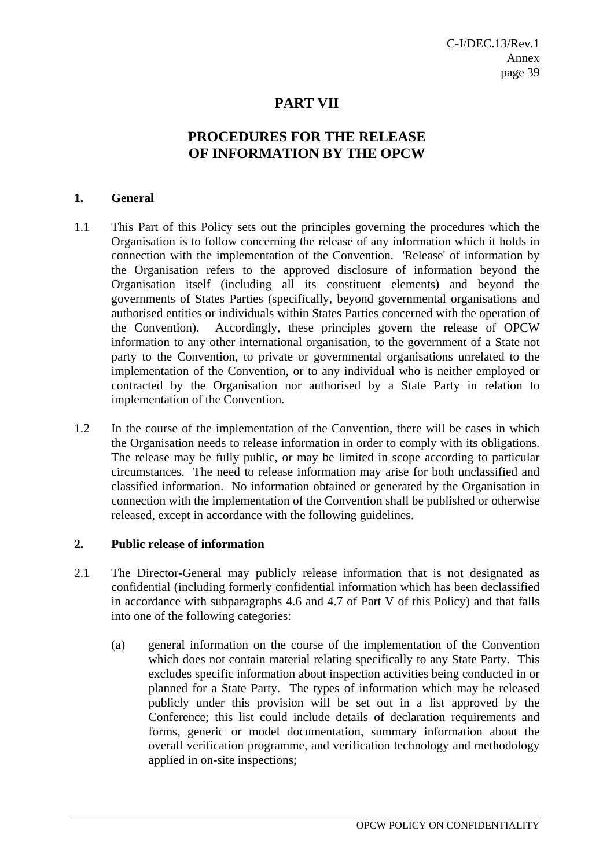## **PART VII**

## **PROCEDURES FOR THE RELEASE OF INFORMATION BY THE OPCW**

### **1. General**

- 1.1 This Part of this Policy sets out the principles governing the procedures which the Organisation is to follow concerning the release of any information which it holds in connection with the implementation of the Convention. 'Release' of information by the Organisation refers to the approved disclosure of information beyond the Organisation itself (including all its constituent elements) and beyond the governments of States Parties (specifically, beyond governmental organisations and authorised entities or individuals within States Parties concerned with the operation of the Convention). Accordingly, these principles govern the release of OPCW information to any other international organisation, to the government of a State not party to the Convention, to private or governmental organisations unrelated to the implementation of the Convention, or to any individual who is neither employed or contracted by the Organisation nor authorised by a State Party in relation to implementation of the Convention.
- 1.2 In the course of the implementation of the Convention, there will be cases in which the Organisation needs to release information in order to comply with its obligations. The release may be fully public, or may be limited in scope according to particular circumstances. The need to release information may arise for both unclassified and classified information. No information obtained or generated by the Organisation in connection with the implementation of the Convention shall be published or otherwise released, except in accordance with the following guidelines.

#### **2. Public release of information**

- 2.1 The Director-General may publicly release information that is not designated as confidential (including formerly confidential information which has been declassified in accordance with subparagraphs 4.6 and 4.7 of Part V of this Policy) and that falls into one of the following categories:
	- (a) general information on the course of the implementation of the Convention which does not contain material relating specifically to any State Party. This excludes specific information about inspection activities being conducted in or planned for a State Party. The types of information which may be released publicly under this provision will be set out in a list approved by the Conference; this list could include details of declaration requirements and forms, generic or model documentation, summary information about the overall verification programme, and verification technology and methodology applied in on-site inspections;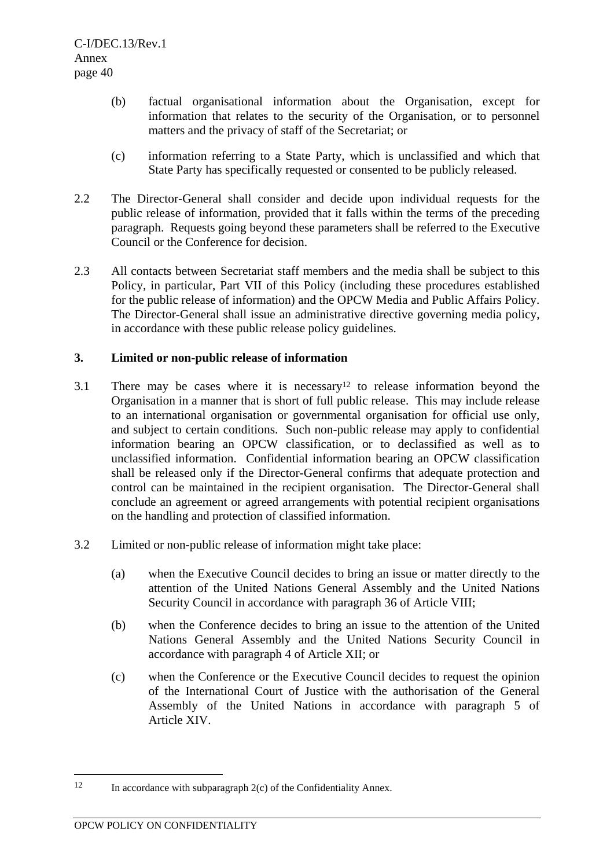- (b) factual organisational information about the Organisation, except for information that relates to the security of the Organisation, or to personnel matters and the privacy of staff of the Secretariat; or
- (c) information referring to a State Party, which is unclassified and which that State Party has specifically requested or consented to be publicly released.
- 2.2 The Director-General shall consider and decide upon individual requests for the public release of information, provided that it falls within the terms of the preceding paragraph. Requests going beyond these parameters shall be referred to the Executive Council or the Conference for decision.
- 2.3 All contacts between Secretariat staff members and the media shall be subject to this Policy, in particular, Part VII of this Policy (including these procedures established for the public release of information) and the OPCW Media and Public Affairs Policy. The Director-General shall issue an administrative directive governing media policy, in accordance with these public release policy guidelines.

## **3. Limited or non-public release of information**

- 3.1 There may be cases where it is necessary<sup>12</sup> to release information beyond the Organisation in a manner that is short of full public release. This may include release to an international organisation or governmental organisation for official use only, and subject to certain conditions. Such non-public release may apply to confidential information bearing an OPCW classification, or to declassified as well as to unclassified information. Confidential information bearing an OPCW classification shall be released only if the Director-General confirms that adequate protection and control can be maintained in the recipient organisation. The Director-General shall conclude an agreement or agreed arrangements with potential recipient organisations on the handling and protection of classified information.
- 3.2 Limited or non-public release of information might take place:
	- (a) when the Executive Council decides to bring an issue or matter directly to the attention of the United Nations General Assembly and the United Nations Security Council in accordance with paragraph 36 of Article VIII;
	- (b) when the Conference decides to bring an issue to the attention of the United Nations General Assembly and the United Nations Security Council in accordance with paragraph 4 of Article XII; or
	- (c) when the Conference or the Executive Council decides to request the opinion of the International Court of Justice with the authorisation of the General Assembly of the United Nations in accordance with paragraph 5 of Article XIV.

<u>.</u>

<sup>&</sup>lt;sup>12</sup> In accordance with subparagraph  $2(c)$  of the Confidentiality Annex.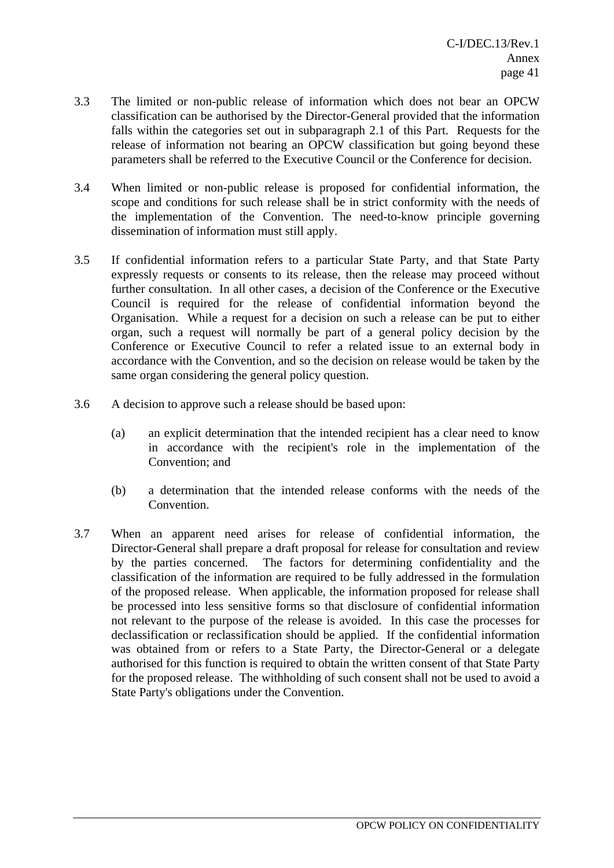- 3.3 The limited or non-public release of information which does not bear an OPCW classification can be authorised by the Director-General provided that the information falls within the categories set out in subparagraph 2.1 of this Part. Requests for the release of information not bearing an OPCW classification but going beyond these parameters shall be referred to the Executive Council or the Conference for decision.
- 3.4 When limited or non-public release is proposed for confidential information, the scope and conditions for such release shall be in strict conformity with the needs of the implementation of the Convention. The need-to-know principle governing dissemination of information must still apply.
- 3.5 If confidential information refers to a particular State Party, and that State Party expressly requests or consents to its release, then the release may proceed without further consultation. In all other cases, a decision of the Conference or the Executive Council is required for the release of confidential information beyond the Organisation. While a request for a decision on such a release can be put to either organ, such a request will normally be part of a general policy decision by the Conference or Executive Council to refer a related issue to an external body in accordance with the Convention, and so the decision on release would be taken by the same organ considering the general policy question.
- 3.6 A decision to approve such a release should be based upon:
	- (a) an explicit determination that the intended recipient has a clear need to know in accordance with the recipient's role in the implementation of the Convention; and
	- (b) a determination that the intended release conforms with the needs of the Convention.
- 3.7 When an apparent need arises for release of confidential information, the Director-General shall prepare a draft proposal for release for consultation and review by the parties concerned. The factors for determining confidentiality and the classification of the information are required to be fully addressed in the formulation of the proposed release. When applicable, the information proposed for release shall be processed into less sensitive forms so that disclosure of confidential information not relevant to the purpose of the release is avoided. In this case the processes for declassification or reclassification should be applied. If the confidential information was obtained from or refers to a State Party, the Director-General or a delegate authorised for this function is required to obtain the written consent of that State Party for the proposed release. The withholding of such consent shall not be used to avoid a State Party's obligations under the Convention.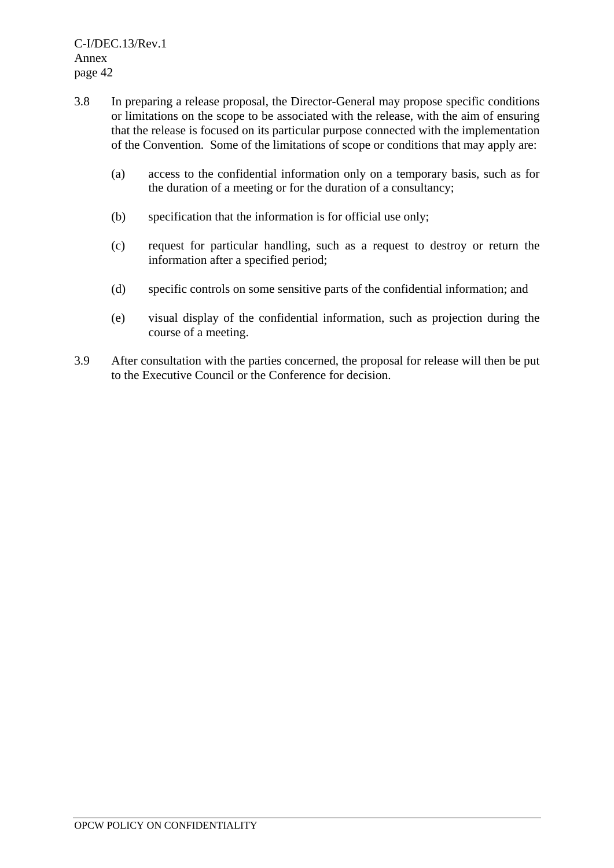- 3.8 In preparing a release proposal, the Director-General may propose specific conditions or limitations on the scope to be associated with the release, with the aim of ensuring that the release is focused on its particular purpose connected with the implementation of the Convention. Some of the limitations of scope or conditions that may apply are:
	- (a) access to the confidential information only on a temporary basis, such as for the duration of a meeting or for the duration of a consultancy;
	- (b) specification that the information is for official use only;
	- (c) request for particular handling, such as a request to destroy or return the information after a specified period;
	- (d) specific controls on some sensitive parts of the confidential information; and
	- (e) visual display of the confidential information, such as projection during the course of a meeting.
- 3.9 After consultation with the parties concerned, the proposal for release will then be put to the Executive Council or the Conference for decision.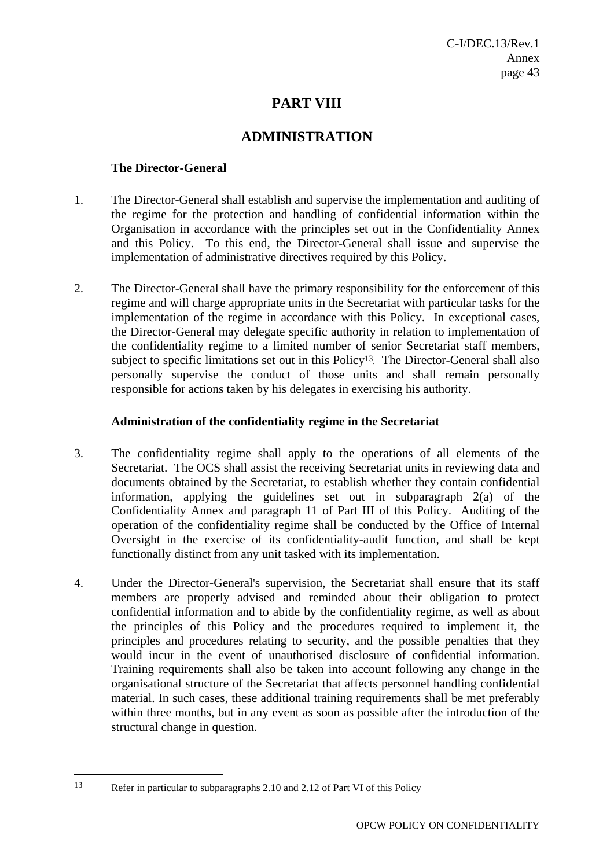## **PART VIII**

## **ADMINISTRATION**

## **The Director-General**

- 1. The Director-General shall establish and supervise the implementation and auditing of the regime for the protection and handling of confidential information within the Organisation in accordance with the principles set out in the Confidentiality Annex and this Policy. To this end, the Director-General shall issue and supervise the implementation of administrative directives required by this Policy.
- 2. The Director-General shall have the primary responsibility for the enforcement of this regime and will charge appropriate units in the Secretariat with particular tasks for the implementation of the regime in accordance with this Policy. In exceptional cases, the Director-General may delegate specific authority in relation to implementation of the confidentiality regime to a limited number of senior Secretariat staff members, subject to specific limitations set out in this Policy<sup>13</sup>. The Director-General shall also personally supervise the conduct of those units and shall remain personally responsible for actions taken by his delegates in exercising his authority.

## **Administration of the confidentiality regime in the Secretariat**

- 3. The confidentiality regime shall apply to the operations of all elements of the Secretariat. The OCS shall assist the receiving Secretariat units in reviewing data and documents obtained by the Secretariat, to establish whether they contain confidential information, applying the guidelines set out in subparagraph 2(a) of the Confidentiality Annex and paragraph 11 of Part III of this Policy. Auditing of the operation of the confidentiality regime shall be conducted by the Office of Internal Oversight in the exercise of its confidentiality-audit function, and shall be kept functionally distinct from any unit tasked with its implementation.
- 4. Under the Director-General's supervision, the Secretariat shall ensure that its staff members are properly advised and reminded about their obligation to protect confidential information and to abide by the confidentiality regime, as well as about the principles of this Policy and the procedures required to implement it, the principles and procedures relating to security, and the possible penalties that they would incur in the event of unauthorised disclosure of confidential information. Training requirements shall also be taken into account following any change in the organisational structure of the Secretariat that affects personnel handling confidential material. In such cases, these additional training requirements shall be met preferably within three months, but in any event as soon as possible after the introduction of the structural change in question.

<u>.</u>

<sup>13</sup> Refer in particular to subparagraphs 2.10 and 2.12 of Part VI of this Policy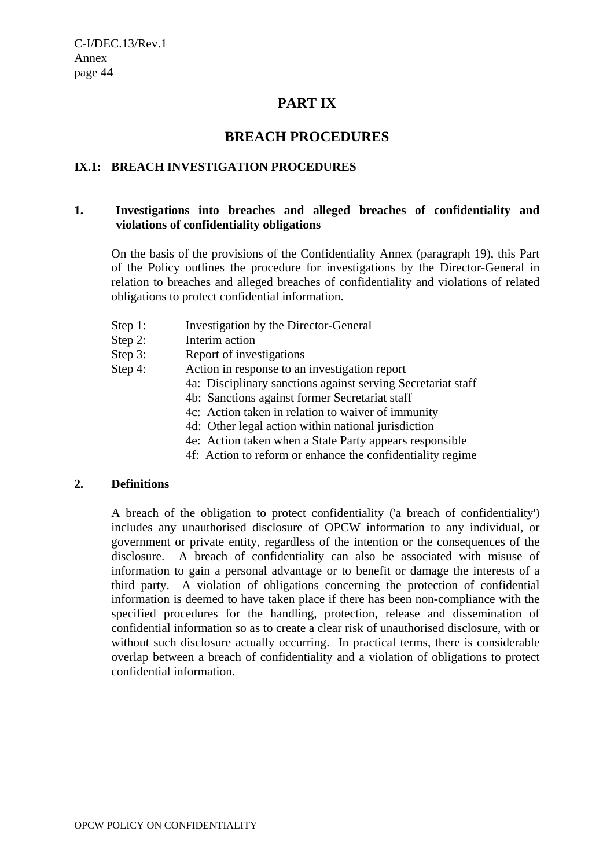## **PART IX**

## **BREACH PROCEDURES**

## **IX.1: BREACH INVESTIGATION PROCEDURES**

### **1. Investigations into breaches and alleged breaches of confidentiality and violations of confidentiality obligations**

 On the basis of the provisions of the Confidentiality Annex (paragraph 19), this Part of the Policy outlines the procedure for investigations by the Director-General in relation to breaches and alleged breaches of confidentiality and violations of related obligations to protect confidential information.

- Step 1: Investigation by the Director-General
- Step 2: Interim action
- Step 3: Report of investigations
- Step 4: Action in response to an investigation report
	- 4a: Disciplinary sanctions against serving Secretariat staff
		- 4b: Sanctions against former Secretariat staff
		- 4c: Action taken in relation to waiver of immunity
		- 4d: Other legal action within national jurisdiction
		- 4e: Action taken when a State Party appears responsible
		- 4f: Action to reform or enhance the confidentiality regime

#### **2. Definitions**

 A breach of the obligation to protect confidentiality ('a breach of confidentiality') includes any unauthorised disclosure of OPCW information to any individual, or government or private entity, regardless of the intention or the consequences of the disclosure. A breach of confidentiality can also be associated with misuse of information to gain a personal advantage or to benefit or damage the interests of a third party. A violation of obligations concerning the protection of confidential information is deemed to have taken place if there has been non-compliance with the specified procedures for the handling, protection, release and dissemination of confidential information so as to create a clear risk of unauthorised disclosure, with or without such disclosure actually occurring. In practical terms, there is considerable overlap between a breach of confidentiality and a violation of obligations to protect confidential information.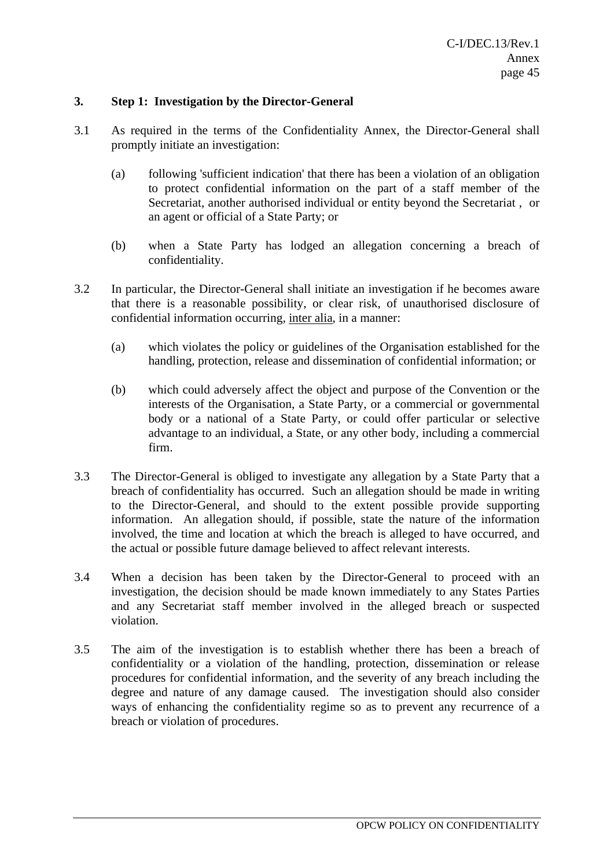## **3. Step 1: Investigation by the Director-General**

- 3.1 As required in the terms of the Confidentiality Annex, the Director-General shall promptly initiate an investigation:
	- (a) following 'sufficient indication' that there has been a violation of an obligation to protect confidential information on the part of a staff member of the Secretariat, another authorised individual or entity beyond the Secretariat , or an agent or official of a State Party; or
	- (b) when a State Party has lodged an allegation concerning a breach of confidentiality.
- 3.2 In particular, the Director-General shall initiate an investigation if he becomes aware that there is a reasonable possibility, or clear risk, of unauthorised disclosure of confidential information occurring, inter alia, in a manner:
	- (a) which violates the policy or guidelines of the Organisation established for the handling, protection, release and dissemination of confidential information; or
	- (b) which could adversely affect the object and purpose of the Convention or the interests of the Organisation, a State Party, or a commercial or governmental body or a national of a State Party, or could offer particular or selective advantage to an individual, a State, or any other body, including a commercial firm.
- 3.3 The Director-General is obliged to investigate any allegation by a State Party that a breach of confidentiality has occurred. Such an allegation should be made in writing to the Director-General, and should to the extent possible provide supporting information. An allegation should, if possible, state the nature of the information involved, the time and location at which the breach is alleged to have occurred, and the actual or possible future damage believed to affect relevant interests.
- 3.4 When a decision has been taken by the Director-General to proceed with an investigation, the decision should be made known immediately to any States Parties and any Secretariat staff member involved in the alleged breach or suspected violation.
- 3.5 The aim of the investigation is to establish whether there has been a breach of confidentiality or a violation of the handling, protection, dissemination or release procedures for confidential information, and the severity of any breach including the degree and nature of any damage caused. The investigation should also consider ways of enhancing the confidentiality regime so as to prevent any recurrence of a breach or violation of procedures.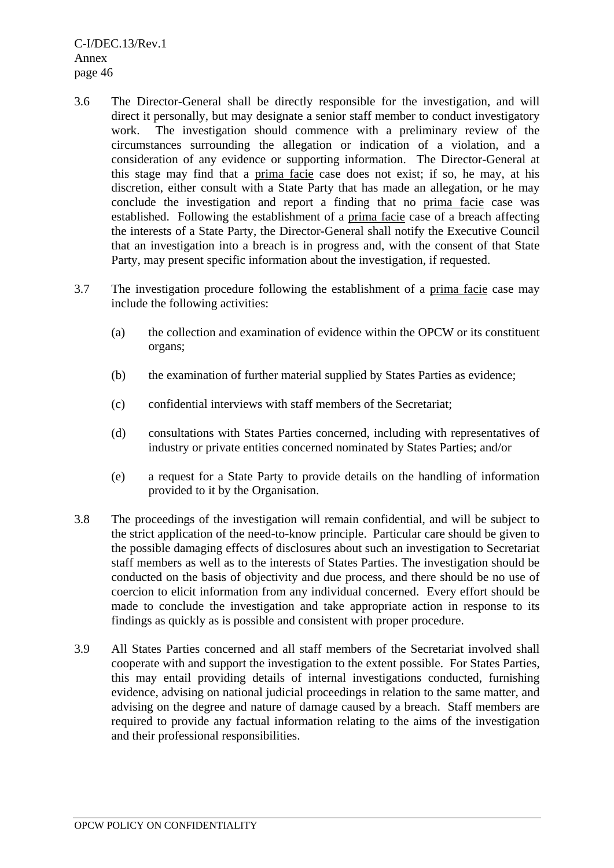C-I/DEC.13/Rev.1 Annex page 46

- 3.6 The Director-General shall be directly responsible for the investigation, and will direct it personally, but may designate a senior staff member to conduct investigatory work. The investigation should commence with a preliminary review of the circumstances surrounding the allegation or indication of a violation, and a consideration of any evidence or supporting information. The Director-General at this stage may find that a prima facie case does not exist; if so, he may, at his discretion, either consult with a State Party that has made an allegation, or he may conclude the investigation and report a finding that no prima facie case was established. Following the establishment of a prima facie case of a breach affecting the interests of a State Party, the Director-General shall notify the Executive Council that an investigation into a breach is in progress and, with the consent of that State Party, may present specific information about the investigation, if requested.
- 3.7 The investigation procedure following the establishment of a prima facie case may include the following activities:
	- (a) the collection and examination of evidence within the OPCW or its constituent organs;
	- (b) the examination of further material supplied by States Parties as evidence;
	- (c) confidential interviews with staff members of the Secretariat;
	- (d) consultations with States Parties concerned, including with representatives of industry or private entities concerned nominated by States Parties; and/or
	- (e) a request for a State Party to provide details on the handling of information provided to it by the Organisation.
- 3.8 The proceedings of the investigation will remain confidential, and will be subject to the strict application of the need-to-know principle. Particular care should be given to the possible damaging effects of disclosures about such an investigation to Secretariat staff members as well as to the interests of States Parties. The investigation should be conducted on the basis of objectivity and due process, and there should be no use of coercion to elicit information from any individual concerned. Every effort should be made to conclude the investigation and take appropriate action in response to its findings as quickly as is possible and consistent with proper procedure.
- 3.9 All States Parties concerned and all staff members of the Secretariat involved shall cooperate with and support the investigation to the extent possible. For States Parties, this may entail providing details of internal investigations conducted, furnishing evidence, advising on national judicial proceedings in relation to the same matter, and advising on the degree and nature of damage caused by a breach. Staff members are required to provide any factual information relating to the aims of the investigation and their professional responsibilities.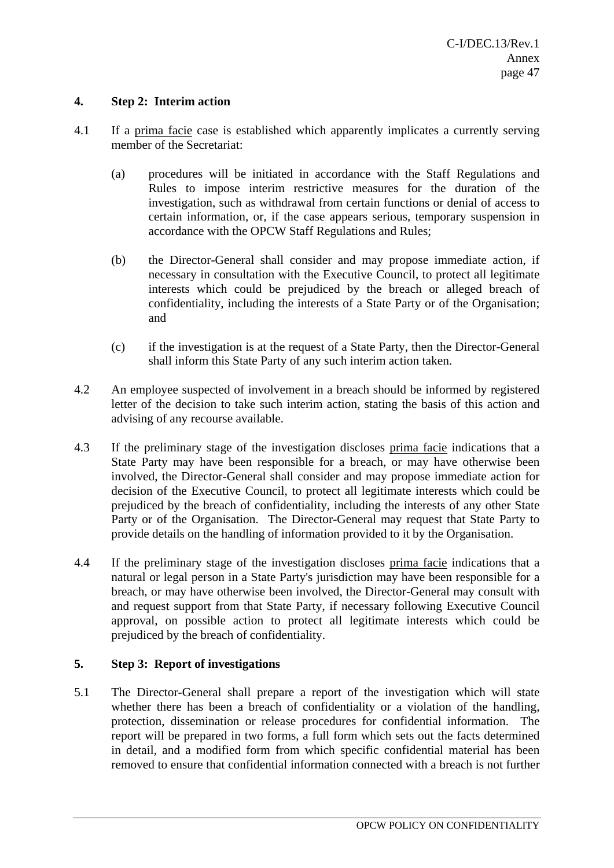## **4. Step 2: Interim action**

- 4.1 If a prima facie case is established which apparently implicates a currently serving member of the Secretariat:
	- (a) procedures will be initiated in accordance with the Staff Regulations and Rules to impose interim restrictive measures for the duration of the investigation, such as withdrawal from certain functions or denial of access to certain information, or, if the case appears serious, temporary suspension in accordance with the OPCW Staff Regulations and Rules;
	- (b) the Director-General shall consider and may propose immediate action, if necessary in consultation with the Executive Council, to protect all legitimate interests which could be prejudiced by the breach or alleged breach of confidentiality, including the interests of a State Party or of the Organisation; and
	- (c) if the investigation is at the request of a State Party, then the Director-General shall inform this State Party of any such interim action taken.
- 4.2 An employee suspected of involvement in a breach should be informed by registered letter of the decision to take such interim action, stating the basis of this action and advising of any recourse available.
- 4.3 If the preliminary stage of the investigation discloses prima facie indications that a State Party may have been responsible for a breach, or may have otherwise been involved, the Director-General shall consider and may propose immediate action for decision of the Executive Council, to protect all legitimate interests which could be prejudiced by the breach of confidentiality, including the interests of any other State Party or of the Organisation. The Director-General may request that State Party to provide details on the handling of information provided to it by the Organisation.
- 4.4 If the preliminary stage of the investigation discloses prima facie indications that a natural or legal person in a State Party's jurisdiction may have been responsible for a breach, or may have otherwise been involved, the Director-General may consult with and request support from that State Party, if necessary following Executive Council approval, on possible action to protect all legitimate interests which could be prejudiced by the breach of confidentiality.

## **5. Step 3: Report of investigations**

5.1 The Director-General shall prepare a report of the investigation which will state whether there has been a breach of confidentiality or a violation of the handling, protection, dissemination or release procedures for confidential information. The report will be prepared in two forms, a full form which sets out the facts determined in detail, and a modified form from which specific confidential material has been removed to ensure that confidential information connected with a breach is not further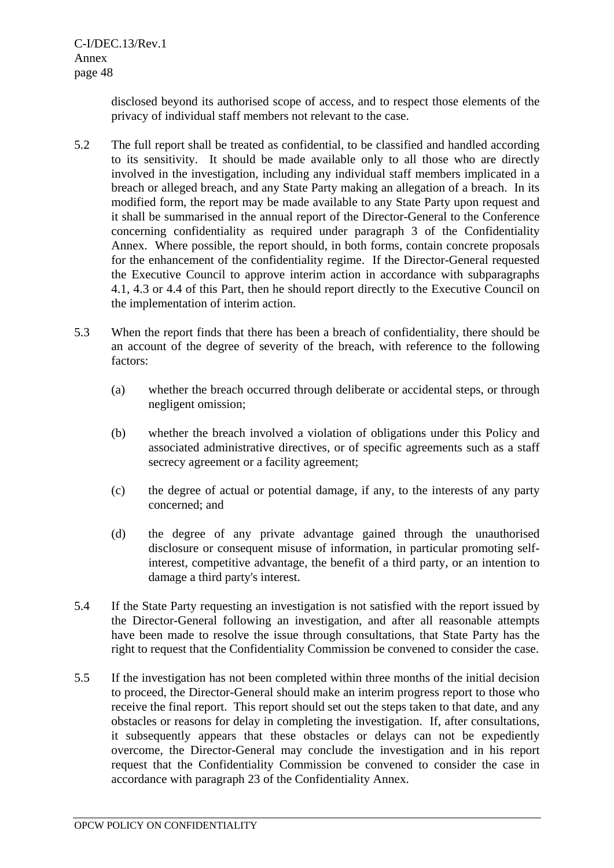C-I/DEC.13/Rev.1 Annex page 48

> disclosed beyond its authorised scope of access, and to respect those elements of the privacy of individual staff members not relevant to the case.

- 5.2 The full report shall be treated as confidential, to be classified and handled according to its sensitivity. It should be made available only to all those who are directly involved in the investigation, including any individual staff members implicated in a breach or alleged breach, and any State Party making an allegation of a breach. In its modified form, the report may be made available to any State Party upon request and it shall be summarised in the annual report of the Director-General to the Conference concerning confidentiality as required under paragraph 3 of the Confidentiality Annex. Where possible, the report should, in both forms, contain concrete proposals for the enhancement of the confidentiality regime. If the Director-General requested the Executive Council to approve interim action in accordance with subparagraphs 4.1, 4.3 or 4.4 of this Part, then he should report directly to the Executive Council on the implementation of interim action.
- 5.3 When the report finds that there has been a breach of confidentiality, there should be an account of the degree of severity of the breach, with reference to the following factors:
	- (a) whether the breach occurred through deliberate or accidental steps, or through negligent omission;
	- (b) whether the breach involved a violation of obligations under this Policy and associated administrative directives, or of specific agreements such as a staff secrecy agreement or a facility agreement;
	- (c) the degree of actual or potential damage, if any, to the interests of any party concerned; and
	- (d) the degree of any private advantage gained through the unauthorised disclosure or consequent misuse of information, in particular promoting selfinterest, competitive advantage, the benefit of a third party, or an intention to damage a third party's interest.
- 5.4 If the State Party requesting an investigation is not satisfied with the report issued by the Director-General following an investigation, and after all reasonable attempts have been made to resolve the issue through consultations, that State Party has the right to request that the Confidentiality Commission be convened to consider the case.
- 5.5 If the investigation has not been completed within three months of the initial decision to proceed, the Director-General should make an interim progress report to those who receive the final report. This report should set out the steps taken to that date, and any obstacles or reasons for delay in completing the investigation. If, after consultations, it subsequently appears that these obstacles or delays can not be expediently overcome, the Director-General may conclude the investigation and in his report request that the Confidentiality Commission be convened to consider the case in accordance with paragraph 23 of the Confidentiality Annex.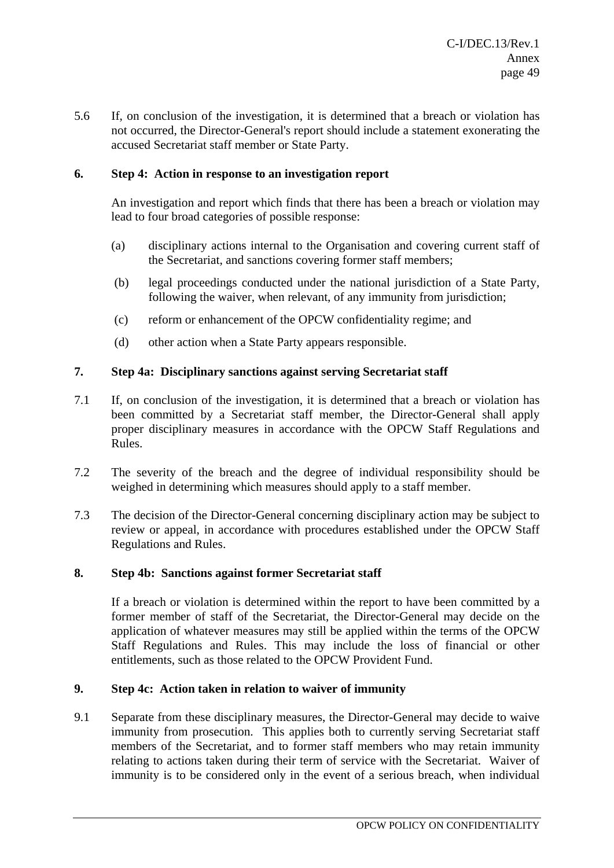5.6 If, on conclusion of the investigation, it is determined that a breach or violation has not occurred, the Director-General's report should include a statement exonerating the accused Secretariat staff member or State Party.

#### **6. Step 4: Action in response to an investigation report**

 An investigation and report which finds that there has been a breach or violation may lead to four broad categories of possible response:

- (a) disciplinary actions internal to the Organisation and covering current staff of the Secretariat, and sanctions covering former staff members;
- (b) legal proceedings conducted under the national jurisdiction of a State Party, following the waiver, when relevant, of any immunity from jurisdiction;
- (c) reform or enhancement of the OPCW confidentiality regime; and
- (d) other action when a State Party appears responsible.

### **7. Step 4a: Disciplinary sanctions against serving Secretariat staff**

- 7.1 If, on conclusion of the investigation, it is determined that a breach or violation has been committed by a Secretariat staff member, the Director-General shall apply proper disciplinary measures in accordance with the OPCW Staff Regulations and Rules.
- 7.2 The severity of the breach and the degree of individual responsibility should be weighed in determining which measures should apply to a staff member.
- 7.3 The decision of the Director-General concerning disciplinary action may be subject to review or appeal, in accordance with procedures established under the OPCW Staff Regulations and Rules.

#### **8. Step 4b: Sanctions against former Secretariat staff**

 If a breach or violation is determined within the report to have been committed by a former member of staff of the Secretariat, the Director-General may decide on the application of whatever measures may still be applied within the terms of the OPCW Staff Regulations and Rules. This may include the loss of financial or other entitlements, such as those related to the OPCW Provident Fund.

#### **9. Step 4c: Action taken in relation to waiver of immunity**

9.1 Separate from these disciplinary measures, the Director-General may decide to waive immunity from prosecution. This applies both to currently serving Secretariat staff members of the Secretariat, and to former staff members who may retain immunity relating to actions taken during their term of service with the Secretariat. Waiver of immunity is to be considered only in the event of a serious breach, when individual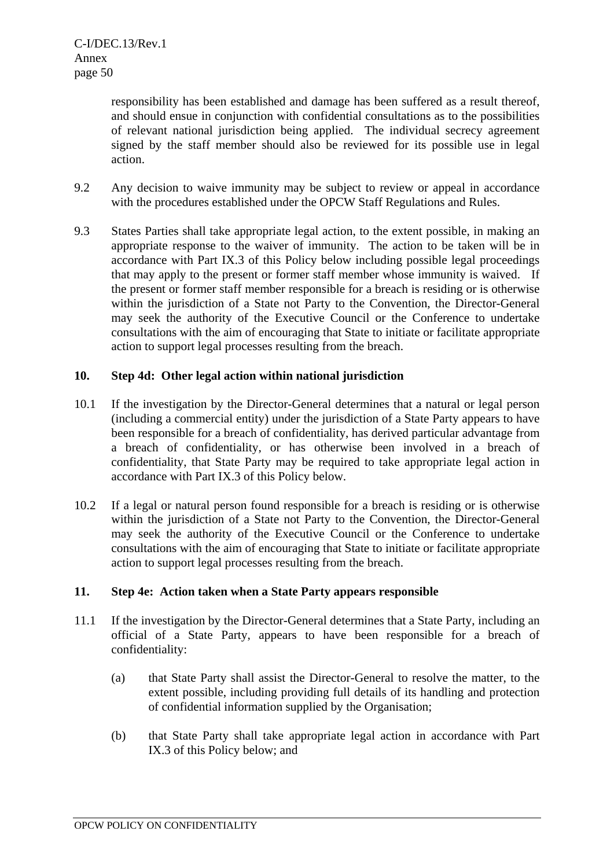responsibility has been established and damage has been suffered as a result thereof, and should ensue in conjunction with confidential consultations as to the possibilities of relevant national jurisdiction being applied. The individual secrecy agreement signed by the staff member should also be reviewed for its possible use in legal action.

- 9.2 Any decision to waive immunity may be subject to review or appeal in accordance with the procedures established under the OPCW Staff Regulations and Rules.
- 9.3 States Parties shall take appropriate legal action, to the extent possible, in making an appropriate response to the waiver of immunity. The action to be taken will be in accordance with Part IX.3 of this Policy below including possible legal proceedings that may apply to the present or former staff member whose immunity is waived. If the present or former staff member responsible for a breach is residing or is otherwise within the jurisdiction of a State not Party to the Convention, the Director-General may seek the authority of the Executive Council or the Conference to undertake consultations with the aim of encouraging that State to initiate or facilitate appropriate action to support legal processes resulting from the breach.

### **10. Step 4d: Other legal action within national jurisdiction**

- 10.1 If the investigation by the Director-General determines that a natural or legal person (including a commercial entity) under the jurisdiction of a State Party appears to have been responsible for a breach of confidentiality, has derived particular advantage from a breach of confidentiality, or has otherwise been involved in a breach of confidentiality, that State Party may be required to take appropriate legal action in accordance with Part IX.3 of this Policy below.
- 10.2 If a legal or natural person found responsible for a breach is residing or is otherwise within the jurisdiction of a State not Party to the Convention, the Director-General may seek the authority of the Executive Council or the Conference to undertake consultations with the aim of encouraging that State to initiate or facilitate appropriate action to support legal processes resulting from the breach.

#### **11. Step 4e: Action taken when a State Party appears responsible**

- 11.1 If the investigation by the Director-General determines that a State Party, including an official of a State Party, appears to have been responsible for a breach of confidentiality:
	- (a) that State Party shall assist the Director-General to resolve the matter, to the extent possible, including providing full details of its handling and protection of confidential information supplied by the Organisation;
	- (b) that State Party shall take appropriate legal action in accordance with Part IX.3 of this Policy below; and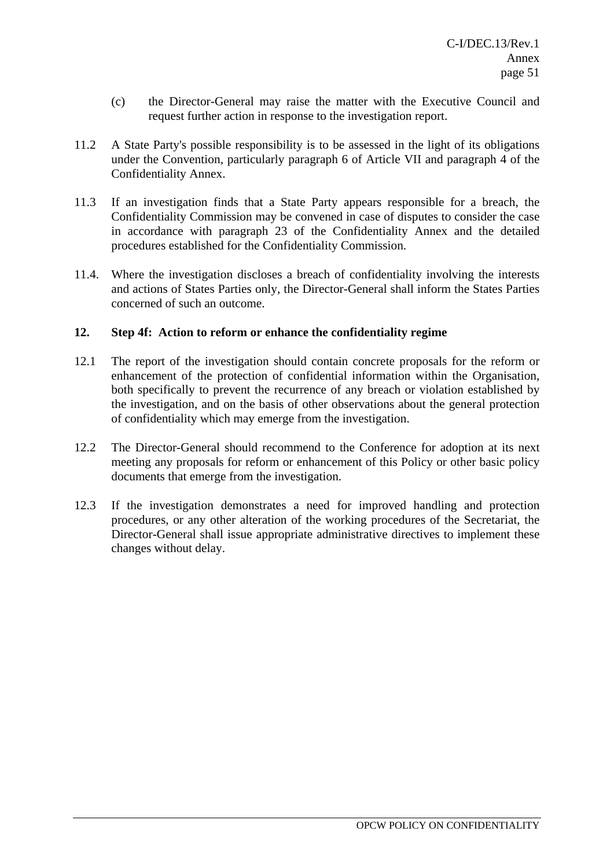- (c) the Director-General may raise the matter with the Executive Council and request further action in response to the investigation report.
- 11.2 A State Party's possible responsibility is to be assessed in the light of its obligations under the Convention, particularly paragraph 6 of Article VII and paragraph 4 of the Confidentiality Annex.
- 11.3 If an investigation finds that a State Party appears responsible for a breach, the Confidentiality Commission may be convened in case of disputes to consider the case in accordance with paragraph 23 of the Confidentiality Annex and the detailed procedures established for the Confidentiality Commission.
- 11.4. Where the investigation discloses a breach of confidentiality involving the interests and actions of States Parties only, the Director-General shall inform the States Parties concerned of such an outcome.

### **12. Step 4f: Action to reform or enhance the confidentiality regime**

- 12.1 The report of the investigation should contain concrete proposals for the reform or enhancement of the protection of confidential information within the Organisation, both specifically to prevent the recurrence of any breach or violation established by the investigation, and on the basis of other observations about the general protection of confidentiality which may emerge from the investigation.
- 12.2 The Director-General should recommend to the Conference for adoption at its next meeting any proposals for reform or enhancement of this Policy or other basic policy documents that emerge from the investigation.
- 12.3 If the investigation demonstrates a need for improved handling and protection procedures, or any other alteration of the working procedures of the Secretariat, the Director-General shall issue appropriate administrative directives to implement these changes without delay.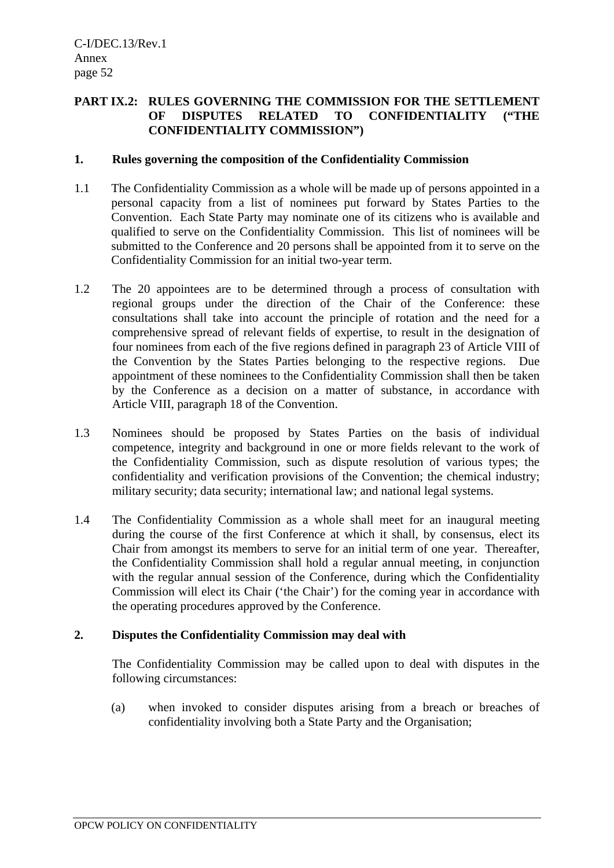## **PART IX.2: RULES GOVERNING THE COMMISSION FOR THE SETTLEMENT OF DISPUTES RELATED TO CONFIDENTIALITY ("THE CONFIDENTIALITY COMMISSION")**

## **1. Rules governing the composition of the Confidentiality Commission**

- 1.1 The Confidentiality Commission as a whole will be made up of persons appointed in a personal capacity from a list of nominees put forward by States Parties to the Convention. Each State Party may nominate one of its citizens who is available and qualified to serve on the Confidentiality Commission. This list of nominees will be submitted to the Conference and 20 persons shall be appointed from it to serve on the Confidentiality Commission for an initial two-year term.
- 1.2 The 20 appointees are to be determined through a process of consultation with regional groups under the direction of the Chair of the Conference: these consultations shall take into account the principle of rotation and the need for a comprehensive spread of relevant fields of expertise, to result in the designation of four nominees from each of the five regions defined in paragraph 23 of Article VIII of the Convention by the States Parties belonging to the respective regions. Due appointment of these nominees to the Confidentiality Commission shall then be taken by the Conference as a decision on a matter of substance, in accordance with Article VIII, paragraph 18 of the Convention.
- 1.3 Nominees should be proposed by States Parties on the basis of individual competence, integrity and background in one or more fields relevant to the work of the Confidentiality Commission, such as dispute resolution of various types; the confidentiality and verification provisions of the Convention; the chemical industry; military security; data security; international law; and national legal systems.
- 1.4 The Confidentiality Commission as a whole shall meet for an inaugural meeting during the course of the first Conference at which it shall, by consensus, elect its Chair from amongst its members to serve for an initial term of one year. Thereafter, the Confidentiality Commission shall hold a regular annual meeting, in conjunction with the regular annual session of the Conference, during which the Confidentiality Commission will elect its Chair ('the Chair') for the coming year in accordance with the operating procedures approved by the Conference.

## **2. Disputes the Confidentiality Commission may deal with**

 The Confidentiality Commission may be called upon to deal with disputes in the following circumstances:

(a) when invoked to consider disputes arising from a breach or breaches of confidentiality involving both a State Party and the Organisation;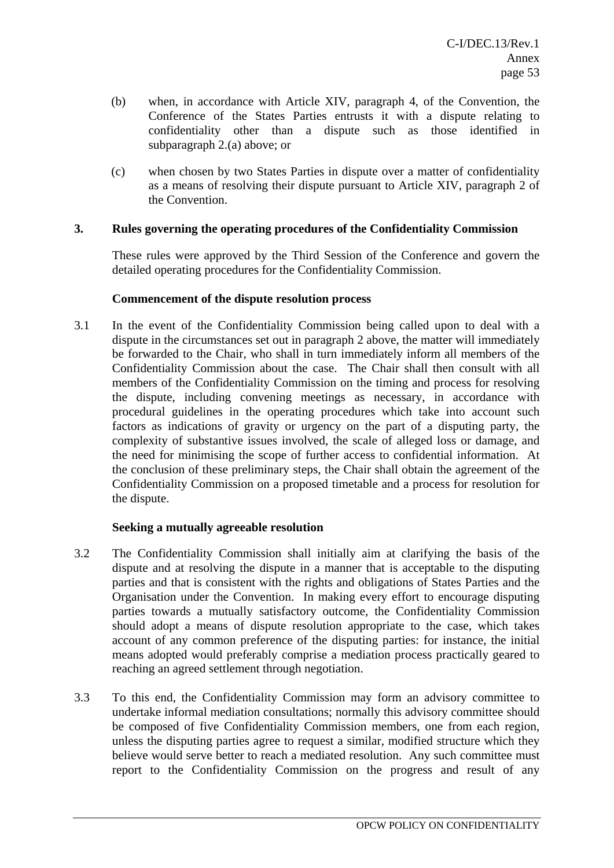- (b) when, in accordance with Article XIV, paragraph 4, of the Convention, the Conference of the States Parties entrusts it with a dispute relating to confidentiality other than a dispute such as those identified in subparagraph 2.(a) above; or
- (c) when chosen by two States Parties in dispute over a matter of confidentiality as a means of resolving their dispute pursuant to Article XIV, paragraph 2 of the Convention.

### **3. Rules governing the operating procedures of the Confidentiality Commission**

 These rules were approved by the Third Session of the Conference and govern the detailed operating procedures for the Confidentiality Commission.

#### **Commencement of the dispute resolution process**

3.1 In the event of the Confidentiality Commission being called upon to deal with a dispute in the circumstances set out in paragraph 2 above, the matter will immediately be forwarded to the Chair, who shall in turn immediately inform all members of the Confidentiality Commission about the case. The Chair shall then consult with all members of the Confidentiality Commission on the timing and process for resolving the dispute, including convening meetings as necessary, in accordance with procedural guidelines in the operating procedures which take into account such factors as indications of gravity or urgency on the part of a disputing party, the complexity of substantive issues involved, the scale of alleged loss or damage, and the need for minimising the scope of further access to confidential information. At the conclusion of these preliminary steps, the Chair shall obtain the agreement of the Confidentiality Commission on a proposed timetable and a process for resolution for the dispute.

## **Seeking a mutually agreeable resolution**

- 3.2 The Confidentiality Commission shall initially aim at clarifying the basis of the dispute and at resolving the dispute in a manner that is acceptable to the disputing parties and that is consistent with the rights and obligations of States Parties and the Organisation under the Convention. In making every effort to encourage disputing parties towards a mutually satisfactory outcome, the Confidentiality Commission should adopt a means of dispute resolution appropriate to the case, which takes account of any common preference of the disputing parties: for instance, the initial means adopted would preferably comprise a mediation process practically geared to reaching an agreed settlement through negotiation.
- 3.3 To this end, the Confidentiality Commission may form an advisory committee to undertake informal mediation consultations; normally this advisory committee should be composed of five Confidentiality Commission members, one from each region, unless the disputing parties agree to request a similar, modified structure which they believe would serve better to reach a mediated resolution. Any such committee must report to the Confidentiality Commission on the progress and result of any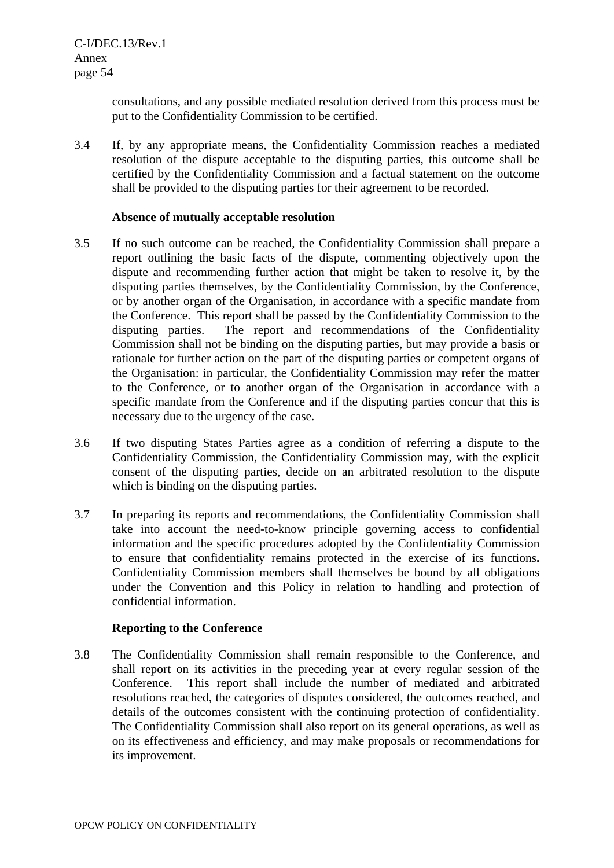consultations, and any possible mediated resolution derived from this process must be put to the Confidentiality Commission to be certified.

3.4 If, by any appropriate means, the Confidentiality Commission reaches a mediated resolution of the dispute acceptable to the disputing parties, this outcome shall be certified by the Confidentiality Commission and a factual statement on the outcome shall be provided to the disputing parties for their agreement to be recorded.

## **Absence of mutually acceptable resolution**

- 3.5 If no such outcome can be reached, the Confidentiality Commission shall prepare a report outlining the basic facts of the dispute, commenting objectively upon the dispute and recommending further action that might be taken to resolve it, by the disputing parties themselves, by the Confidentiality Commission, by the Conference, or by another organ of the Organisation, in accordance with a specific mandate from the Conference. This report shall be passed by the Confidentiality Commission to the disputing parties. The report and recommendations of the Confidentiality Commission shall not be binding on the disputing parties, but may provide a basis or rationale for further action on the part of the disputing parties or competent organs of the Organisation: in particular, the Confidentiality Commission may refer the matter to the Conference, or to another organ of the Organisation in accordance with a specific mandate from the Conference and if the disputing parties concur that this is necessary due to the urgency of the case.
- 3.6 If two disputing States Parties agree as a condition of referring a dispute to the Confidentiality Commission, the Confidentiality Commission may, with the explicit consent of the disputing parties, decide on an arbitrated resolution to the dispute which is binding on the disputing parties.
- 3.7 In preparing its reports and recommendations, the Confidentiality Commission shall take into account the need-to-know principle governing access to confidential information and the specific procedures adopted by the Confidentiality Commission to ensure that confidentiality remains protected in the exercise of its functions**.** Confidentiality Commission members shall themselves be bound by all obligations under the Convention and this Policy in relation to handling and protection of confidential information.

## **Reporting to the Conference**

3.8 The Confidentiality Commission shall remain responsible to the Conference, and shall report on its activities in the preceding year at every regular session of the Conference. This report shall include the number of mediated and arbitrated resolutions reached, the categories of disputes considered, the outcomes reached, and details of the outcomes consistent with the continuing protection of confidentiality. The Confidentiality Commission shall also report on its general operations, as well as on its effectiveness and efficiency, and may make proposals or recommendations for its improvement.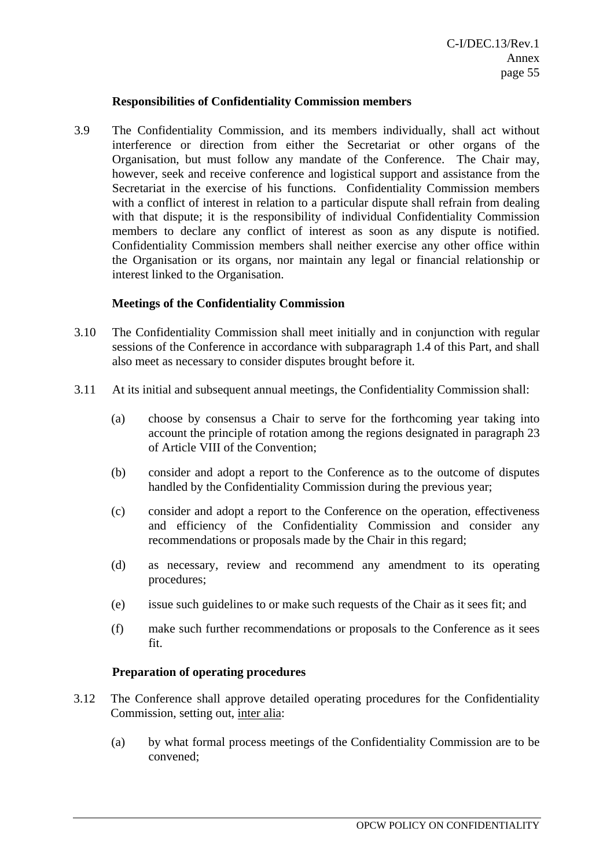## **Responsibilities of Confidentiality Commission members**

3.9 The Confidentiality Commission, and its members individually, shall act without interference or direction from either the Secretariat or other organs of the Organisation, but must follow any mandate of the Conference. The Chair may, however, seek and receive conference and logistical support and assistance from the Secretariat in the exercise of his functions. Confidentiality Commission members with a conflict of interest in relation to a particular dispute shall refrain from dealing with that dispute; it is the responsibility of individual Confidentiality Commission members to declare any conflict of interest as soon as any dispute is notified. Confidentiality Commission members shall neither exercise any other office within the Organisation or its organs, nor maintain any legal or financial relationship or interest linked to the Organisation.

#### **Meetings of the Confidentiality Commission**

- 3.10 The Confidentiality Commission shall meet initially and in conjunction with regular sessions of the Conference in accordance with subparagraph 1.4 of this Part, and shall also meet as necessary to consider disputes brought before it.
- 3.11 At its initial and subsequent annual meetings, the Confidentiality Commission shall:
	- (a) choose by consensus a Chair to serve for the forthcoming year taking into account the principle of rotation among the regions designated in paragraph 23 of Article VIII of the Convention;
	- (b) consider and adopt a report to the Conference as to the outcome of disputes handled by the Confidentiality Commission during the previous year;
	- (c) consider and adopt a report to the Conference on the operation, effectiveness and efficiency of the Confidentiality Commission and consider any recommendations or proposals made by the Chair in this regard;
	- (d) as necessary, review and recommend any amendment to its operating procedures;
	- (e) issue such guidelines to or make such requests of the Chair as it sees fit; and
	- (f) make such further recommendations or proposals to the Conference as it sees fit.

#### **Preparation of operating procedures**

- 3.12 The Conference shall approve detailed operating procedures for the Confidentiality Commission, setting out, inter alia:
	- (a) by what formal process meetings of the Confidentiality Commission are to be convened;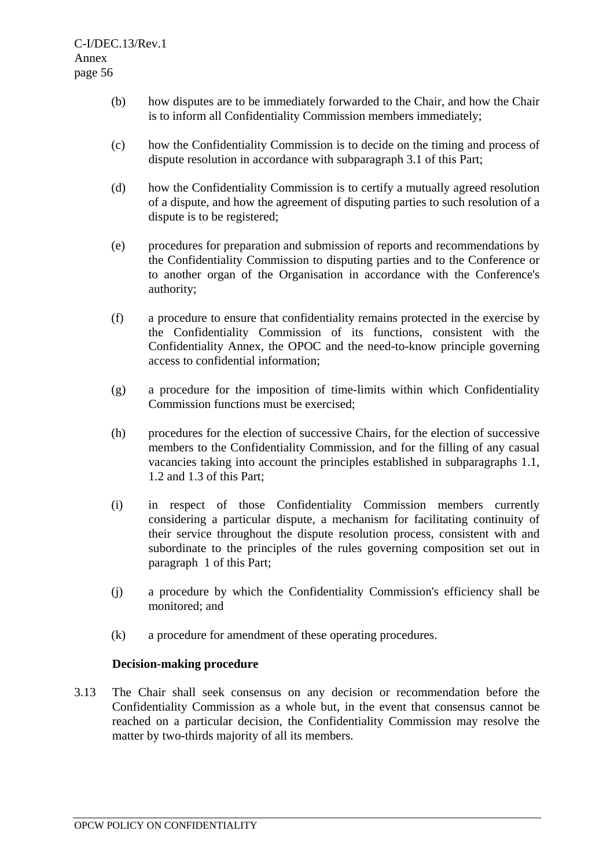- (b) how disputes are to be immediately forwarded to the Chair, and how the Chair is to inform all Confidentiality Commission members immediately;
- (c) how the Confidentiality Commission is to decide on the timing and process of dispute resolution in accordance with subparagraph 3.1 of this Part;
- (d) how the Confidentiality Commission is to certify a mutually agreed resolution of a dispute, and how the agreement of disputing parties to such resolution of a dispute is to be registered;
- (e) procedures for preparation and submission of reports and recommendations by the Confidentiality Commission to disputing parties and to the Conference or to another organ of the Organisation in accordance with the Conference's authority;
- (f) a procedure to ensure that confidentiality remains protected in the exercise by the Confidentiality Commission of its functions, consistent with the Confidentiality Annex, the OPOC and the need-to-know principle governing access to confidential information;
- (g) a procedure for the imposition of time-limits within which Confidentiality Commission functions must be exercised;
- (h) procedures for the election of successive Chairs, for the election of successive members to the Confidentiality Commission, and for the filling of any casual vacancies taking into account the principles established in subparagraphs 1.1, 1.2 and 1.3 of this Part;
- (i) in respect of those Confidentiality Commission members currently considering a particular dispute, a mechanism for facilitating continuity of their service throughout the dispute resolution process, consistent with and subordinate to the principles of the rules governing composition set out in paragraph 1 of this Part;
- (j) a procedure by which the Confidentiality Commission's efficiency shall be monitored; and
- (k) a procedure for amendment of these operating procedures.

## **Decision-making procedure**

3.13 The Chair shall seek consensus on any decision or recommendation before the Confidentiality Commission as a whole but, in the event that consensus cannot be reached on a particular decision, the Confidentiality Commission may resolve the matter by two-thirds majority of all its members.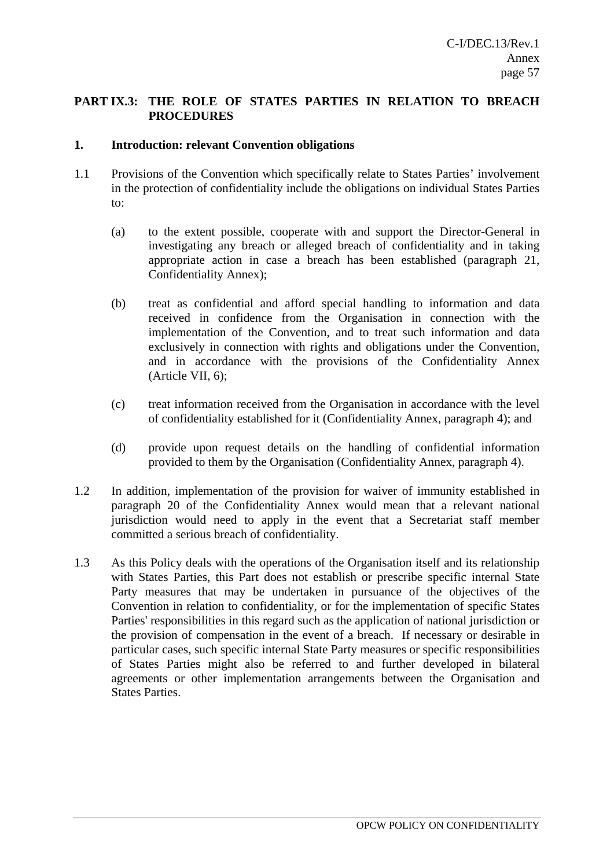## **PART IX.3: THE ROLE OF STATES PARTIES IN RELATION TO BREACH PROCEDURES**

## **1. Introduction: relevant Convention obligations**

- 1.1 Provisions of the Convention which specifically relate to States Parties' involvement in the protection of confidentiality include the obligations on individual States Parties to:
	- (a) to the extent possible, cooperate with and support the Director-General in investigating any breach or alleged breach of confidentiality and in taking appropriate action in case a breach has been established (paragraph 21, Confidentiality Annex);
	- (b) treat as confidential and afford special handling to information and data received in confidence from the Organisation in connection with the implementation of the Convention, and to treat such information and data exclusively in connection with rights and obligations under the Convention, and in accordance with the provisions of the Confidentiality Annex (Article VII, 6);
	- (c) treat information received from the Organisation in accordance with the level of confidentiality established for it (Confidentiality Annex, paragraph 4); and
	- (d) provide upon request details on the handling of confidential information provided to them by the Organisation (Confidentiality Annex, paragraph 4).
- 1.2 In addition, implementation of the provision for waiver of immunity established in paragraph 20 of the Confidentiality Annex would mean that a relevant national jurisdiction would need to apply in the event that a Secretariat staff member committed a serious breach of confidentiality.
- 1.3 As this Policy deals with the operations of the Organisation itself and its relationship with States Parties, this Part does not establish or prescribe specific internal State Party measures that may be undertaken in pursuance of the objectives of the Convention in relation to confidentiality, or for the implementation of specific States Parties' responsibilities in this regard such as the application of national jurisdiction or the provision of compensation in the event of a breach. If necessary or desirable in particular cases, such specific internal State Party measures or specific responsibilities of States Parties might also be referred to and further developed in bilateral agreements or other implementation arrangements between the Organisation and States Parties.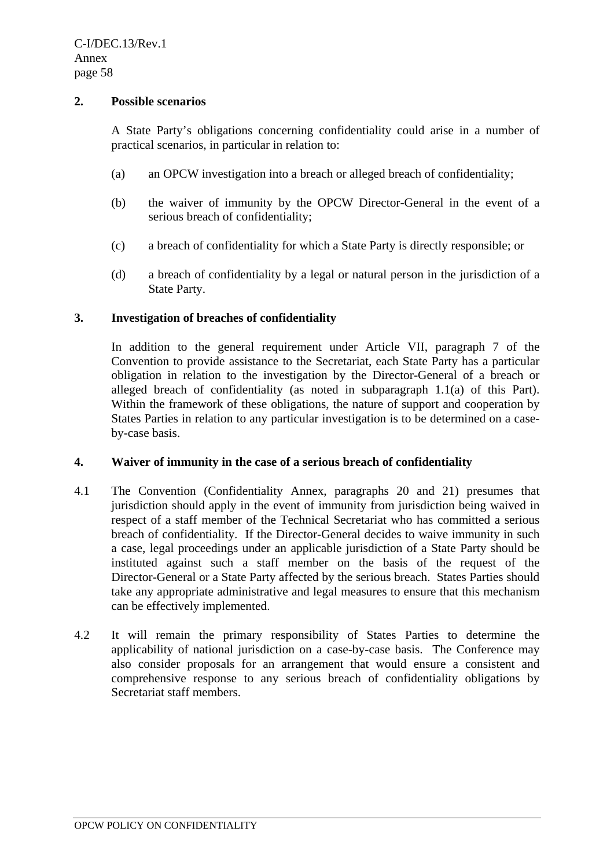#### **2. Possible scenarios**

 A State Party's obligations concerning confidentiality could arise in a number of practical scenarios, in particular in relation to:

- (a) an OPCW investigation into a breach or alleged breach of confidentiality;
- (b) the waiver of immunity by the OPCW Director-General in the event of a serious breach of confidentiality;
- (c) a breach of confidentiality for which a State Party is directly responsible; or
- (d) a breach of confidentiality by a legal or natural person in the jurisdiction of a State Party.

#### **3. Investigation of breaches of confidentiality**

 In addition to the general requirement under Article VII, paragraph 7 of the Convention to provide assistance to the Secretariat, each State Party has a particular obligation in relation to the investigation by the Director-General of a breach or alleged breach of confidentiality (as noted in subparagraph 1.1(a) of this Part). Within the framework of these obligations, the nature of support and cooperation by States Parties in relation to any particular investigation is to be determined on a caseby-case basis.

#### **4. Waiver of immunity in the case of a serious breach of confidentiality**

- 4.1 The Convention (Confidentiality Annex, paragraphs 20 and 21) presumes that jurisdiction should apply in the event of immunity from jurisdiction being waived in respect of a staff member of the Technical Secretariat who has committed a serious breach of confidentiality. If the Director-General decides to waive immunity in such a case, legal proceedings under an applicable jurisdiction of a State Party should be instituted against such a staff member on the basis of the request of the Director-General or a State Party affected by the serious breach. States Parties should take any appropriate administrative and legal measures to ensure that this mechanism can be effectively implemented.
- 4.2 It will remain the primary responsibility of States Parties to determine the applicability of national jurisdiction on a case-by-case basis. The Conference may also consider proposals for an arrangement that would ensure a consistent and comprehensive response to any serious breach of confidentiality obligations by Secretariat staff members.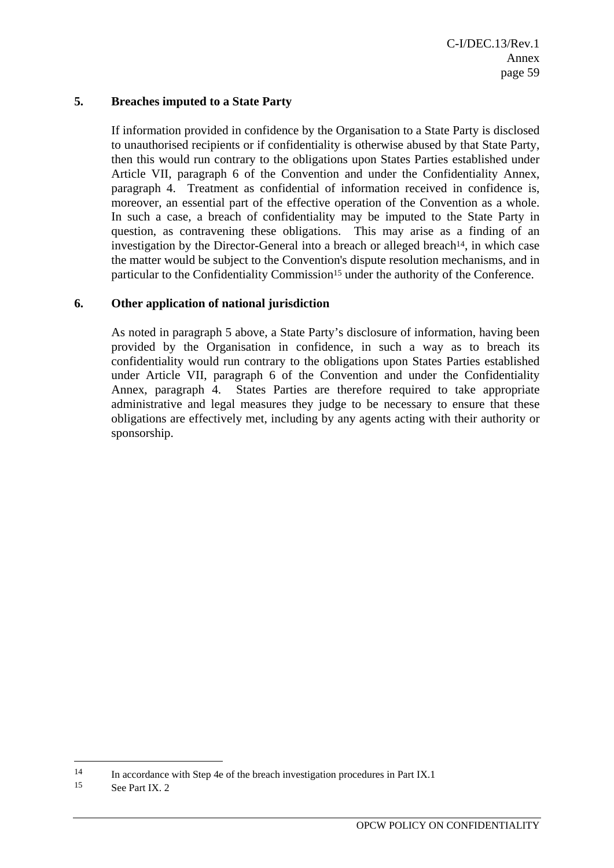## **5. Breaches imputed to a State Party**

 If information provided in confidence by the Organisation to a State Party is disclosed to unauthorised recipients or if confidentiality is otherwise abused by that State Party, then this would run contrary to the obligations upon States Parties established under Article VII, paragraph 6 of the Convention and under the Confidentiality Annex, paragraph 4. Treatment as confidential of information received in confidence is, moreover, an essential part of the effective operation of the Convention as a whole. In such a case, a breach of confidentiality may be imputed to the State Party in question, as contravening these obligations. This may arise as a finding of an investigation by the Director-General into a breach or alleged breach<sup> $14$ </sup>, in which case the matter would be subject to the Convention's dispute resolution mechanisms, and in particular to the Confidentiality Commission<sup>15</sup> under the authority of the Conference.

### **6. Other application of national jurisdiction**

 As noted in paragraph 5 above, a State Party's disclosure of information, having been provided by the Organisation in confidence, in such a way as to breach its confidentiality would run contrary to the obligations upon States Parties established under Article VII, paragraph 6 of the Convention and under the Confidentiality Annex, paragraph 4. States Parties are therefore required to take appropriate administrative and legal measures they judge to be necessary to ensure that these obligations are effectively met, including by any agents acting with their authority or sponsorship.

1

<sup>&</sup>lt;sup>14</sup> In accordance with Step 4e of the breach investigation procedures in Part IX.1<br><sup>15</sup> Soo Part IX.2

See Part IX. 2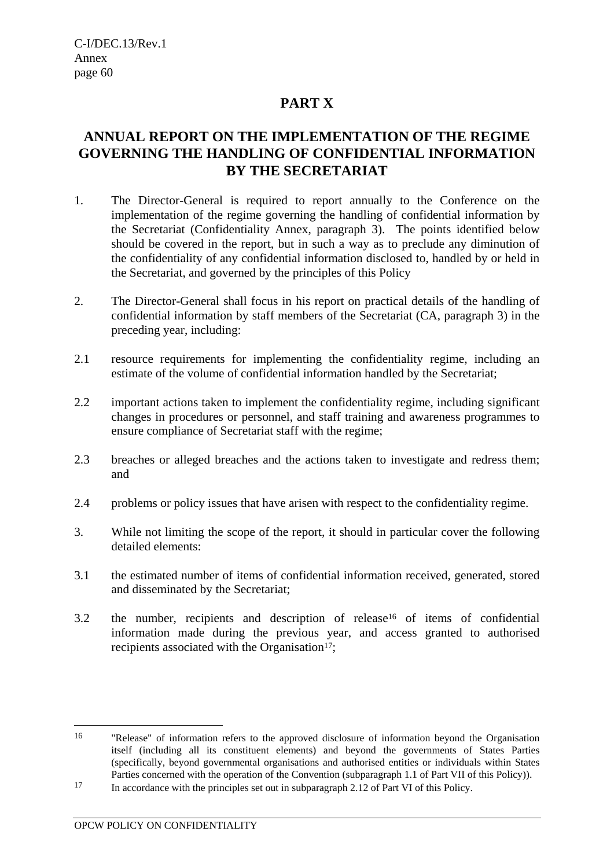## **PART X**

## **ANNUAL REPORT ON THE IMPLEMENTATION OF THE REGIME GOVERNING THE HANDLING OF CONFIDENTIAL INFORMATION BY THE SECRETARIAT**

- 1. The Director-General is required to report annually to the Conference on the implementation of the regime governing the handling of confidential information by the Secretariat (Confidentiality Annex, paragraph 3). The points identified below should be covered in the report, but in such a way as to preclude any diminution of the confidentiality of any confidential information disclosed to, handled by or held in the Secretariat, and governed by the principles of this Policy
- 2. The Director-General shall focus in his report on practical details of the handling of confidential information by staff members of the Secretariat (CA, paragraph 3) in the preceding year, including:
- 2.1 resource requirements for implementing the confidentiality regime, including an estimate of the volume of confidential information handled by the Secretariat;
- 2.2 important actions taken to implement the confidentiality regime, including significant changes in procedures or personnel, and staff training and awareness programmes to ensure compliance of Secretariat staff with the regime;
- 2.3 breaches or alleged breaches and the actions taken to investigate and redress them; and
- 2.4 problems or policy issues that have arisen with respect to the confidentiality regime.
- 3. While not limiting the scope of the report, it should in particular cover the following detailed elements:
- 3.1 the estimated number of items of confidential information received, generated, stored and disseminated by the Secretariat;
- 3.2 the number, recipients and description of release16 of items of confidential information made during the previous year, and access granted to authorised recipients associated with the Organisation<sup>17</sup>;

1

<sup>16 &</sup>quot;Release" of information refers to the approved disclosure of information beyond the Organisation itself (including all its constituent elements) and beyond the governments of States Parties (specifically, beyond governmental organisations and authorised entities or individuals within States Parties concerned with the operation of the Convention (subparagraph 1.1 of Part VII of this Policy)).

<sup>&</sup>lt;sup>17</sup> In accordance with the principles set out in subparagraph 2.12 of Part VI of this Policy.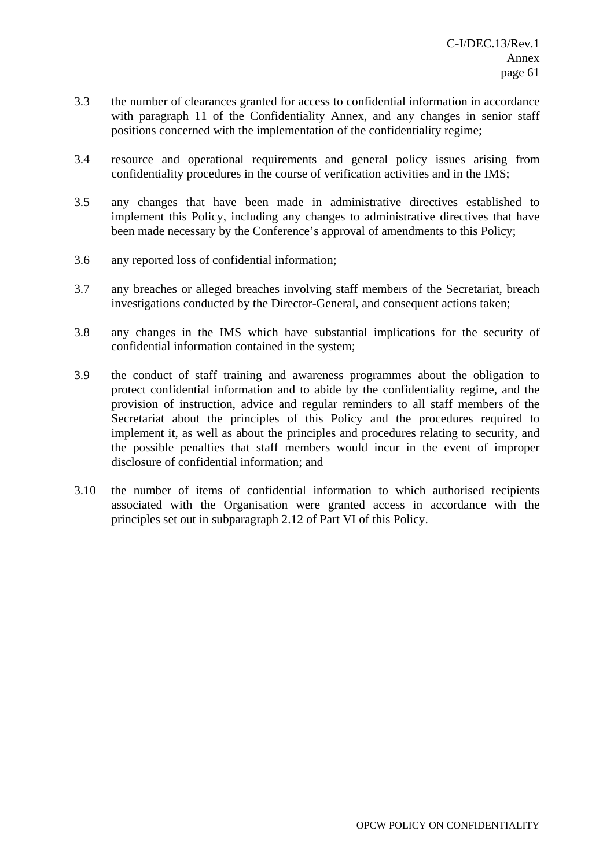- 3.3 the number of clearances granted for access to confidential information in accordance with paragraph 11 of the Confidentiality Annex, and any changes in senior staff positions concerned with the implementation of the confidentiality regime;
- 3.4 resource and operational requirements and general policy issues arising from confidentiality procedures in the course of verification activities and in the IMS;
- 3.5 any changes that have been made in administrative directives established to implement this Policy, including any changes to administrative directives that have been made necessary by the Conference's approval of amendments to this Policy;
- 3.6 any reported loss of confidential information;
- 3.7 any breaches or alleged breaches involving staff members of the Secretariat, breach investigations conducted by the Director-General, and consequent actions taken;
- 3.8 any changes in the IMS which have substantial implications for the security of confidential information contained in the system;
- 3.9 the conduct of staff training and awareness programmes about the obligation to protect confidential information and to abide by the confidentiality regime, and the provision of instruction, advice and regular reminders to all staff members of the Secretariat about the principles of this Policy and the procedures required to implement it, as well as about the principles and procedures relating to security, and the possible penalties that staff members would incur in the event of improper disclosure of confidential information; and
- 3.10 the number of items of confidential information to which authorised recipients associated with the Organisation were granted access in accordance with the principles set out in subparagraph 2.12 of Part VI of this Policy.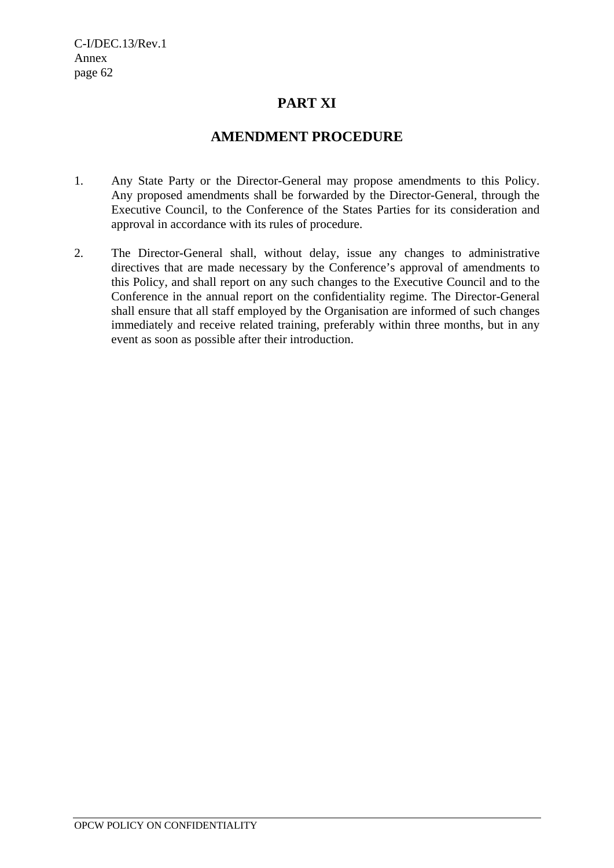C-I/DEC.13/Rev.1 Annex page 62

## **PART XI**

## **AMENDMENT PROCEDURE**

- 1. Any State Party or the Director-General may propose amendments to this Policy. Any proposed amendments shall be forwarded by the Director-General, through the Executive Council, to the Conference of the States Parties for its consideration and approval in accordance with its rules of procedure.
- 2. The Director-General shall, without delay, issue any changes to administrative directives that are made necessary by the Conference's approval of amendments to this Policy, and shall report on any such changes to the Executive Council and to the Conference in the annual report on the confidentiality regime. The Director-General shall ensure that all staff employed by the Organisation are informed of such changes immediately and receive related training, preferably within three months, but in any event as soon as possible after their introduction.